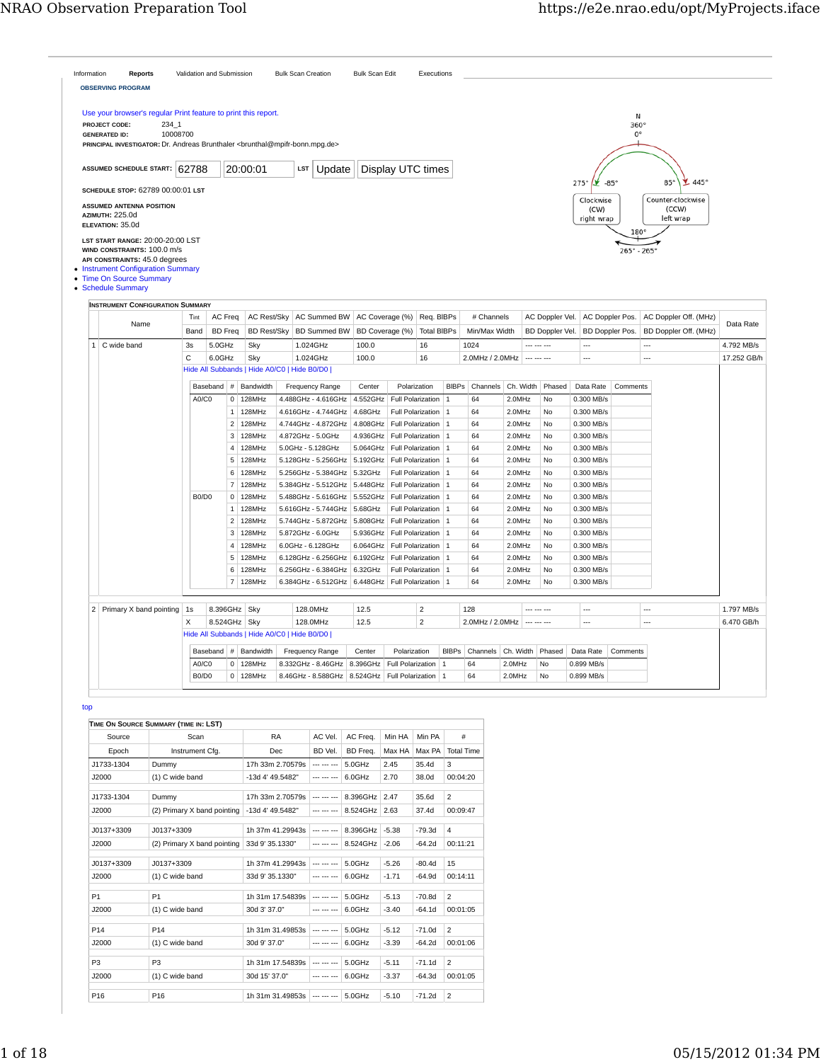| <b>AZIMUTH: 225.0d</b><br>$\mathbf{1}$ | ASSUMED SCHEDULE START: 62788<br>SCHEDULE STOP: 62789 00:00:01 LST<br><b>ASSUMED ANTENNA POSITION</b><br>ELEVATION: 35.0d<br>LST START RANGE: 20:00-20:00 LST<br>WIND CONSTRAINTS: 100.0 m/s<br>API CONSTRAINTS: 45.0 degrees<br>• Instrument Configuration Summary<br>• Time On Source Summary<br>• Schedule Summary<br><b>INSTRUMENT CONFIGURATION SUMMARY</b><br>Name<br>C wide band | Tint<br>Band<br>3s<br>C | AC Freq<br><b>BD</b> Freq<br>5.0GHz | 20:00:01                 | <b>AC Rest/Sky</b> | Update<br><b>LST</b>                        |          | Display UTC times        |                                     |              |                 |           |                            | 275°<br>$\mathbf{Y}$ -85°<br>Clockwise<br>(CW)<br>right wrap |                             | $85^\circ$<br>$\mathbf{445}$ °<br>Counter-clockwise<br>(CCW) |             |
|----------------------------------------|-----------------------------------------------------------------------------------------------------------------------------------------------------------------------------------------------------------------------------------------------------------------------------------------------------------------------------------------------------------------------------------------|-------------------------|-------------------------------------|--------------------------|--------------------|---------------------------------------------|----------|--------------------------|-------------------------------------|--------------|-----------------|-----------|----------------------------|--------------------------------------------------------------|-----------------------------|--------------------------------------------------------------|-------------|
|                                        |                                                                                                                                                                                                                                                                                                                                                                                         |                         |                                     |                          |                    |                                             |          |                          |                                     |              |                 |           |                            |                                                              |                             |                                                              |             |
|                                        |                                                                                                                                                                                                                                                                                                                                                                                         |                         |                                     |                          |                    |                                             |          |                          |                                     |              |                 |           |                            |                                                              |                             |                                                              |             |
|                                        |                                                                                                                                                                                                                                                                                                                                                                                         |                         |                                     |                          |                    |                                             |          |                          |                                     |              |                 |           |                            |                                                              | 180°                        | left wrap                                                    |             |
|                                        |                                                                                                                                                                                                                                                                                                                                                                                         |                         |                                     |                          |                    |                                             |          |                          |                                     |              |                 |           |                            |                                                              | $265^{\circ} - 265^{\circ}$ |                                                              |             |
|                                        |                                                                                                                                                                                                                                                                                                                                                                                         |                         |                                     |                          |                    |                                             |          |                          |                                     |              |                 |           |                            |                                                              |                             |                                                              |             |
|                                        |                                                                                                                                                                                                                                                                                                                                                                                         |                         |                                     |                          |                    | AC Summed BW                                |          | AC Coverage (%)          | Req. BIBPs                          |              | # Channels      |           | AC Doppler Vel.            | AC Doppler Pos.                                              |                             | AC Doppler Off. (MHz)                                        | Data Rate   |
|                                        |                                                                                                                                                                                                                                                                                                                                                                                         |                         |                                     |                          | <b>BD Rest/Sky</b> | <b>BD Summed BW</b>                         |          | BD Coverage (%)          | <b>Total BIBPs</b>                  |              | Min/Max Width   |           | BD Doppler Vel.            |                                                              | BD Doppler Pos.             | BD Doppler Off. (MHz)                                        |             |
|                                        |                                                                                                                                                                                                                                                                                                                                                                                         |                         |                                     | Sky                      |                    | 1.024GHz                                    | 100.0    |                          | 16                                  |              | 1024            |           |                            | $\overline{a}$                                               |                             | $\ddot{\phantom{a}}$                                         | 4.792 MB/s  |
|                                        |                                                                                                                                                                                                                                                                                                                                                                                         |                         | $6.0$ GHz                           | Sky                      |                    | 1.024GHz                                    | 100.0    |                          | 16                                  |              | 2.0MHz / 2.0MHz |           | --- --- ---                | $\overline{a}$                                               |                             | $\overline{a}$                                               | 17.252 GB/h |
|                                        |                                                                                                                                                                                                                                                                                                                                                                                         |                         |                                     |                          |                    | Hide All Subbands   Hide A0/C0   Hide B0/D0 |          |                          |                                     |              |                 |           |                            |                                                              |                             |                                                              |             |
|                                        |                                                                                                                                                                                                                                                                                                                                                                                         |                         | Baseband                            | # Bandwidth              |                    | Frequency Range                             | Center   | Polarization             |                                     | <b>BIBPS</b> | Channels        | Ch. Width | Phased                     | Data Rate                                                    | Comments                    |                                                              |             |
|                                        |                                                                                                                                                                                                                                                                                                                                                                                         | A0/C0                   |                                     | 128MHz<br>0              |                    | 4.488GHz - 4.616GHz                         | 4.552GHz | <b>Full Polarization</b> |                                     | $\mathbf{1}$ | 64              | 2.0MHz    | No                         | 0.300 MB/s                                                   |                             |                                                              |             |
|                                        |                                                                                                                                                                                                                                                                                                                                                                                         |                         |                                     | $1 \vert 128$ MHz        |                    | 4.616GHz - 4.744GHz                         | 4.68GHz  |                          | Full Polarization<br>  1            |              | 64              | 2.0MHz    | No                         | 0.300 MB/s                                                   |                             |                                                              |             |
|                                        |                                                                                                                                                                                                                                                                                                                                                                                         |                         |                                     | 2 128MHz                 |                    | 4.744GHz - 4.872GHz                         | 4.808GHz |                          | Full Polarization<br>$\overline{1}$ |              | 64              | 2.0MHz    | No                         | 0.300 MB/s                                                   |                             |                                                              |             |
|                                        |                                                                                                                                                                                                                                                                                                                                                                                         |                         |                                     | 3<br>128MHz              |                    | 4.872GHz - 5.0GHz                           | 4.936GHz | Full Polarization        | $\overline{1}$                      |              | 64              | 2.0MHz    | N <sub>0</sub>             | 0.300 MB/s                                                   |                             |                                                              |             |
|                                        |                                                                                                                                                                                                                                                                                                                                                                                         |                         |                                     | $\overline{4}$<br>128MHz |                    | 5.0GHz - 5.128GHz                           | 5.064GHz |                          | Full Polarization   1               |              | 64              | 2.0MHz    | No                         | 0.300 MB/s                                                   |                             |                                                              |             |
|                                        |                                                                                                                                                                                                                                                                                                                                                                                         |                         |                                     | $5$ 128MHz               |                    | 5.128GHz - 5.256GHz                         | 5.192GHz |                          | Full Polarization<br>$\overline{1}$ |              | 64              | 2.0MHz    | No                         | 0.300 MB/s                                                   |                             |                                                              |             |
|                                        |                                                                                                                                                                                                                                                                                                                                                                                         |                         |                                     | 6<br>128MHz              |                    | 5.256GHz - 5.384GHz                         | 5.32GHz  | Full Polarization        | $\overline{1}$                      |              | 64              | 2.0MHz    | N <sub>0</sub>             | 0.300 MB/s                                                   |                             |                                                              |             |
|                                        |                                                                                                                                                                                                                                                                                                                                                                                         |                         |                                     | $\overline{7}$<br>128MHz |                    | 5.384GHz - 5.512GHz                         | 5.448GHz |                          | Full Polarization   1               |              | 64              | 2.0MHz    | No                         | 0.300 MB/s                                                   |                             |                                                              |             |
|                                        |                                                                                                                                                                                                                                                                                                                                                                                         | B0/D0                   |                                     | $0$ 128MHz               |                    | 5.488GHz - 5.616GHz                         | 5.552GHz |                          | Full Polarization<br>$\overline{1}$ |              | 64              | 2.0MHz    | <b>No</b>                  | 0.300 MB/s                                                   |                             |                                                              |             |
|                                        |                                                                                                                                                                                                                                                                                                                                                                                         |                         |                                     | $\mathbf{1}$<br>128MHz   |                    | 5.616GHz - 5.744GHz                         | 5.68GHz  | Full Polarization        | $\overline{1}$                      |              | 64              | 2.0MHz    | N <sub>0</sub>             | 0.300 MB/s                                                   |                             |                                                              |             |
|                                        |                                                                                                                                                                                                                                                                                                                                                                                         |                         |                                     | $\overline{2}$<br>128MHz |                    | 5.744GHz - 5.872GHz                         | 5.808GHz |                          | Full Polarization   1               |              | 64              | 2.0MHz    | No                         | 0.300 MB/s                                                   |                             |                                                              |             |
|                                        |                                                                                                                                                                                                                                                                                                                                                                                         |                         |                                     | 3<br>128MHz              |                    | 5.872GHz - 6.0GHz                           | 5.936GHz |                          | Full Polarization<br>$\overline{1}$ |              | 64              | 2.0MHz    | <b>No</b>                  | 0.300 MB/s                                                   |                             |                                                              |             |
|                                        |                                                                                                                                                                                                                                                                                                                                                                                         |                         |                                     | $\overline{4}$<br>128MHz |                    | 6.0GHz - 6.128GHz                           | 6.064GHz | Full Polarization        | $\overline{1}$                      |              | 64              | 2.0MHz    | N <sub>0</sub>             | 0.300 MB/s                                                   |                             |                                                              |             |
|                                        |                                                                                                                                                                                                                                                                                                                                                                                         |                         |                                     | 5<br>128MHz              |                    | 6.128GHz - 6.256GHz                         | 6.192GHz |                          | Full Polarization   1               |              | 64              | 2.0MHz    | N <sub>0</sub>             | 0.300 MB/s                                                   |                             |                                                              |             |
|                                        |                                                                                                                                                                                                                                                                                                                                                                                         |                         |                                     | 6<br>128MHz              |                    | 6.256GHz - 6.384GHz                         | 6.32GHz  |                          | <b>Full Polarization</b><br>  1     |              | 64              | 2.0MHz    | No                         | 0.300 MB/s                                                   |                             |                                                              |             |
|                                        |                                                                                                                                                                                                                                                                                                                                                                                         |                         |                                     | 7 128MHz                 |                    | 6.384GHz - 6.512GHz                         | 6.448GHz |                          | Full Polarization<br>  1            |              | 64              | 2.0MHz    | N <sub>0</sub>             | 0.300 MB/s                                                   |                             |                                                              |             |
|                                        |                                                                                                                                                                                                                                                                                                                                                                                         |                         |                                     |                          |                    |                                             |          |                          |                                     |              |                 |           |                            |                                                              |                             |                                                              |             |
|                                        | 2 Primary X band pointing 1s                                                                                                                                                                                                                                                                                                                                                            |                         |                                     | 8.396GHz Sky             |                    | 128.0MHz                                    | 12.5     |                          | $\overline{2}$                      |              | 128             |           |                            | ---                                                          |                             | ---                                                          | 1.797 MB/s  |
|                                        |                                                                                                                                                                                                                                                                                                                                                                                         | X                       |                                     | 8.524GHz Sky             |                    | 128.0MHz                                    | 12.5     |                          | $\overline{2}$                      |              | 2.0MHz / 2.0MHz |           | $\cdots$ $\cdots$ $\cdots$ |                                                              |                             | $\overline{\phantom{a}}$                                     | 6.470 GB/h  |
|                                        |                                                                                                                                                                                                                                                                                                                                                                                         |                         |                                     |                          |                    | Hide All Subbands   Hide A0/C0   Hide B0/D0 |          |                          |                                     |              |                 |           |                            |                                                              |                             |                                                              |             |
|                                        |                                                                                                                                                                                                                                                                                                                                                                                         |                         |                                     |                          |                    |                                             |          |                          |                                     |              |                 |           |                            |                                                              |                             |                                                              |             |
|                                        |                                                                                                                                                                                                                                                                                                                                                                                         |                         |                                     | Baseband $#$ Bandwidth   |                    | <b>Frequency Range</b>                      | Center   | Polarization             |                                     | <b>BIBPS</b> | Channels        | Ch. Width | Phased                     | Data Rate                                                    | Comments                    |                                                              |             |
|                                        |                                                                                                                                                                                                                                                                                                                                                                                         | A0/C0                   |                                     | 0<br>128MHz              |                    | 8.332GHz - 8.46GHz                          | 8.396GHz | <b>Full Polarization</b> | $\mathbf{1}$                        |              | 64              | 2.0MHz    | No                         | 0.899 MB/s                                                   |                             |                                                              |             |
|                                        |                                                                                                                                                                                                                                                                                                                                                                                         | B0/D0                   |                                     | $0$ 128MHz               |                    | 8.46GHz - 8.588GHz                          | 8.524GHz | Full Polarization   1    |                                     |              | 64              | 2.0MHz    | No                         | 0.899 MB/s                                                   |                             |                                                              |             |
|                                        |                                                                                                                                                                                                                                                                                                                                                                                         |                         |                                     |                          |                    |                                             |          |                          |                                     |              |                 |           |                            |                                                              |                             |                                                              |             |
| top                                    |                                                                                                                                                                                                                                                                                                                                                                                         |                         |                                     |                          |                    |                                             |          |                          |                                     |              |                 |           |                            |                                                              |                             |                                                              |             |
| TIME ON SOURCE SUMMARY (TIME IN: LST)  |                                                                                                                                                                                                                                                                                                                                                                                         |                         |                                     |                          |                    |                                             |          |                          |                                     |              |                 |           |                            |                                                              |                             |                                                              |             |

| Epoch           | Instrument Cfg.             | Dec              | BD Vel.     | BD Freq.  | Max HA  | Max PA   | <b>Total Time</b> |
|-----------------|-----------------------------|------------------|-------------|-----------|---------|----------|-------------------|
| J1733-1304      | Dummy                       | 17h 33m 2.70579s | --- --- --- | 5.0GHz    | 2.45    | 35.4d    | 3                 |
| J2000           | (1) C wide band             | -13d 4' 49.5482" | --- --- --- | 6.0GHz    | 2.70    | 38.0d    | 00:04:20          |
| J1733-1304      | Dummy                       | 17h 33m 2.70579s | --- --- --- | 8.396GHz  | 2.47    | 35.6d    | 2                 |
| J2000           | (2) Primary X band pointing | -13d 4' 49.5482" |             | 8.524GHz  | 2.63    | 37.4d    | 00:09:47          |
| J0137+3309      | J0137+3309                  | 1h 37m 41.29943s | --- --- --- | 8.396GHz  | $-5.38$ | $-79.3d$ | 4                 |
| J2000           | (2) Primary X band pointing | 33d 9' 35.1330"  | --- --- --- | 8.524GHz  | $-2.06$ | $-64.2d$ | 00:11:21          |
| ,10137+3309     | ,10137+3309                 | 1h 37m 41.29943s | --- --- --- | $5.0$ GHz | $-5.26$ | $-80.4d$ | 15                |
| J2000           | (1) C wide band             | 33d 9' 35.1330"  | --- --- --- | 6.0GHz    | $-1.71$ | $-64.9d$ | 00:14:11          |
| P1              | P1                          | 1h 31m 17.54839s | --- --- --- | 5.0GHz    | $-5.13$ | $-70.8d$ | $\overline{2}$    |
| J2000           | (1) C wide band             | 30d 3' 37.0"     | --- --- --- | 6.0GHz    | $-3.40$ | $-64.1d$ | 00:01:05          |
| P <sub>14</sub> | P14                         | 1h 31m 31.49853s | --- --- --- | 5.0GHz    | $-5.12$ | $-71.0d$ | $\overline{2}$    |
| J2000           | (1) C wide band             | 30d 9' 37.0"     |             | 6.0GHz    | $-3.39$ | $-64.2d$ | 00:01:06          |
| P3              | P <sub>3</sub>              | 1h 31m 17.54839s | --- --- --- | 5.0GHz    | $-5.11$ | $-71.1d$ | $\overline{2}$    |
| J2000           | (1) C wide band             | 30d 15' 37.0"    |             | 6.0GHz    | $-3.37$ | $-64.3d$ | 00:01:05          |
| P <sub>16</sub> | P <sub>16</sub>             | 1h 31m 31.49853s | --- --- --- | 5.0GHz    | $-5.10$ | $-71.2d$ | 2                 |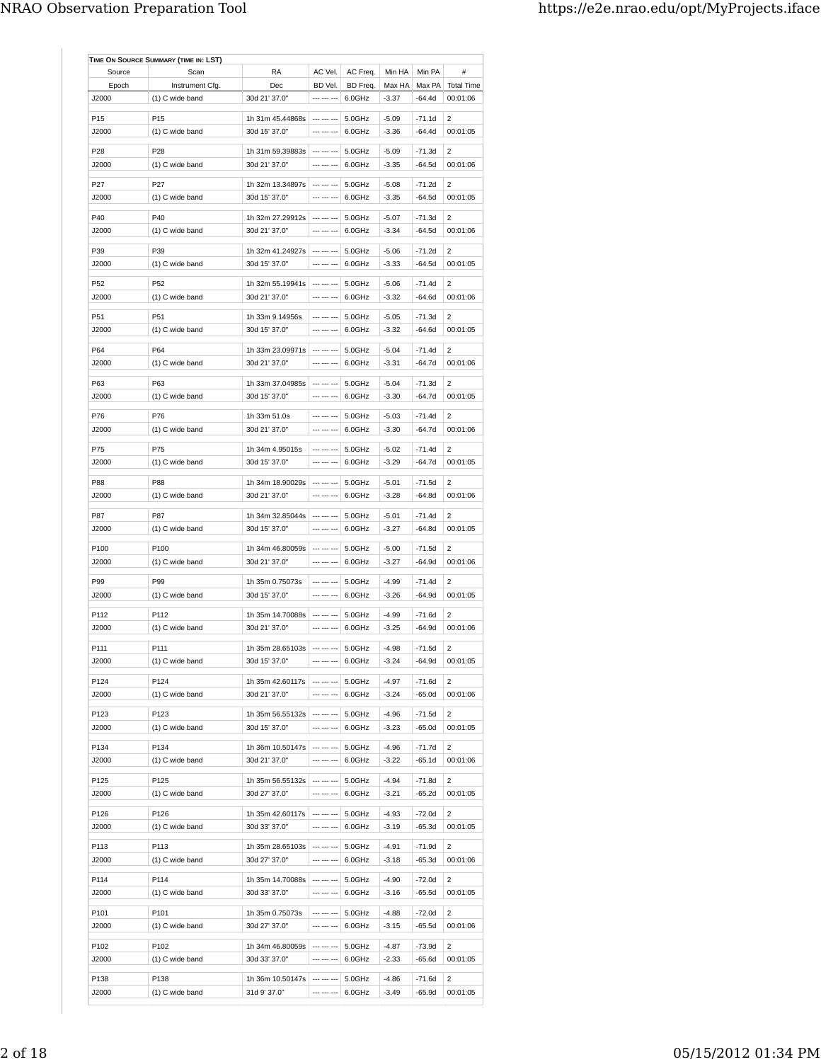| Source          | Scan            | RA                             | AC Vel.                    | AC Freq.                          | Min HA  | Min PA                   | #                 |
|-----------------|-----------------|--------------------------------|----------------------------|-----------------------------------|---------|--------------------------|-------------------|
| Epoch           | Instrument Cfg. | Dec                            | BD Vel.                    | BD Freq.                          | Max HA  | Max PA                   | <b>Total Time</b> |
| J2000           | (1) C wide band | 30d 21' 37.0"                  | --- --- ---                | 6.0GHz                            | $-3.37$ | $-64.4d$                 | 00:01:06          |
|                 |                 |                                |                            |                                   |         |                          |                   |
| P15             | P15             | 1h 31m 45.44868s               |                            | 5.0GHz                            | $-5.09$ | $-71.1d$                 | 2                 |
| J2000           | (1) C wide band | 30d 15' 37.0"                  | --- --- ---                | 6.0GHz                            | $-3.36$ | $-64.4d$                 | 00:01:05          |
| P <sub>28</sub> | P <sub>28</sub> | 1h 31m 59.39883s               | --- --- ---                | 5.0GHz                            | $-5.09$ | $-71.3d$                 | 2                 |
| J2000           | (1) C wide band | 30d 21' 37.0"                  | --- --- ---                | 6.0GHz                            | $-3.35$ | $-64.5d$                 | 00:01:06          |
|                 |                 |                                |                            |                                   |         |                          |                   |
| P27             | P <sub>27</sub> | 1h 32m 13.34897s               |                            | 5.0GHz                            | $-5.08$ | $-71.2d$                 | 2                 |
| J2000           | (1) C wide band | 30d 15' 37.0"                  | --- --- ---                | 6.0GHz                            | $-3.35$ | $-64.5d$                 | 00:01:05          |
| P40             | P40             | 1h 32m 27.29912s               | $\cdots$                   | 5.0GHz                            | $-5.07$ | $-71.3d$                 | $\overline{2}$    |
| J2000           | (1) C wide band | 30d 21' 37.0"                  | --- --- ---                | 6.0GHz                            | $-3.34$ | $-64.5d$                 | 00:01:06          |
|                 |                 |                                |                            |                                   |         |                          |                   |
| P39             | P39             | 1h 32m 41.24927s               | --- --- ---                | 5.0GHz                            | $-5.06$ | $-71.2d$                 | $\overline{2}$    |
| J2000           | (1) C wide band | 30d 15' 37.0"                  | --- --- ---                | 6.0GHz                            | $-3.33$ | $-64.5d$                 | 00:01:05          |
| P52             | P <sub>52</sub> | 1h 32m 55.19941s               | --- --- ---                | 5.0GHz                            | $-5.06$ | $-71.4d$                 | 2                 |
| J2000           | (1) C wide band | 30d 21' 37.0"                  | --- --- ---                | 6.0GHz                            | $-3.32$ | $-64.6d$                 | 00:01:06          |
|                 |                 |                                |                            |                                   |         |                          |                   |
| P51             | P51             | 1h 33m 9.14956s                | --- --- ---                | 5.0GHz                            | $-5.05$ | $-71.3d$                 | 2                 |
| J2000           | (1) C wide band | 30d 15' 37.0"                  | --- --- ---                | 6.0GHz                            | $-3.32$ | $-64.6d$                 | 00:01:05          |
| P64             | P64             | 1h 33m 23.09971s               |                            | 5.0GHz                            | $-5.04$ | $-71.4d$                 | 2                 |
| J2000           | (1) C wide band | 30d 21' 37.0"                  | --- --- ---                | 6.0GHz                            | $-3.31$ | $-64.7d$                 | 00:01:06          |
|                 |                 |                                |                            |                                   |         |                          |                   |
| P63             | P63             | 1h 33m 37.04985s               | --- --- ---                | 5.0GHz                            | $-5.04$ | $-71.3d$                 | $\overline{2}$    |
| J2000           | (1) C wide band | 30d 15' 37.0"                  | --- --- ---                | 6.0GHz                            | $-3.30$ | -64.7d                   | 00:01:05          |
| P76             | P76             | 1h 33m 51.0s                   | --- --- ---                | 5.0GHz                            | $-5.03$ | $-71.4d$                 | 2                 |
| J2000           | (1) C wide band | 30d 21' 37.0"                  | --- --- ---                | 6.0GHz                            | $-3.30$ | -64.7d                   | 00:01:06          |
|                 |                 |                                |                            |                                   |         |                          |                   |
| P75             | P75             | 1h 34m 4.95015s                | --- --- ---                | 5.0GHz                            | $-5.02$ | $-71.4d$                 | 2                 |
| J2000           | (1) C wide band | 30d 15' 37.0"                  | --- --- ---                | 6.0GHz                            | $-3.29$ | -64.7d                   | 00:01:05          |
|                 |                 |                                | $\cdots \cdots \cdots$     |                                   |         |                          |                   |
| P88             | P88             | 1h 34m 18.90029s               |                            | 5.0GHz                            | $-5.01$ | $-71.5d$                 | 2                 |
| J2000           | (1) C wide band | 30d 21' 37.0"                  | --- --- ---                | 6.0GHz                            | -3.28   | $-64.8d$                 | 00:01:06          |
| P87             | P87             | 1h 34m 32.85044s               | --- --- ---                | 5.0GHz                            | $-5.01$ | $-71.4d$                 | 2                 |
| J2000           | (1) C wide band | 30d 15' 37.0"                  | --- --- ---                | 6.0GHz                            | $-3.27$ | -64.8d                   | 00:01:05          |
|                 |                 |                                |                            |                                   |         |                          |                   |
| P100            | P100            | 1h 34m 46.80059s               | --- --- ---                | 5.0GHz                            | $-5.00$ | $-71.5d$                 | 2                 |
| J2000           | (1) C wide band | 30d 21' 37.0"                  | --- --- ---                | 6.0GHz                            | $-3.27$ | $-64.9d$                 | 00:01:06          |
| P99             | P99             | 1h 35m 0.75073s                | --- --- ---                | 5.0GHz                            | $-4.99$ | $-71.4d$                 | 2                 |
| J2000           | (1) C wide band | 30d 15' 37.0"                  | --- --- ---                | 6.0GHz                            | $-3.26$ | $-64.9d$                 | 00:01:05          |
|                 |                 |                                |                            |                                   |         |                          |                   |
| P112            | P112            | 1h 35m 14.70088s               |                            | 5.0GHz                            | $-4.99$ | $-71.6d$                 | 2                 |
| J2000           | (1) C wide band | 30d 21' 37.0"                  | $\cdots \cdots \cdots$     | 6.0GHz                            | $-3.25$ | $-64.9d$                 | 00:01:06          |
| P111            | P111            | 1h 35m 28.65103s               |                            | 5.0GHz                            | -4.98   | $\vert$ -71.5d $\vert$ 2 |                   |
| J2000           | (1) C wide band | 30d 15' 37.0"                  |                            | $\cdots$ $\cdots$ $\cdots$ 6.0GHz | $-3.24$ | $-64.9d$                 | 00:01:05          |
|                 |                 |                                |                            |                                   |         |                          |                   |
| P124            | P124            | 1h 35m 42.60117s               |                            | $- - - - - 5.0$ GHz               | $-4.97$ | $-71.6d$                 | 2                 |
| J2000           | (1) C wide band | 30d 21' 37.0"                  | --- --- ---                | 6.0GHz                            | $-3.24$ | -65.0d                   | 00:01:06          |
| P123            | P123            | 1h 35m 56.55132s               | --- --- ---                | 5.0GHz                            | $-4.96$ | $-71.5d$                 | 2                 |
| J2000           | (1) C wide band | 30d 15' 37.0"                  | --- --- ---                | 6.0GHz                            | $-3.23$ | $-65.0d$                 | 00:01:05          |
|                 |                 |                                |                            |                                   |         |                          |                   |
| P134            | P134            | 1h 36m 10.50147s               |                            | 5.0GHz                            | $-4.96$ | $-71.7d$                 | 2                 |
| J2000           | (1) C wide band | 30d 21' 37.0"                  | --- --- ---                | 6.0GHz                            | $-3.22$ | -65.1d                   | 00:01:06          |
| P125            | P125            | 1h 35m 56.55132s               | --- --- ---                | 5.0GHz                            | $-4.94$ | $-71.8d$                 | 2                 |
| J2000           | (1) C wide band | 30d 27' 37.0"                  | --- --- ---                | 6.0GHz                            | -3.21   | $-65.2d$                 | 00:01:05          |
|                 |                 |                                |                            |                                   |         |                          |                   |
| P126            | P126            | 1h 35m 42.60117s               | --- --- ---                | 5.0GHz                            | $-4.93$ | $-72.0d$                 | 2                 |
| J2000           | (1) C wide band | 30d 33' 37.0"                  | --- --- ---                | 6.0GHz                            | $-3.19$ | -65.3d                   | 00:01:05          |
|                 | P113            | 1h 35m 28.65103s               | --- --- ---                |                                   | $-4.91$ | $-71.9d$                 | 2                 |
| P113            | (1) C wide band | 30d 27' 37.0"                  | --- --- ---                | 5.0GHz                            |         |                          | 00:01:06          |
| J2000           |                 |                                |                            | 6.0GHz                            | $-3.18$ | $-65.3d$                 |                   |
| P114            | P114            | 1h 35m 14.70088s               | --- --- ---                | 5.0GHz                            | $-4.90$ | $-72.0d$                 | 2                 |
| J2000           | (1) C wide band | 30d 33' 37.0"                  | --- --- ---                | 6.0GHz                            | $-3.16$ | $-65.5d$                 | 00:01:05          |
|                 |                 |                                |                            |                                   |         |                          |                   |
| P101            | P101            | 1h 35m 0.75073s                | $- - - -$                  | 5.0GHz                            | $-4.88$ | $-72.0d$                 | 2                 |
| J2000           | (1) C wide band | 30d 27' 37.0"                  | --- --- ---                | 6.0GHz                            | $-3.15$ | -65.5d                   | 00:01:06          |
| P102            | P102            | 1h 34m 46.80059s               | $\cdots$ $\cdots$ $\cdots$ | 5.0GHz                            | $-4.87$ | $-73.9d$                 | 2                 |
| J2000           | (1) C wide band | 30d 33' 37.0"                  | --- --- ---                | 6.0GHz                            | $-2.33$ | -65.6d                   | 00:01:05          |
|                 |                 |                                |                            |                                   |         |                          |                   |
| P138            | P138            | 1h 36m 10.50147s   --- --- --- |                            | 5.0GHz                            | $-4.86$ | -71.6d                   | 2                 |
| J2000           | (1) C wide band | 31d 9' 37.0"                   |                            | $- - - - - 6.0$ GHz               | $-3.49$ | $-65.9d$                 | 00:01:05          |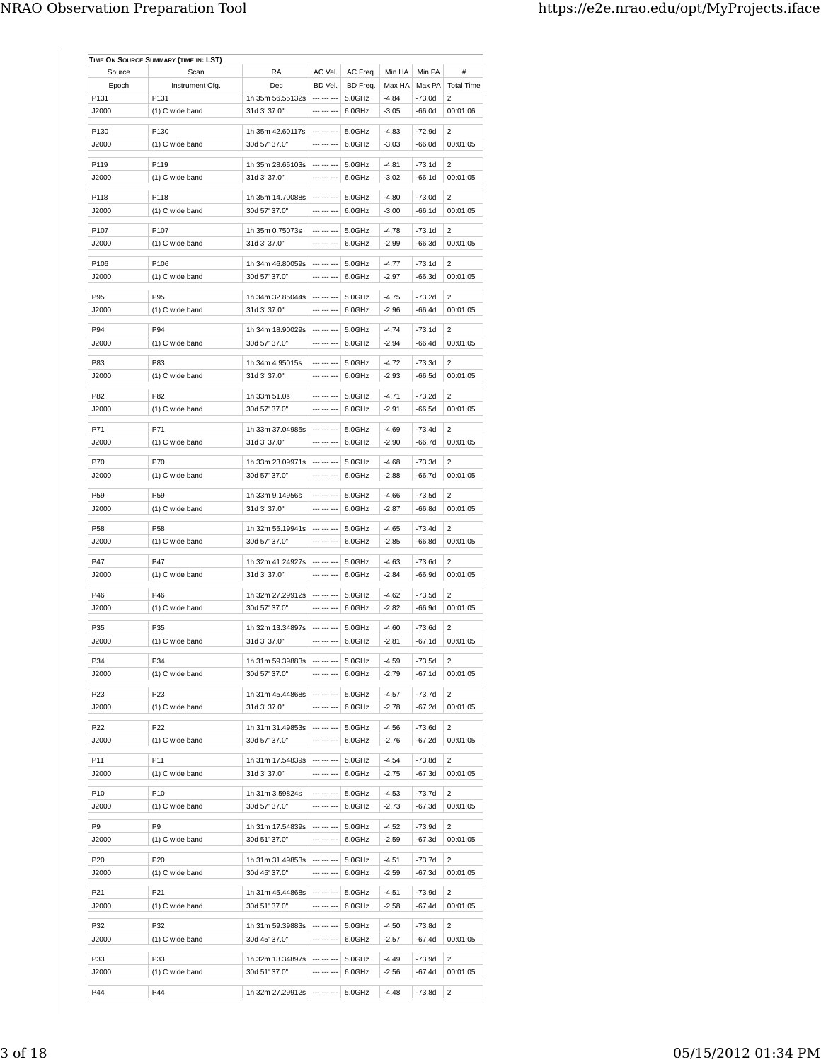| Source          | Scan            | RA                                  | AC Vel.                    | AC Freq.         | Min HA  | Min PA   | $\#$              |
|-----------------|-----------------|-------------------------------------|----------------------------|------------------|---------|----------|-------------------|
| Epoch           | Instrument Cfg. | Dec                                 | BD Vel.                    | BD Freq.         | Max HA  | Max PA   | <b>Total Time</b> |
| P131            | P131            | 1h 35m 56.55132s                    | --- --- ---                | 5.0GHz           | $-4.84$ | -73.0d   | 2                 |
| J2000           | (1) C wide band | 31d 3' 37.0"                        | --- --- ---                | 6.0GHz           | $-3.05$ | $-66.0d$ | 00:01:06          |
| P130            | P130            | 1h 35m 42.60117s                    | --- --- ---                | 5.0GHz           | $-4.83$ | $-72.9d$ | 2                 |
| J2000           | (1) C wide band | 30d 57' 37.0"                       | --- --- ---                | 6.0GHz           | $-3.03$ | $-66.0d$ | 00:01:05          |
|                 |                 |                                     |                            |                  |         |          |                   |
| P119            | P119            | 1h 35m 28.65103s                    | --- --- ---                | 5.0GHz           | $-4.81$ | $-73.1d$ | 2                 |
| J2000           | (1) C wide band | 31d 3' 37.0"                        | --- --- ---                | 6.0GHz           | $-3.02$ | $-66.1d$ | 00:01:05          |
| P118            | P118            | 1h 35m 14.70088s                    | --- --- ---                | 5.0GHz           | $-4.80$ | $-73.0d$ | 2                 |
| J2000           | (1) C wide band | 30d 57' 37.0"                       | --- --- ---                | 6.0GHz           | $-3.00$ | $-66.1d$ | 00:01:05          |
|                 |                 |                                     |                            |                  |         |          |                   |
| P107            | P107            | 1h 35m 0.75073s                     | --- --- ---                | 5.0GHz           | $-4.78$ | $-73.1d$ | 2                 |
| J2000           | (1) C wide band | 31d 3' 37.0"                        |                            | 6.0GHz           | $-2.99$ | -66.3d   | 00:01:05          |
| P106            | P106            | 1h 34m 46.80059s                    | --- --- ---                | 5.0GHz           | $-4.77$ | $-73.1d$ | 2                 |
| J2000           | (1) C wide band | 30d 57' 37.0"                       | --- --- ---                | 6.0GHz           | $-2.97$ | $-66.3d$ | 00:01:05          |
|                 |                 |                                     | --- --- ---                |                  |         |          |                   |
| P95             | P95             | 1h 34m 32.85044s                    |                            | 5.0GHz           | $-4.75$ | $-73.2d$ | 2                 |
| J2000           | (1) C wide band | 31d 3' 37.0"                        |                            | 6.0GHz           | $-2.96$ | $-66.4d$ | 00:01:05          |
| P94             | P94             | 1h 34m 18.90029s                    | --- --- ---                | 5.0GHz           | $-4.74$ | $-73.1d$ | 2                 |
| J2000           | (1) C wide band | 30d 57' 37.0"                       | --- --- ---                | 6.0GHz           | $-2.94$ | $-66.4d$ | 00:01:05          |
| P83             | P83             | 1h 34m 4.95015s                     | --- --- ---                | 5.0GHz           | $-4.72$ | $-73.3d$ | $\overline{2}$    |
| J2000           | (1) C wide band | 31d 3' 37.0"                        | --- --- ---                | 6.0GHz           | $-2.93$ | $-66.5d$ | 00:01:05          |
|                 |                 |                                     |                            |                  |         |          |                   |
| P82             | P82             | 1h 33m 51.0s                        | --- --- ---                | 5.0GHz           | $-4.71$ | $-73.2d$ | 2                 |
| J2000           | (1) C wide band | 30d 57' 37.0"                       | --- --- ---                | 6.0GHz           | $-2.91$ | $-66.5d$ | 00:01:05          |
| P71             | P71             | 1h 33m 37.04985s                    | --- --- ---                | 5.0GHz           | $-4.69$ | $-73.4d$ | 2                 |
| J2000           | (1) C wide band | 31d 3' 37.0"                        | --- --- ---                | 6.0GHz           | $-2.90$ | $-66.7d$ | 00:01:05          |
|                 |                 |                                     |                            |                  |         |          |                   |
| P70             | P70             | 1h 33m 23.09971s                    | --- --- ---                | 5.0GHz           | $-4.68$ | $-73.3d$ | 2                 |
| J2000           | (1) C wide band | 30d 57' 37.0"                       | --- --- ---                | 6.0GHz           | $-2.88$ | $-66.7d$ | 00:01:05          |
| P <sub>59</sub> | P59             | 1h 33m 9.14956s                     | --- --- ---                | 5.0GHz           | $-4.66$ | $-73.5d$ | 2                 |
| J2000           | (1) C wide band | 31d 3' 37.0"                        | --- --- ---                | 6.0GHz           | $-2.87$ | $-66.8d$ | 00:01:05          |
|                 |                 |                                     |                            |                  |         |          |                   |
| P58             | P58             | 1h 32m 55.19941s                    | --- --- ---                | 5.0GHz           | $-4.65$ | $-73.4d$ | 2                 |
| J2000           | (1) C wide band | 30d 57' 37.0"                       | --- --- ---                | 6.0GHz           | $-2.85$ | $-66.8d$ | 00:01:05          |
| P47             | P47             | 1h 32m 41.24927s                    | --- --- ---                | 5.0GHz           | $-4.63$ | $-73.6d$ | 2                 |
| J2000           | (1) C wide band | 31d 3' 37.0"                        | --- --- ---                | 6.0GHz           | $-2.84$ | $-66.9d$ | 00:01:05          |
|                 |                 |                                     |                            |                  |         |          |                   |
| P46             | P46             | 1h 32m 27.29912s                    | --- --- ---                | 5.0GHz           | $-4.62$ | -73.5d   | $\overline{2}$    |
| J2000           | (1) C wide band | 30d 57' 37.0"                       | --- --- ---                | 6.0GHz           | $-2.82$ | $-66.9d$ | 00:01:05          |
| P35             | P35             | 1h 32m 13.34897s                    | --- --- ---                | 5.0GHz           | $-4.60$ | $-73.6d$ | 2                 |
| J2000           | (1) C wide band | 31d 3' 37.0"                        | --- --- ---                | 6.0GHz           | $-2.81$ | $-67.1d$ | 00:01:05          |
|                 |                 |                                     |                            |                  | $-4.59$ |          |                   |
| P34             | P34             | 1h 31m 59.39883s                    | $\cdots$ $\cdots$ $\cdots$ | 5.0GHz           |         | -73.5d   | $\overline{c}$    |
| J2000           | (1) C wide band | 30d 57' 37.0"                       |                            | 6.0GHz           | $-2.79$ | -67.1d   | 00:01:05          |
| P23             | P23             | 1h 31m 45.44868s                    | --- --- ---                | 5.0GHz           | $-4.57$ | -73.7d   | $\overline{2}$    |
| J2000           | (1) C wide band | 31d 3' 37.0"                        | --- --- ---                | 6.0GHz           | $-2.78$ | -67.2d   | 00:01:05          |
|                 | P22             |                                     | --- --- ---                |                  | $-4.56$ | $-73.6d$ | 2                 |
| P22<br>J2000    | (1) C wide band | 1h 31m 31.49853s<br>30d 57' 37.0"   | --- --- ---                | 5.0GHz<br>6.0GHz | $-2.76$ | $-67.2d$ | 00:01:05          |
|                 |                 |                                     |                            |                  |         |          |                   |
| P11             | P11             | 1h 31m 17.54839s                    | --- --- ---                | 5.0GHz           | $-4.54$ | $-73.8d$ | 2                 |
| J2000           | (1) C wide band | 31d 3' 37.0"                        | --- --- ---                | 6.0GHz           | $-2.75$ | $-67.3d$ | 00:01:05          |
| P10             | P10             | 1h 31m 3.59824s                     | --- --- ---                | 5.0GHz           | $-4.53$ | -73.7d   | $\mathbf{2}$      |
| J2000           | (1) C wide band | 30d 57' 37.0"                       | --- --- ---                | 6.0GHz           | $-2.73$ | -67.3d   | 00:01:05          |
|                 |                 |                                     |                            |                  |         |          |                   |
| P9              | P9              | 1h 31m 17.54839s                    | --- --- ---                | 5.0GHz           | $-4.52$ | -73.9d   | 2                 |
| J2000           | (1) C wide band | 30d 51' 37.0"                       | --- --- ---                | 6.0GHz           | $-2.59$ | -67.3d   | 00:01:05          |
| P20             | P20             | 1h 31m 31.49853s                    | --- --- ---                | 5.0GHz           | $-4.51$ | -73.7d   | 2                 |
| J2000           | (1) C wide band | 30d 45' 37.0"                       | --- --- ---                | 6.0GHz           | $-2.59$ | -67.3d   | 00:01:05          |
|                 |                 |                                     |                            |                  |         |          |                   |
| P21             | P21             | 1h 31m 45.44868s                    | --- --- ---                | 5.0GHz           | $-4.51$ | $-73.9d$ | 2                 |
| J2000           | (1) C wide band | 30d 51' 37.0"                       | --- --- ---                | 6.0GHz           | $-2.58$ | $-67.4d$ | 00:01:05          |
| P32             | P32             | 1h 31m 59.39883s                    | --- --- ---                | 5.0GHz           | $-4.50$ | $-73.8d$ | 2                 |
| J2000           | (1) C wide band | 30d 45' 37.0"                       | --- --- ---                | 6.0GHz           | $-2.57$ | -67.4d   | 00:01:05          |
|                 |                 |                                     |                            |                  |         |          |                   |
| P33             | P33             | 1h 32m 13.34897s                    | --- --- ---                | 5.0GHz           | $-4.49$ | $-73.9d$ | 2                 |
| J2000           | (1) C wide band | 30d 51' 37.0"                       | --- --- ---                | 6.0GHz           | $-2.56$ | -67.4d   | 00:01:05          |
| P44             | P44             | 1h 32m 27.29912s --- --- --- 5.0GHz |                            |                  | $-4.48$ | $-73.8d$ | 2                 |
|                 |                 |                                     |                            |                  |         |          |                   |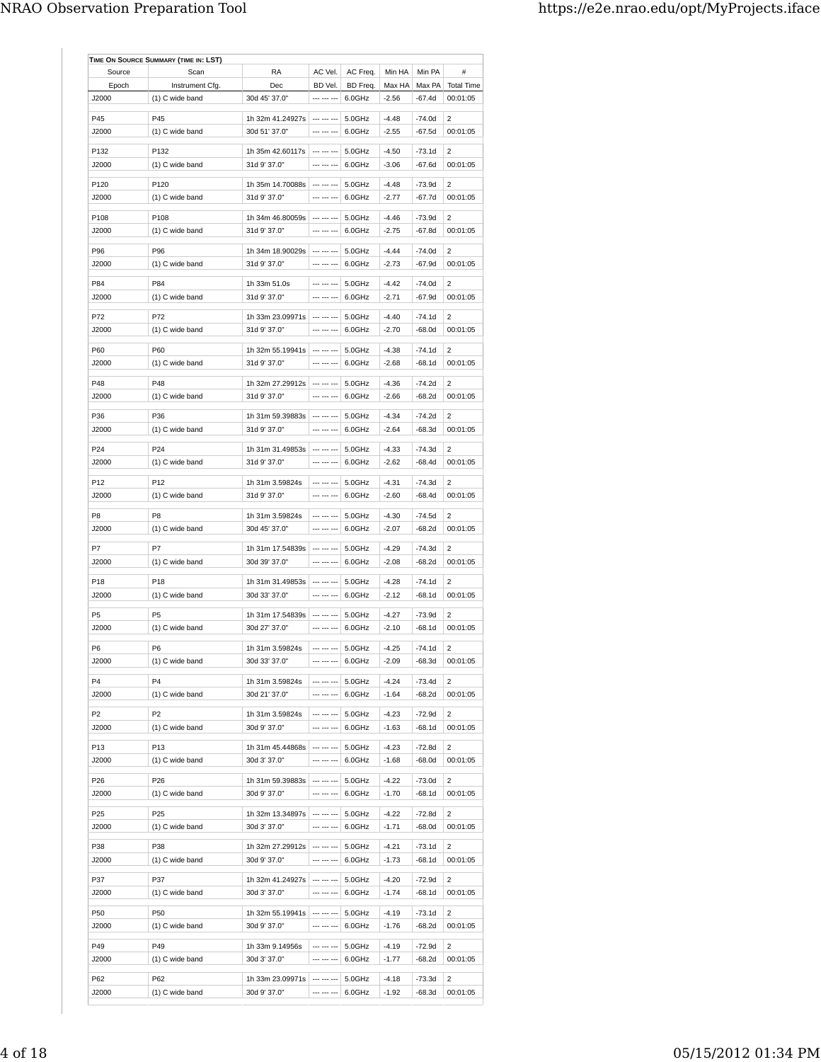| Source          | Scan            | RA                                   | AC Vel.                | AC Freq. | Min HA  | Min PA     | #                 |
|-----------------|-----------------|--------------------------------------|------------------------|----------|---------|------------|-------------------|
| Epoch           | Instrument Cfg. | Dec                                  | BD Vel.                | BD Freq. | Max HA  | Max PA     | <b>Total Time</b> |
| J2000           | (1) C wide band | 30d 45' 37.0"                        | --- --- ---            | 6.0GHz   | $-2.56$ | $-67.4d$   | 00:01:05          |
|                 |                 |                                      |                        |          |         |            |                   |
| P45             | P45             | 1h 32m 41.24927s                     |                        | 5.0GHz   | $-4.48$ | $-74.0d$   | 2                 |
| J2000           | (1) C wide band | 30d 51' 37.0"                        | --- --- ---            | 6.0GHz   | $-2.55$ | $-67.5d$   | 00:01:05          |
| P132            | P132            | 1h 35m 42.60117s                     | --- --- ---            | 5.0GHz   | $-4.50$ | $-73.1d$   | 2                 |
| J2000           | (1) C wide band | 31d 9' 37.0"                         | --- --- ---            | 6.0GHz   | $-3.06$ | $-67.6d$   | 00:01:05          |
|                 |                 |                                      |                        |          |         |            |                   |
| P120            | P120            | 1h 35m 14.70088s                     | $\cdots \cdots \cdots$ | 5.0GHz   | $-4.48$ | $-73.9d$   | 2                 |
| J2000           | (1) C wide band | 31d 9' 37.0"                         | --- --- ---            | 6.0GHz   | $-2.77$ | $-67.7d$   | 00:01:05          |
| P108            | P108            | 1h 34m 46.80059s                     | --- --- ---            | 5.0GHz   | $-4.46$ | $-73.9d$   | $\overline{2}$    |
| J2000           | (1) C wide band | 31d 9' 37.0"                         | --- --- ---            | 6.0GHz   | $-2.75$ | $-67.8d$   | 00:01:05          |
|                 |                 |                                      |                        |          |         |            |                   |
| P96             | P96             | 1h 34m 18.90029s                     | --- --- ---            | 5.0GHz   | $-4.44$ | $-74.0d$   | $\overline{2}$    |
| J2000           | (1) C wide band | 31d 9' 37.0"                         | --- --- ---            | 6.0GHz   | $-2.73$ | -67.9d     | 00:01:05          |
| P84             | P84             | 1h 33m 51.0s                         | --- --- ---            | 5.0GHz   | $-4.42$ | $-74.0d$   | 2                 |
| J2000           | (1) C wide band | 31d 9' 37.0"                         | --- --- ---            | 6.0GHz   | $-2.71$ | $-67.9d$   | 00:01:05          |
|                 |                 |                                      |                        |          |         |            |                   |
| P72             | P72             | 1h 33m 23.09971s                     | --- --- ---            | 5.0GHz   | $-4.40$ | $-74.1d$   | 2                 |
| J2000           | (1) C wide band | 31d 9' 37.0"                         | --- --- ---            | 6.0GHz   | $-2.70$ | $-68.0d$   | 00:01:05          |
| P60             | P60             | 1h 32m 55.19941s                     | --- --- ---            | 5.0GHz   | $-4.38$ | $-74.1d$   | 2                 |
| J2000           | (1) C wide band | 31d 9' 37.0"                         | --- --- ---            | 6.0GHz   | $-2.68$ | $-68.1d$   | 00:01:05          |
|                 |                 |                                      |                        |          |         |            |                   |
| P48             | P48             | 1h 32m 27.29912s                     | --- --- ---            | 5.0GHz   | $-4.36$ | $-74.2d$   | $\overline{2}$    |
| J2000           | (1) C wide band | 31d 9' 37.0"                         | --- --- ---            | 6.0GHz   | $-2.66$ | $-68.2d$   | 00:01:05          |
| P36             | P36             | 1h 31m 59.39883s                     |                        | 5.0GHz   | $-4.34$ | $-74.2d$   | 2                 |
| J2000           | (1) C wide band | 31d 9' 37.0"                         | --- --- ---            | 6.0GHz   | $-2.64$ | $-68.3d$   | 00:01:05          |
|                 |                 |                                      |                        |          |         |            |                   |
| P24             | P24             | 1h 31m 31.49853s                     | --- --- ---            | 5.0GHz   | $-4.33$ | $-74.3d$   | 2                 |
| J2000           | (1) C wide band | 31d 9' 37.0"                         | --- --- ---            | 6.0GHz   | $-2.62$ | $-68.4d$   | 00:01:05          |
| P <sub>12</sub> | P12             | 1h 31m 3.59824s                      | --- --- ---            | 5.0GHz   | $-4.31$ | $-74.3d$   | 2                 |
| J2000           | (1) C wide band | 31d 9' 37.0"                         | --- --- ---            | 6.0GHz   | $-2.60$ | $-68.4d$   | 00:01:05          |
|                 |                 |                                      |                        |          |         |            |                   |
| P8              | P <sub>8</sub>  | 1h 31m 3.59824s                      | --- --- ---            | 5.0GHz   | $-4.30$ | $-74.5d$   | 2                 |
| J2000           | (1) C wide band | 30d 45' 37.0"                        | --- --- ---            | 6.0GHz   | $-2.07$ | $-68.2d$   | 00:01:05          |
|                 | P7              |                                      | --- --- ---            |          |         |            |                   |
| P7              |                 | 1h 31m 17.54839s                     | --- --- ---            | 5.0GHz   | $-4.29$ | $-74.3d$   | 2                 |
| J2000           | (1) C wide band | 30d 39' 37.0"                        |                        | 6.0GHz   | $-2.08$ | $-68.2d$   | 00:01:05          |
| P <sub>18</sub> | P18             | 1h 31m 31.49853s                     | --- --- ---            | 5.0GHz   | $-4.28$ | $-74.1d$   | 2                 |
| J2000           | (1) C wide band | 30d 33' 37.0"                        | --- --- ---            | 6.0GHz   | $-2.12$ | $-68.1d$   | 00:01:05          |
| P <sub>5</sub>  | P <sub>5</sub>  |                                      | --- --- ---            |          |         | $-73.9d$   | 2                 |
| J2000           |                 | 1h 31m 17.54839s                     | --- --- ---            | 5.0GHz   | $-4.27$ | $-68.1d$   |                   |
|                 | (1) C wide band | 30d 27' 37.0"                        |                        | 6.0GHz   | $-2.10$ |            | 00:01:05          |
| P6              | P <sub>6</sub>  | 1h 31m 3.59824s                      |                        | 5.0GHz   | -4.25   | $-74.1d$ 2 |                   |
| J2000           | (1) C wide band | 30d 33' 37.0"                        | $- - - - - -$          | 6.0GHz   | $-2.09$ | $-68.3d$   | 00:01:05          |
|                 |                 |                                      |                        |          |         |            |                   |
| P4              | P <sub>4</sub>  | 1h 31m 3.59824s                      | --- --- ---            | 5.0GHz   | $-4.24$ | $-73.4d$   | 2                 |
| J2000           | (1) C wide band | 30d 21' 37.0"                        | --- --- ---            | 6.0GHz   | $-1.64$ | $-68.2d$   | 00:01:05          |
| P2              | P <sub>2</sub>  | 1h 31m 3.59824s                      | --- --- ---            | 5.0GHz   | $-4.23$ | $-72.9d$   | 2                 |
| J2000           | (1) C wide band | 30d 9' 37.0"                         | --- --- ---            | 6.0GHz   | $-1.63$ | $-68.1d$   | 00:01:05          |
|                 |                 |                                      |                        |          |         |            |                   |
| P13             | P13             | 1h 31m 45.44868s                     | $- - - - - - -$        | 5.0GHz   | $-4.23$ | $-72.8d$   | 2                 |
| J2000           | (1) C wide band | 30d 3' 37.0"                         | --- --- ---            | 6.0GHz   | $-1.68$ | $-68.0d$   | 00:01:05          |
| P26             | P26             | 1h 31m 59.39883s                     | --- --- ---            | 5.0GHz   | $-4.22$ | $-73.0d$   | 2                 |
| J2000           | (1) C wide band | 30d 9' 37.0"                         | --- --- ---            | 6.0GHz   | $-1.70$ | $-68.1d$   | 00:01:05          |
|                 |                 |                                      |                        |          |         |            |                   |
| P25             | P25             | 1h 32m 13.34897s                     | --- --- ---            | 5.0GHz   | $-4.22$ | $-72.8d$   | 2                 |
| J2000           | (1) C wide band | 30d 3' 37.0"                         | --- --- ---            | 6.0GHz   | $-1.71$ | $-68.0d$   | 00:01:05          |
| P38             | P38             | 1h 32m 27.29912s                     | --- --- ---            | 5.0GHz   | $-4.21$ | $-73.1d$   | 2                 |
| J2000           | (1) C wide band | 30d 9' 37.0"                         | --- --- ---            | 6.0GHz   | $-1.73$ | $-68.1d$   | 00:01:05          |
|                 |                 |                                      |                        |          |         |            |                   |
| P37             | P37             | 1h 32m 41.24927s                     | --- --- ---            | 5.0GHz   | $-4.20$ | $-72.9d$   | 2                 |
| J2000           | (1) C wide band | 30d 3' 37.0"                         | --- --- ---            | 6.0GHz   | $-1.74$ | $-68.1d$   | 00:01:05          |
| P50             | P50             | 1h 32m 55.19941s $\vert$ --- --- --- |                        | 5.0GHz   | $-4.19$ | $-73.1d$   | 2                 |
| J2000           | (1) C wide band | 30d 9' 37.0"                         | --- --- ---            | 6.0GHz   | $-1.76$ | $-68.2d$   | 00:01:05          |
|                 |                 |                                      |                        |          |         |            |                   |
| P49             | P49             | 1h 33m 9.14956s                      | --- --- ---            | 5.0GHz   | $-4.19$ | $-72.9d$   | 2                 |
| J2000           | (1) C wide band | 30d 3' 37.0"                         |                        | 6.0GHz   | $-1.77$ | $-68.2d$   | 00:01:05          |
|                 |                 |                                      |                        |          |         |            |                   |
| P62             | P62             | 1h 33m 23.09971s   --- --- ---       |                        | 5.0GHz   | $-4.18$ | $-73.3d$   | 2                 |
| J2000           | (1) C wide band | 30d 9' 37.0"                         | --- --- ---            | 6.0GHz   | $-1.92$ | $-68.3d$   | 00:01:05          |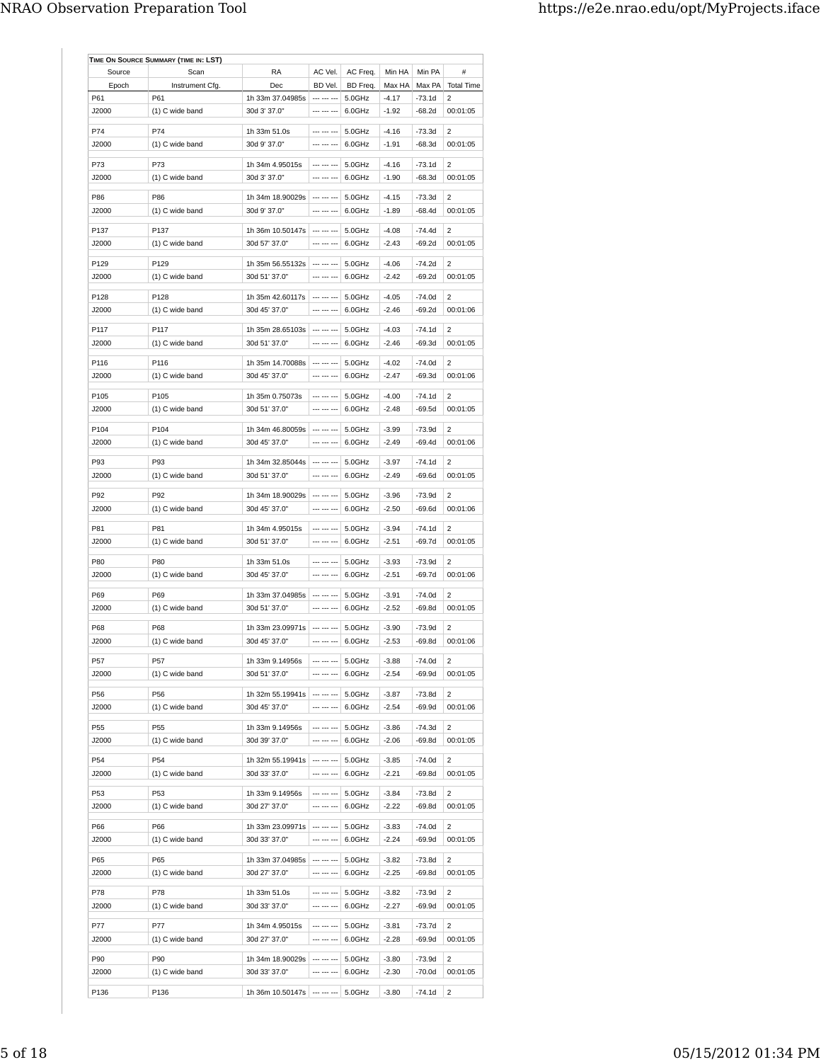| Source           | Scan            | RA                                | AC Vel.                    | AC Freq. | Min HA  | Min PA   | #                 |
|------------------|-----------------|-----------------------------------|----------------------------|----------|---------|----------|-------------------|
| Epoch            | Instrument Cfg. | Dec                               | BD Vel.                    | BD Freq. | Max HA  | Max PA   | <b>Total Time</b> |
| P61              | P61             | 1h 33m 37.04985s                  | --- --- ---                | 5.0GHz   | $-4.17$ | -73.1d   | 2                 |
| J2000            | (1) C wide band | 30d 3' 37.0"                      | --- --- ---                | 6.0GHz   | $-1.92$ | -68.2d   | 00:01:05          |
|                  |                 |                                   | --- --- ---                |          |         |          |                   |
| P74              | P74             | 1h 33m 51.0s                      | --- --- ---                | 5.0GHz   | $-4.16$ | $-73.3d$ | 2                 |
| J2000            | (1) C wide band | 30d 9' 37.0"                      |                            | 6.0GHz   | $-1.91$ | -68.3d   | 00:01:05          |
| P73              | P73             | 1h 34m 4.95015s                   | --- --- ---                | 5.0GHz   | $-4.16$ | -73.1d   | $\overline{2}$    |
| J2000            | (1) C wide band | 30d 3' 37.0"                      | --- --- ---                | 6.0GHz   | $-1.90$ | $-68.3d$ | 00:01:05          |
| P86              | P86             | 1h 34m 18.90029s                  | --- --- ---                | 5.0GHz   | $-4.15$ | $-73.3d$ | 2                 |
| J2000            | (1) C wide band | 30d 9' 37.0"                      | --- --- ---                | 6.0GHz   | $-1.89$ | $-68.4d$ | 00:01:05          |
|                  |                 |                                   |                            |          |         |          |                   |
| P137             | P137            | 1h 36m 10.50147s                  | --- --- ---                | 5.0GHz   | $-4.08$ | $-74.4d$ | 2                 |
| J2000            | (1) C wide band | 30d 57' 37.0"                     | --- --- ---                | 6.0GHz   | $-2.43$ | $-69.2d$ | 00:01:05          |
| P129             | P129            | 1h 35m 56.55132s                  | --- --- ---                | 5.0GHz   | $-4.06$ | $-74.2d$ | 2                 |
| J2000            | (1) C wide band | 30d 51' 37.0"                     | --- --- ---                | 6.0GHz   | $-2.42$ | $-69.2d$ | 00:01:05          |
|                  |                 |                                   |                            |          |         |          |                   |
| P128             | P128            | 1h 35m 42.60117s                  | $\cdots \cdots \cdots$     | 5.0GHz   | $-4.05$ | -74.0d   | 2                 |
| J2000            | (1) C wide band | 30d 45' 37.0"                     |                            | 6.0GHz   | $-2.46$ | $-69.2d$ | 00:01:06          |
| P117             | P117            | 1h 35m 28.65103s                  | --- --- ---                | 5.0GHz   | $-4.03$ | $-74.1d$ | 2                 |
| J2000            | (1) C wide band | 30d 51' 37.0"                     | --- --- ---                | 6.0GHz   | $-2.46$ | $-69.3d$ | 00:01:05          |
|                  |                 |                                   |                            |          |         |          |                   |
| P116             | P116            | 1h 35m 14.70088s                  | --- --- ---                | 5.0GHz   | $-4.02$ | $-74.0d$ | 2                 |
| J2000            | (1) C wide band | 30d 45' 37.0"                     |                            | 6.0GHz   | $-2.47$ | $-69.3d$ | 00:01:06          |
| P <sub>105</sub> | P105            | 1h 35m 0.75073s                   | --- --- ---                | 5.0GHz   | $-4.00$ | $-74.1d$ | 2                 |
| J2000            | (1) C wide band | 30d 51' 37.0"                     | --- --- ---                | 6.0GHz   | $-2.48$ | $-69.5d$ | 00:01:05          |
| P104             |                 |                                   | --- --- ---                |          |         |          | $\overline{2}$    |
|                  | P104            | 1h 34m 46.80059s                  | --- --- ---                | 5.0GHz   | $-3.99$ | $-73.9d$ |                   |
| J2000            | (1) C wide band | 30d 45' 37.0"                     |                            | 6.0GHz   | $-2.49$ | $-69.4d$ | 00:01:06          |
| P93              | P93             | 1h 34m 32.85044s                  | --- --- ---                | 5.0GHz   | $-3.97$ | -74.1d   | 2                 |
| J2000            | (1) C wide band | 30d 51' 37.0"                     | --- --- ---                | 6.0GHz   | $-2.49$ | $-69.6d$ | 00:01:05          |
| P92              | P92             | 1h 34m 18.90029s                  | --- --- ---                | 5.0GHz   | $-3.96$ | $-73.9d$ | 2                 |
| J2000            | (1) C wide band | 30d 45' 37.0"                     | --- --- ---                | 6.0GHz   | $-2.50$ | $-69.6d$ | 00:01:06          |
|                  |                 |                                   |                            |          |         |          |                   |
| P81              | P81             | 1h 34m 4.95015s                   | --- --- ---                | 5.0GHz   | $-3.94$ | -74.1d   | 2                 |
| J2000            | (1) C wide band | 30d 51' 37.0"                     | --- --- ---                | 6.0GHz   | $-2.51$ | $-69.7d$ | 00:01:05          |
| P80              | <b>P80</b>      | 1h 33m 51.0s                      | --- --- ---                | 5.0GHz   | $-3.93$ | $-73.9d$ | 2                 |
| J2000            | (1) C wide band | 30d 45' 37.0"                     | --- --- ---                | 6.0GHz   | $-2.51$ | -69.7d   | 00:01:06          |
|                  |                 |                                   |                            |          |         |          |                   |
| P69              | P69             | 1h 33m 37.04985s                  | --- --- ---                | 5.0GHz   | $-3.91$ | -74.0d   | 2                 |
| J2000            | (1) C wide band | 30d 51' 37.0"                     | --- --- ---                | 6.0GHz   | $-2.52$ | -69.8d   | 00:01:05          |
| P68              | P68             | 1h 33m 23.09971s                  | --- --- ---                | 5.0GHz   | $-3.90$ | $-73.9d$ | 2                 |
| J2000            | (1) C wide band | 30d 45' 37.0"                     | --- --- ---                | 6.0GHz   | $-2.53$ | -69.8d   | 00:01:06          |
|                  |                 |                                   |                            |          |         |          |                   |
| P57              | P57             | 1h 33m 9.14956s                   | $\cdots$ $\cdots$ $\cdots$ | 5.0GHz   | $-3.88$ | $-74.0d$ | $\overline{c}$    |
| J2000            | (1) C wide band | 30d 51' 37.0"                     |                            | 6.0GHz   | $-2.54$ | -69.9d   | 00:01:05          |
| P56              | P56             | 1h 32m 55.19941s                  | --- --- ---                | 5.0GHz   | $-3.87$ | $-73.8d$ | 2                 |
| J2000            | (1) C wide band | 30d 45' 37.0"                     | --- --- ---                | 6.0GHz   | $-2.54$ | -69.9d   | 00:01:06          |
|                  |                 |                                   |                            |          |         |          |                   |
| P55              | P55             | 1h 33m 9.14956s                   | --- --- ---                | 5.0GHz   | $-3.86$ | $-74.3d$ | 2                 |
| J2000            | (1) C wide band | 30d 39' 37.0"                     | --- --- ---                | 6.0GHz   | $-2.06$ | -69.8d   | 00:01:05          |
| P54              | P54             | 1h 32m 55.19941s                  | --- --- ---                | 5.0GHz   | $-3.85$ | $-74.0d$ | 2                 |
| J2000            | (1) C wide band | 30d 33' 37.0"                     | --- --- ---                | 6.0GHz   | $-2.21$ | -69.8d   | 00:01:05          |
|                  |                 |                                   |                            |          |         |          |                   |
| P53              | P53             | 1h 33m 9.14956s                   | --- --- ---                | 5.0GHz   | $-3.84$ | -73.8d   | 2                 |
| J2000            | (1) C wide band | 30d 27' 37.0"                     | --- --- ---                | 6.0GHz   | $-2.22$ | $-69.8d$ | 00:01:05          |
| P66              | P66             | 1h 33m 23.09971s                  | --- --- ---                | 5.0GHz   | $-3.83$ | $-74.0d$ | 2                 |
| J2000            | (1) C wide band | 30d 33' 37.0"                     | --- --- ---                | 6.0GHz   | $-2.24$ | -69.9d   | 00:01:05          |
|                  | P65             |                                   | --- --- ---                |          |         |          |                   |
| P65              |                 | 1h 33m 37.04985s<br>30d 27' 37.0" | --- --- ---                | 5.0GHz   | $-3.82$ | -73.8d   | 2<br>00:01:05     |
| J2000            | (1) C wide band |                                   |                            | 6.0GHz   | $-2.25$ | -69.8d   |                   |
| P78              | P78             | 1h 33m 51.0s                      | --- --- ---                | 5.0GHz   | $-3.82$ | -73.9d   | 2                 |
| J2000            | (1) C wide band | 30d 33' 37.0"                     | --- --- ---                | 6.0GHz   | $-2.27$ | -69.9d   | 00:01:05          |
|                  |                 |                                   |                            |          |         |          |                   |
| P77              | P77             | 1h 34m 4.95015s                   | --- --- ---                | 5.0GHz   | $-3.81$ | -73.7d   | 2                 |
| J2000            | (1) C wide band | 30d 27' 37.0"                     | --- --- ---                | 6.0GHz   | $-2.28$ | -69.9d   | 00:01:05          |
| P90              | P90             | 1h 34m 18.90029s                  | --- --- ---                | 5.0GHz   | $-3.80$ | $-73.9d$ | 2                 |
| J2000            | (1) C wide band | 30d 33' 37.0"                     | --- --- ---                | 6.0GHz   | $-2.30$ | -70.0d   | 00:01:05          |
|                  |                 |                                   |                            |          |         |          |                   |
| P136             | P136            | 1h 36m 10.50147s                  | --- --- ---                | 5.0GHz   | $-3.80$ | $-74.1d$ | $\overline{c}$    |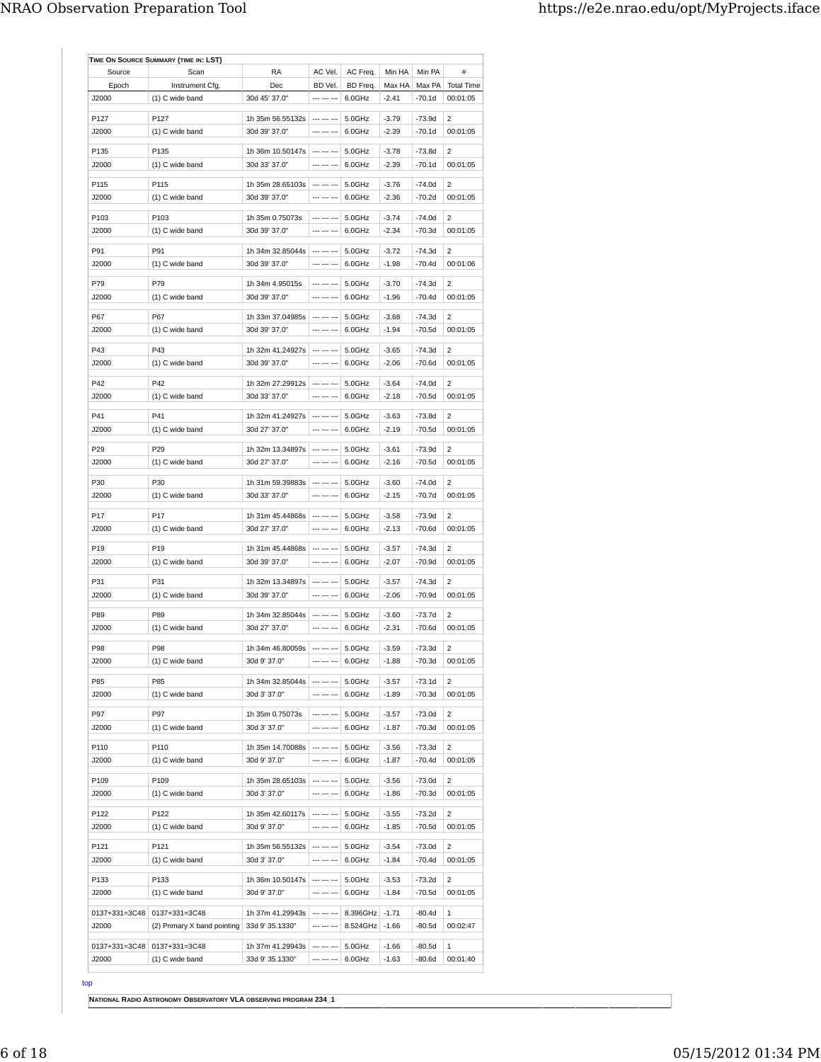| Source          | Scan                        | RA                                      | AC Vel.                    | AC Freq. | Min HA  | Min PA   | #                        |
|-----------------|-----------------------------|-----------------------------------------|----------------------------|----------|---------|----------|--------------------------|
| Epoch           | Instrument Cfg.             | Dec                                     | BD Vel.                    | BD Freq. | Max HA  | Max PA   | <b>Total Time</b>        |
| J2000           | (1) C wide band             | 30d 45' 37.0"                           | --- --- ---                | 6.0GHz   | $-2.41$ | $-70.1d$ | 00:01:05                 |
|                 |                             |                                         |                            |          |         |          |                          |
| P127            | P127                        | 1h 35m 56.55132s                        | --- --- ---                | 5.0GHz   | $-3.79$ | $-73.9d$ | 2                        |
| J2000           | (1) C wide band             | 30d 39' 37.0"                           | --- --- ---                | 6.0GHz   | $-2.39$ | $-70.1d$ | 00:01:05                 |
| P135            | P135                        | 1h 36m 10.50147s                        |                            | 5.0GHz   | $-3.78$ | -73.8d   | 2                        |
| J2000           | (1) C wide band             | 30d 33' 37.0"                           | --- --- ---                | 6.0GHz   | $-2.39$ | $-70.1d$ | 00:01:05                 |
| P115            | P115                        | 1h 35m 28.65103s                        |                            | 5.0GHz   | $-3.76$ | $-74.0d$ | 2                        |
| J2000           | (1) C wide band             | 30d 39' 37.0"                           | --- --- ---                | 6.0GHz   | $-2.36$ | $-70.2d$ | 00:01:05                 |
|                 |                             |                                         |                            |          |         |          |                          |
| P103            | P103                        | 1h 35m 0.75073s                         | --- --- ---                | 5.0GHz   | $-3.74$ | $-74.0d$ | 2                        |
| J2000           | $(1)$ C wide band           | 30d 39' 37.0"                           | --- --- ---                | 6.0GHz   | $-2.34$ | $-70.3d$ | 00:01:05                 |
| P91             | P91                         | 1h 34m 32.85044s                        | --- --- ---                | 5.0GHz   | $-3.72$ | $-74.3d$ | $\overline{\phantom{a}}$ |
| J2000           | (1) C wide band             | 30d 39' 37.0"                           | --- --- ---                | 6.0GHz   | $-1.98$ | $-70.4d$ | 00:01:06                 |
|                 |                             |                                         |                            |          |         |          |                          |
| P79             | P79                         | 1h 34m 4.95015s                         | --- --- ---                | 5.0GHz   | $-3.70$ | $-74.3d$ | $\overline{2}$           |
| J2000           | (1) C wide band             | 30d 39' 37.0"                           | --- --- ---                | 6.0GHz   | $-1.96$ | $-70.4d$ | 00:01:05                 |
| P67             | P67                         | 1h 33m 37.04985s                        | --- --- ---                | 5.0GHz   | $-3.68$ | $-74.3d$ | 2                        |
| J2000           | (1) C wide band             | 30d 39' 37.0"                           | --- --- ---                | 6.0GHz   | $-1.94$ | $-70.5d$ | 00:01:05                 |
|                 |                             |                                         |                            |          |         |          |                          |
| P43             | P43                         | 1h 32m 41.24927s                        | --- --- ---                | 5.0GHz   | $-3.65$ | $-74.3d$ | 2                        |
| J2000           | (1) C wide band             | 30d 39' 37.0"                           | <b>CONTINUES</b>           | 6.0GHz   | $-2.06$ | -70.6d   | 00:01:05                 |
| P42             | P42                         | 1h 32m 27.29912s                        | --- --- ---                | 5.0GHz   | $-3.64$ | $-74.0d$ | 2                        |
| J2000           | (1) C wide band             | 30d 33' 37.0"                           | --- --- ---                | 6.0GHz   | $-2.18$ | $-70.5d$ | 00:01:05                 |
|                 |                             |                                         |                            |          |         |          |                          |
| P41             | P41                         | 1h 32m 41.24927s                        | --- --- ---                | 5.0GHz   | $-3.63$ | $-73.8d$ | 2                        |
| J2000           | (1) C wide band             | 30d 27' 37.0"                           | --- --- ---                | 6.0GHz   | $-2.19$ | $-70.5d$ | 00:01:05                 |
| P29             | P <sub>29</sub>             | 1h 32m 13.34897s                        | --- --- ---                | 5.0GHz   | $-3.61$ | -73.9d   | 2                        |
| J2000           | (1) C wide band             | 30d 27' 37.0"                           | --- --- ---                | 6.0GHz   | $-2.16$ | $-70.5d$ | 00:01:05                 |
|                 |                             |                                         |                            |          |         |          |                          |
| P30             | P30                         | 1h 31m 59.39883s                        | --- --- ---<br>--- --- --- | 5.0GHz   | $-3.60$ | $-74.0d$ | 2                        |
| J2000           | (1) C wide band             | 30d 33' 37.0"                           |                            | 6.0GHz   | $-2.15$ | $-70.7d$ | 00:01:05                 |
| P17             | P17                         | 1h 31m 45.44868s                        |                            | 5.0GHz   | $-3.58$ | $-73.9d$ | 2                        |
| J2000           | (1) C wide band             | 30d 27' 37.0"                           | --- --- ---                | 6.0GHz   | $-2.13$ | $-70.6d$ | 00:01:05                 |
| P <sub>19</sub> | P19                         | 1h 31m 45.44868s                        | --- --- ---                | 5.0GHz   | $-3.57$ | $-74.3d$ | 2                        |
| J2000           | (1) C wide band             | 30d 39' 37.0"                           | --- --- ---                | 6.0GHz   | $-2.07$ | -70.9d   | 00:01:05                 |
|                 |                             |                                         |                            |          |         |          |                          |
| P31             | P31                         | 1h 32m 13.34897s                        |                            | 5.0GHz   | $-3.57$ | $-74.3d$ | 2                        |
| J2000           | (1) C wide band             | 30d 39' 37.0"                           | --- --- ---                | 6.0GHz   | $-2.06$ | $-70.9d$ | 00:01:05                 |
| P89             | P89                         | 1h 34m 32.85044s                        | $--- --- --- -$            | 5.0GHz   | $-3.60$ | $-73.7d$ | 2                        |
| J2000           | (1) C wide band             | 30d 27' 37.0"                           | --- --- ---                | 6.0GHz   | $-2.31$ | $-70.6d$ | 00:01:05                 |
|                 |                             |                                         |                            |          |         |          |                          |
| P98             | P98                         | 1h 34m 46.80059s   --- --- ---   5.0GHz |                            |          | $-3.59$ | $-73.3d$ | $\overline{2}$           |
| J2000           | (1) C wide band             | 30d 9' 37.0"                            | --- --- ---                | 6.0GHz   | $-1.88$ | -70.3d   | 00:01:05                 |
| P85             | P85                         | 1h 34m 32.85044s                        |                            | 5.0GHz   | $-3.57$ | -73.1d   | 2                        |
| J2000           | (1) C wide band             | 30d 3' 37.0"                            | --- --- ---                | 6.0GHz   | $-1.89$ | $-70.3d$ | 00:01:05                 |
|                 |                             |                                         |                            |          |         |          |                          |
| P97             | P97                         | 1h 35m 0.75073s                         | --- --- ---                | 5.0GHz   | $-3.57$ | $-73.0d$ | 2                        |
| J2000           | (1) C wide band             | 30d 3' 37.0"                            | --- --- ---                | 6.0GHz   | $-1.87$ | $-70.3d$ | 00:01:05                 |
| P110            | P110                        | 1h 35m 14.70088s                        | $\cdots$ $\cdots$ $\cdots$ | 5.0GHz   | $-3.56$ | -73.3d   | 2                        |
| J2000           | (1) C wide band             | 30d 9' 37.0"                            | --- --- ---                | 6.0GHz   | $-1.87$ | $-70.4d$ | 00:01:05                 |
|                 |                             |                                         |                            |          |         |          |                          |
| P109            | P109                        | 1h 35m 28.65103s                        |                            | 5.0GHz   | $-3.56$ | $-73.0d$ | 2                        |
| J2000           | (1) C wide band             | 30d 3' 37.0"                            | --- --- ---                | 6.0GHz   | $-1.86$ | -70.3d   | 00:01:05                 |
| P122            | P122                        | 1h 35m 42.60117s                        | $\cdots$ $\cdots$ $\cdots$ | 5.0GHz   | $-3.55$ | -73.2d   | 2                        |
| J2000           | (1) C wide band             | 30d 9' 37.0"                            | --- --- ---                | 6.0GHz   | $-1.85$ | -70.5d   | 00:01:05                 |
|                 |                             |                                         |                            |          |         |          |                          |
| P121            | P121                        | 1h 35m 56.55132s                        | --- --- ---                | 5.0GHz   | $-3.54$ | $-73.0d$ | 2                        |
| J2000           | (1) C wide band             | 30d 3' 37.0"                            | --- --- ---                | 6.0GHz   | $-1.84$ | -70.4d   | 00:01:05                 |
| P133            | P133                        | 1h 36m 10.50147s                        | --- --- ---                | 5.0GHz   | $-3.53$ | -73.2d   | 2                        |
| J2000           | (1) C wide band             | 30d 9' 37.0"                            | --- --- ---                | 6.0GHz   | $-1.84$ | $-70.5d$ | 00:01:05                 |
|                 |                             |                                         |                            |          |         |          |                          |
|                 | 0137+331=3C48 0137+331=3C48 | 1h 37m 41.29943s                        | --- --- ---                | 8.396GHz | $-1.71$ | $-80.4d$ | 1                        |
| J2000           | (2) Primary X band pointing | 33d 9' 35.1330"                         | --- --- ---                | 8.524GHz | $-1.66$ | -80.5d   | 00:02:47                 |
|                 | 0137+331=3C48 0137+331=3C48 | 1h 37m 41.29943s                        | --- --- ---                | 5.0GHz   | $-1.66$ | $-80.5d$ | 1                        |
| J2000           | (1) C wide band             | 33d 9' 35.1330"                         | --- --- ---                | 6.0GHz   | $-1.63$ | $-80.6d$ | 00:01:40                 |
|                 |                             |                                         |                            |          |         |          |                          |

top

**NATIONAL RADIO ASTRONOMY OBSERVATORY VLA OBSERVING PROGRAM 234\_1**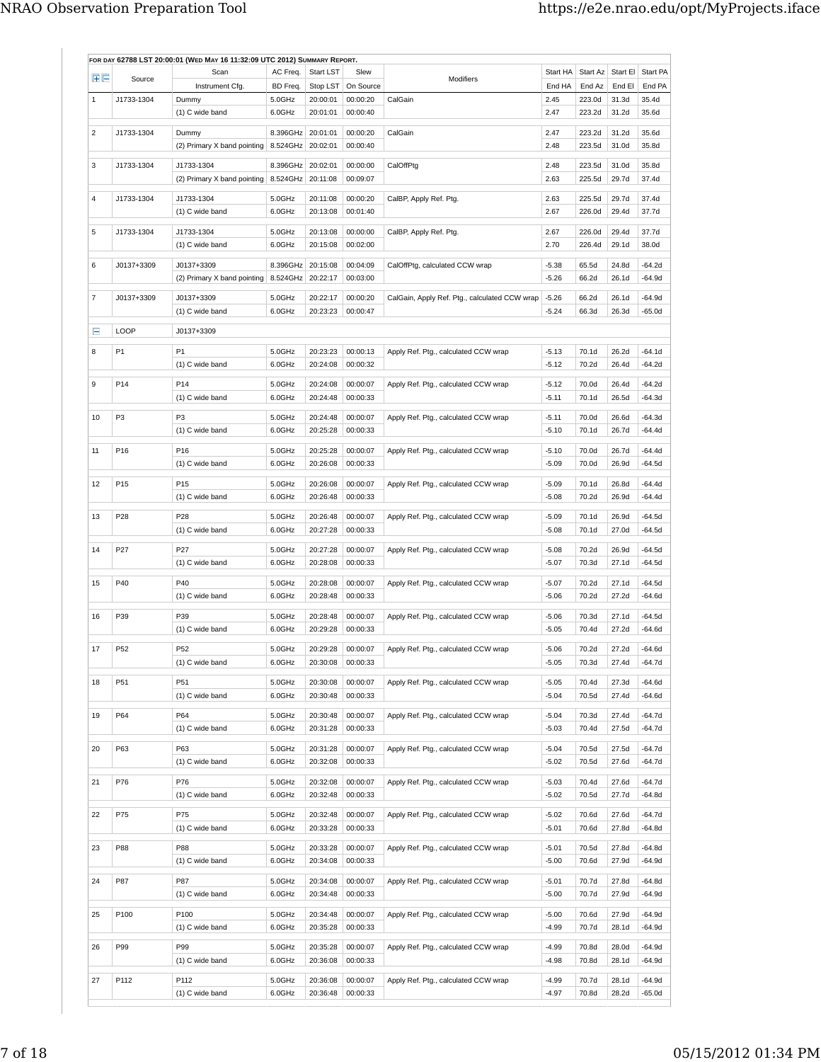|    |                 | FOR DAY 62788 LST 20:00:01 (WED MAY 16 11:32:09 UTC 2012) SUMMARY REPORT. |                                        |                      |                      |                                               |                    |                  |                |                    |
|----|-----------------|---------------------------------------------------------------------------|----------------------------------------|----------------------|----------------------|-----------------------------------------------|--------------------|------------------|----------------|--------------------|
| 田田 | Source          | Scan                                                                      | AC Freq.                               | Start LST            | Slew                 | Modifiers                                     | Start HA           | Start Az         | Start El       | Start PA           |
|    |                 | Instrument Cfg.                                                           | BD Freq.                               | Stop LST             | On Source            |                                               | End HA             | End Az           | End El         | End PA             |
| 1  | J1733-1304      | Dummy<br>(1) C wide band                                                  | 5.0GHz<br>6.0GHz                       | 20:00:01<br>20:01:01 | 00:00:20<br>00:00:40 | CalGain                                       | 2.45<br>2.47       | 223.0d<br>223.2d | 31.3d<br>31.2d | 35.4d<br>35.6d     |
| 2  | J1733-1304      | Dummy                                                                     | 8.396GHz 20:01:01                      |                      | 00:00:20             | CalGain                                       | 2.47               | 223.2d           | 31.2d          | 35.6d              |
|    |                 | (2) Primary X band pointing   8.524GHz   20:02:01                         |                                        |                      | 00:00:40             |                                               | 2.48               | 223.5d           | 31.0d          | 35.8d              |
| 3  | J1733-1304      | J1733-1304<br>(2) Primary X band pointing                                 | 8.396GHz 20:02:01<br>8.524GHz 20:11:08 |                      | 00:00:00<br>00:09:07 | CalOffPtg                                     | 2.48<br>2.63       | 223.5d<br>225.5d | 31.0d<br>29.7d | 35.8d<br>37.4d     |
|    |                 |                                                                           |                                        |                      |                      |                                               |                    |                  |                |                    |
| 4  | J1733-1304      | J1733-1304<br>(1) C wide band                                             | 5.0GHz<br>6.0GHz                       | 20:11:08<br>20:13:08 | 00:00:20<br>00:01:40 | CalBP, Apply Ref. Ptg.                        | 2.63<br>2.67       | 225.5d<br>226.0d | 29.7d<br>29.4d | 37.4d<br>37.7d     |
| 5  | J1733-1304      | J1733-1304                                                                | 5.0GHz                                 | 20:13:08             | 00:00:00             | CalBP, Apply Ref. Ptg.                        | 2.67               | 226.0d           | 29.4d          | 37.7d              |
|    |                 | (1) C wide band                                                           | 6.0GHz                                 | 20:15:08             | 00:02:00             |                                               | 2.70               | 226.4d           | 29.1d          | 38.0d              |
| 6  | J0137+3309      | J0137+3309                                                                | 8.396GHz                               | 20:15:08             | 00:04:09             | CalOffPtg, calculated CCW wrap                | $-5.38$            | 65.5d            | 24.8d          | $-64.2d$           |
|    |                 | (2) Primary X band pointing                                               | 8.524GHz 20:22:17                      |                      | 00:03:00             |                                               | $-5.26$            | 66.2d            | 26.1d          | $-64.9d$           |
| 7  | J0137+3309      | J0137+3309                                                                | 5.0GHz                                 | 20:22:17             | 00:00:20             | CalGain, Apply Ref. Ptg., calculated CCW wrap | $-5.26$            | 66.2d            | 26.1d          | $-64.9d$           |
|    |                 | (1) C wide band                                                           | 6.0GHz                                 | 20:23:23             | 00:00:47             |                                               | $-5.24$            | 66.3d            | 26.3d          | -65.0d             |
| Ε  | LOOP            | J0137+3309                                                                |                                        |                      |                      |                                               |                    |                  |                |                    |
| 8  | P1              | P <sub>1</sub>                                                            | 5.0GHz                                 | 20:23:23             | 00:00:13             | Apply Ref. Ptg., calculated CCW wrap          | $-5.13$            | 70.1d            | 26.2d          | $-64.1d$           |
|    |                 | (1) C wide band                                                           | 6.0GHz                                 | 20:24:08             | 00:00:32             |                                               | -5.12              | 70.2d            | 26.4d          | $-64.2d$           |
| 9  | P14             | P14                                                                       | 5.0GHz                                 | 20:24:08             | 00:00:07             | Apply Ref. Ptg., calculated CCW wrap          | $-5.12$            | 70.0d            | 26.4d          | $-64.2d$           |
|    |                 | (1) C wide band                                                           | 6.0GHz                                 | 20:24:48             | 00:00:33             |                                               | $-5.11$            | 70.1d            | 26.5d          | $-64.3d$           |
|    |                 |                                                                           |                                        |                      |                      |                                               |                    |                  |                |                    |
| 10 | P3              | P3<br>(1) C wide band                                                     | 5.0GHz<br>6.0GHz                       | 20:24:48<br>20:25:28 | 00:00:07<br>00:00:33 | Apply Ref. Ptg., calculated CCW wrap          | $-5.11$<br>$-5.10$ | 70.0d<br>70.1d   | 26.6d<br>26.7d | -64.3d<br>-64.4d   |
|    |                 |                                                                           |                                        |                      |                      |                                               |                    |                  |                |                    |
| 11 | P <sub>16</sub> | P16                                                                       | 5.0GHz                                 | 20:25:28             | 00:00:07             | Apply Ref. Ptg., calculated CCW wrap          | $-5.10$            | 70.0d            | 26.7d          | -64.4d             |
|    |                 | (1) C wide band                                                           | 6.0GHz                                 | 20:26:08             | 00:00:33             |                                               | $-5.09$            | 70.0d            | 26.9d          | $-64.5d$           |
| 12 | P <sub>15</sub> | P <sub>15</sub>                                                           | 5.0GHz                                 | 20:26:08             | 00:00:07             | Apply Ref. Ptg., calculated CCW wrap          | $-5.09$            | 70.1d            | 26.8d          | $-64.4d$           |
|    |                 | (1) C wide band                                                           | 6.0GHz                                 | 20:26:48             | 00:00:33             |                                               | $-5.08$            | 70.2d            | 26.9d          | -64.4d             |
| 13 | P28             | P <sub>28</sub><br>(1) C wide band                                        | 5.0GHz<br>6.0GHz                       | 20:26:48<br>20:27:28 | 00:00:07<br>00:00:33 | Apply Ref. Ptg., calculated CCW wrap          | $-5.09$<br>$-5.08$ | 70.1d<br>70.1d   | 26.9d<br>27.0d | -64.5d<br>$-64.5d$ |
|    |                 |                                                                           |                                        |                      |                      |                                               |                    |                  |                |                    |
| 14 | P <sub>27</sub> | P27<br>(1) C wide band                                                    | 5.0GHz<br>6.0GHz                       | 20:27:28<br>20:28:08 | 00:00:07<br>00:00:33 | Apply Ref. Ptg., calculated CCW wrap          | $-5.08$<br>-5.07   | 70.2d<br>70.3d   | 26.9d<br>27.1d | $-64.5d$<br>-64.5d |
|    |                 |                                                                           |                                        |                      |                      |                                               |                    |                  |                |                    |
| 15 | P40             | P40                                                                       | 5.0GHz<br>6.0GHz                       | 20:28:08             | 00:00:07             | Apply Ref. Ptg., calculated CCW wrap          | -5.07              | 70.2d            | 27.1d          | -64.5d<br>$-64.6d$ |
|    |                 | (1) C wide band                                                           |                                        | 20:28:48             | 00:00:33             |                                               | $-5.06$            | 70.2d            | 27.2d          |                    |
| 16 | P39             | P39                                                                       | 5.0GHz                                 | 20:28:48             | 00:00:07             | Apply Ref. Ptg., calculated CCW wrap          | $-5.06$            | 70.3d            | 27.1d          | $-64.5d$           |
|    |                 | (1) C wide band                                                           | 6.0GHz                                 | 20:29:28             | 00:00:33             |                                               | $-5.05$            | 70.4d            | 27.2d          | -64.6d             |
| 17 | P <sub>52</sub> | P52                                                                       | 5.0GHz                                 | 20:29:28             | 00:00:07             | Apply Ref. Ptg., calculated CCW wrap          | $-5.06$            | 70.2d            | 27.2d          | $-64.6d$           |
|    |                 | (1) C wide band                                                           | 6.0GHz                                 | 20:30:08             | 00:00:33             |                                               | -5.05              | 70.3d            | 27.4d          | $-64.7d$           |
| 18 | P51             | P51                                                                       | 5.0GHz                                 | 20:30:08             | 00:00:07             | Apply Ref. Ptg., calculated CCW wrap          | $-5.05$            | 70.4d            | 27.3d          | $-64.6d$           |
|    |                 | (1) C wide band                                                           | 6.0GHz                                 | 20:30:48             | 00:00:33             |                                               | $-5.04$            | 70.5d            | 27.4d          | $-64.6d$           |
| 19 | P64             | P64                                                                       | 5.0GHz                                 | 20:30:48             | 00:00:07             | Apply Ref. Ptg., calculated CCW wrap          | $-5.04$            | 70.3d            | 27.4d          | $-64.7d$           |
|    |                 | (1) C wide band                                                           | 6.0GHz                                 | 20:31:28             | 00:00:33             |                                               | $-5.03$            | 70.4d            | 27.5d          | $-64.7d$           |
| 20 | P63             | P63                                                                       | 5.0GHz                                 | 20:31:28             | 00:00:07             | Apply Ref. Ptg., calculated CCW wrap          | $-5.04$            | 70.5d            | 27.5d          | $-64.7d$           |
|    |                 | (1) C wide band                                                           | 6.0GHz                                 | 20:32:08             | 00:00:33             |                                               | $-5.02$            | 70.5d            | 27.6d          | $-64.7d$           |
| 21 | P76             | P76                                                                       | 5.0GHz                                 | 20:32:08             | 00:00:07             |                                               | $-5.03$            | 70.4d            | 27.6d          | -64.7d             |
|    |                 | (1) C wide band                                                           | 6.0GHz                                 | 20:32:48             | 00:00:33             | Apply Ref. Ptg., calculated CCW wrap          | -5.02              | 70.5d            | 27.7d          | $-64.8d$           |
| 22 | P75             | P75                                                                       | 5.0GHz                                 | 20:32:48             | 00:00:07             | Apply Ref. Ptg., calculated CCW wrap          | $-5.02$            | 70.6d            | 27.6d          | $-64.7d$           |
|    |                 | (1) C wide band                                                           | 6.0GHz                                 | 20:33:28             | 00:00:33             |                                               | $-5.01$            | 70.6d            | 27.8d          | $-64.8d$           |
| 23 | P88             | P88                                                                       | 5.0GHz                                 | 20:33:28             | 00:00:07             | Apply Ref. Ptg., calculated CCW wrap          | $-5.01$            | 70.5d            | 27.8d          | $-64.8d$           |
|    |                 | (1) C wide band                                                           | 6.0GHz                                 | 20:34:08             | 00:00:33             |                                               | $-5.00$            | 70.6d            | 27.9d          | -64.9d             |
|    |                 |                                                                           |                                        |                      |                      |                                               |                    |                  |                |                    |
| 24 | P87             | P87<br>(1) C wide band                                                    | 5.0GHz<br>6.0GHz                       | 20:34:08<br>20:34:48 | 00:00:07<br>00:00:33 | Apply Ref. Ptg., calculated CCW wrap          | $-5.01$<br>$-5.00$ | 70.7d<br>70.7d   | 27.8d<br>27.9d | $-64.8d$<br>-64.9d |
| 25 | P100            | P100                                                                      | 5.0GHz                                 | 20:34:48             | 00:00:07             | Apply Ref. Ptg., calculated CCW wrap          | $-5.00$            | 70.6d            | 27.9d          | -64.9d             |
|    |                 | (1) C wide band                                                           | 6.0GHz                                 | 20:35:28             | 00:00:33             |                                               | $-4.99$            | 70.7d            | 28.1d          | -64.9d             |
| 26 | P99             | P99                                                                       | 5.0GHz                                 | 20:35:28             | 00:00:07             | Apply Ref. Ptg., calculated CCW wrap          | $-4.99$            | 70.8d            | 28.0d          | -64.9d             |
|    |                 | (1) C wide band                                                           | 6.0GHz                                 | 20:36:08             | 00:00:33             |                                               | $-4.98$            | 70.8d            | 28.1d          | -64.9d             |
|    |                 |                                                                           |                                        |                      |                      |                                               |                    |                  |                |                    |
| 27 | P112            | P112<br>(1) C wide band                                                   | 5.0GHz<br>6.0GHz                       | 20:36:08<br>20:36:48 | 00:00:07<br>00:00:33 | Apply Ref. Ptg., calculated CCW wrap          | $-4.99$<br>$-4.97$ | 70.7d<br>70.8d   | 28.1d<br>28.2d | -64.9d<br>-65.0d   |
|    |                 |                                                                           |                                        |                      |                      |                                               |                    |                  |                |                    |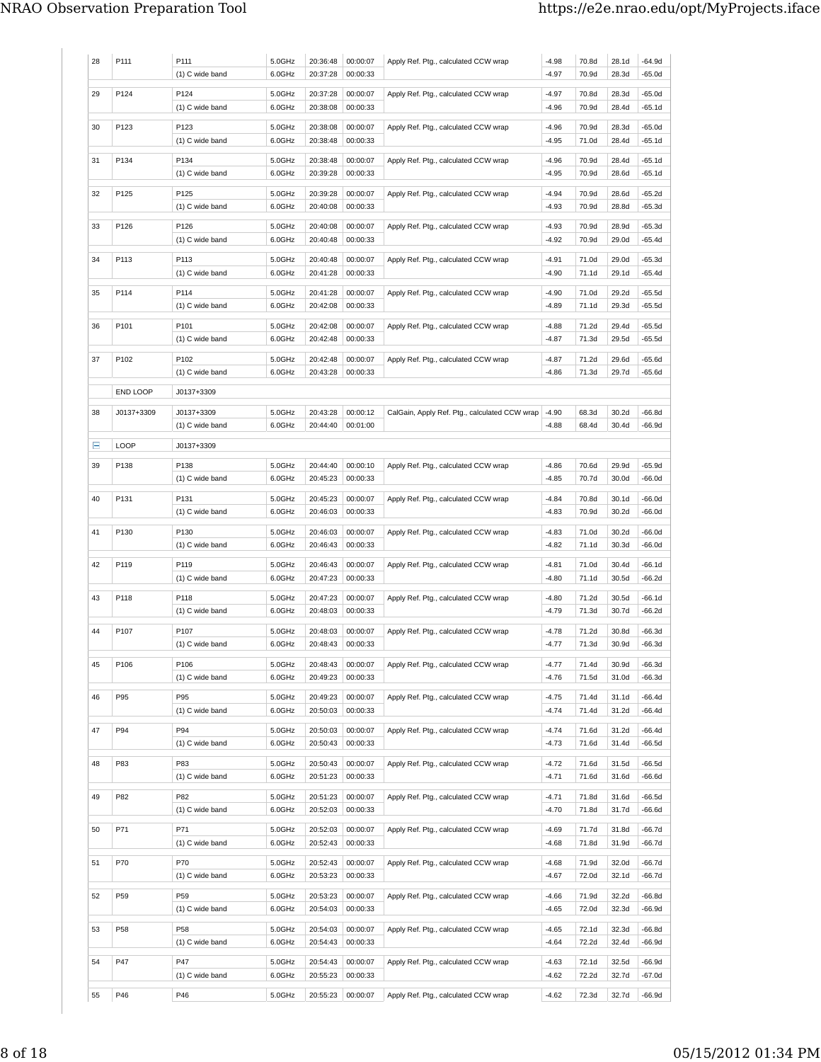| 28 | P111            | P111<br>(1) C wide band       | 5.0GHz<br>6.0GHz | 20:36:48<br>20:37:28 | 00:00:07<br>00:00:33 | Apply Ref. Ptg., calculated CCW wrap          | $-4.98$<br>$-4.97$ | 70.8d<br>70.9d | 28.1d<br>28.3d | -64.9d<br>-65.0d     |
|----|-----------------|-------------------------------|------------------|----------------------|----------------------|-----------------------------------------------|--------------------|----------------|----------------|----------------------|
| 29 | P124            | P124<br>(1) C wide band       | 5.0GHz<br>6.0GHz | 20:37:28<br>20:38:08 | 00:00:07<br>00:00:33 | Apply Ref. Ptg., calculated CCW wrap          | $-4.97$<br>$-4.96$ | 70.8d<br>70.9d | 28.3d<br>28.4d | -65.0d<br>-65.1d     |
| 30 | P123            | P123<br>(1) C wide band       | 5.0GHz<br>6.0GHz | 20:38:08<br>20:38:48 | 00:00:07<br>00:00:33 | Apply Ref. Ptg., calculated CCW wrap          | $-4.96$<br>$-4.95$ | 70.9d<br>71.0d | 28.3d<br>28.4d | -65.0d<br>$-65.1d$   |
| 31 | P134            | P134<br>(1) C wide band       | 5.0GHz<br>6.0GHz | 20:38:48<br>20:39:28 | 00:00:07<br>00:00:33 | Apply Ref. Ptg., calculated CCW wrap          | $-4.96$<br>-4.95   | 70.9d<br>70.9d | 28.4d<br>28.6d | $-65.1d$<br>-65.1d   |
| 32 | P125            | P125<br>(1) C wide band       | 5.0GHz<br>6.0GHz | 20:39:28<br>20:40:08 | 00:00:07<br>00:00:33 | Apply Ref. Ptg., calculated CCW wrap          | $-4.94$<br>$-4.93$ | 70.9d<br>70.9d | 28.6d<br>28.8d | -65.2d<br>-65.3d     |
| 33 | P126            | P126<br>(1) C wide band       | 5.0GHz<br>6.0GHz | 20:40:08<br>20:40:48 | 00:00:07<br>00:00:33 | Apply Ref. Ptg., calculated CCW wrap          | $-4.93$<br>$-4.92$ | 70.9d<br>70.9d | 28.9d<br>29.0d | $-65.3d$<br>-65.4d   |
| 34 | P113            | P113<br>(1) C wide band       | 5.0GHz<br>6.0GHz | 20:40:48<br>20:41:28 | 00:00:07<br>00:00:33 | Apply Ref. Ptg., calculated CCW wrap          | -4.91<br>$-4.90$   | 71.0d<br>71.1d | 29.0d<br>29.1d | -65.3d<br>$-65.4d$   |
| 35 | P114            | P114<br>(1) C wide band       | 5.0GHz<br>6.0GHz | 20:41:28<br>20:42:08 | 00:00:07<br>00:00:33 | Apply Ref. Ptg., calculated CCW wrap          | $-4.90$<br>-4.89   | 71.0d<br>71.1d | 29.2d<br>29.3d | $-65.5d$<br>-65.5d   |
| 36 | P101            | P101<br>(1) C wide band       | 5.0GHz<br>6.0GHz | 20:42:08<br>20:42:48 | 00:00:07<br>00:00:33 | Apply Ref. Ptg., calculated CCW wrap          | $-4.88$<br>$-4.87$ | 71.2d<br>71.3d | 29.4d<br>29.5d | -65.5d<br>$-65.5d$   |
| 37 | P102            | P102<br>(1) C wide band       | 5.0GHz<br>6.0GHz | 20:42:48<br>20:43:28 | 00:00:07<br>00:00:33 | Apply Ref. Ptg., calculated CCW wrap          | $-4.87$<br>$-4.86$ | 71.2d<br>71.3d | 29.6d<br>29.7d | $-65.6d$<br>-65.6d   |
|    | END LOOP        | J0137+3309                    |                  |                      |                      |                                               |                    |                |                |                      |
| 38 | J0137+3309      | J0137+3309<br>(1) C wide band | 5.0GHz<br>6.0GHz | 20:43:28<br>20:44:40 | 00:00:12<br>00:01:00 | CalGain, Apply Ref. Ptg., calculated CCW wrap | $-4.90$<br>$-4.88$ | 68.3d<br>68.4d | 30.2d<br>30.4d | -66.8d<br>-66.9d     |
| Ξ  | <b>LOOP</b>     | J0137+3309                    |                  |                      |                      |                                               |                    |                |                |                      |
| 39 | P138            | P138<br>(1) C wide band       | 5.0GHz<br>6.0GHz | 20:44:40<br>20:45:23 | 00:00:10<br>00:00:33 | Apply Ref. Ptg., calculated CCW wrap          | $-4.86$<br>$-4.85$ | 70.6d<br>70.7d | 29.9d<br>30.0d | -65.9d<br>-66.0d     |
| 40 | P131            | P131<br>(1) C wide band       | 5.0GHz<br>6.0GHz | 20:45:23<br>20:46:03 | 00:00:07<br>00:00:33 | Apply Ref. Ptg., calculated CCW wrap          | $-4.84$<br>$-4.83$ | 70.8d<br>70.9d | 30.1d<br>30.2d | -66.0d<br>-66.0d     |
| 41 | P130            | P130<br>(1) C wide band       | 5.0GHz<br>6.0GHz | 20:46:03<br>20:46:43 | 00:00:07<br>00:00:33 | Apply Ref. Ptg., calculated CCW wrap          | $-4.83$<br>$-4.82$ | 71.0d<br>71.1d | 30.2d<br>30.3d | -66.0d<br>-66.0d     |
| 42 | P119            | P119<br>(1) C wide band       | 5.0GHz<br>6.0GHz | 20:46:43<br>20:47:23 | 00:00:07<br>00:00:33 | Apply Ref. Ptg., calculated CCW wrap          | -4.81<br>$-4.80$   | 71.0d<br>71.1d | 30.4d<br>30.5d | -66.1d<br>-66.2d     |
| 43 | P118            | P118<br>(1) C wide band       | 5.0GHz<br>6.0GHz | 20:47:23<br>20:48:03 | 00:00:07<br>00:00:33 | Apply Ref. Ptg., calculated CCW wrap          | $-4.80$<br>$-4.79$ | 71.2d<br>71.3d | 30.5d<br>30.7d | -66.1d<br>$-66.2d$   |
| 44 | P107            | P107<br>(1) C wide band       | 5.0GHz<br>6.0GHz | 20:48:03<br>20:48:43 | 00:00:07<br>00:00:33 | Apply Ref. Ptg., calculated CCW wrap          | $-4.78$<br>$-4.77$ | 71.2d<br>71.3d | 30.8d<br>30.9d | -66.3d<br>$-66.3d$   |
| 45 | P106            | P106<br>(1) C wide band       | 5.0GHz<br>6.0GHz | 20:48:43<br>20:49:23 | 00:00:07<br>00:00:33 | Apply Ref. Ptg., calculated CCW wrap          | $-4.77$<br>$-4.76$ | 71.4d<br>71.5d | 30.9d<br>31.0d | -66.3d<br>-66.3d     |
| 46 | P95             | P95<br>(1) C wide band        | 5.0GHz<br>6.0GHz | 20:49:23<br>20:50:03 | 00:00:07<br>00:00:33 | Apply Ref. Ptg., calculated CCW wrap          | $-4.75$<br>$-4.74$ | 71.4d<br>71.4d | 31.1d<br>31.2d | $-66.4d$<br>-66.4d   |
| 47 | P94             | P94<br>(1) C wide band        | 5.0GHz<br>6.0GHz | 20:50:03<br>20:50:43 | 00:00:07<br>00:00:33 | Apply Ref. Ptg., calculated CCW wrap          | $-4.74$<br>$-4.73$ | 71.6d<br>71.6d | 31.2d<br>31.4d | $-66.4d$<br>$-66.5d$ |
| 48 | P83             | P83<br>(1) C wide band        | 5.0GHz<br>6.0GHz | 20:50:43<br>20:51:23 | 00:00:07<br>00:00:33 | Apply Ref. Ptg., calculated CCW wrap          | $-4.72$<br>$-4.71$ | 71.6d<br>71.6d | 31.5d<br>31.6d | $-66.5d$<br>-66.6d   |
| 49 | P82             | P82<br>(1) C wide band        | 5.0GHz<br>6.0GHz | 20:51:23<br>20:52:03 | 00:00:07<br>00:00:33 | Apply Ref. Ptg., calculated CCW wrap          | -4.71<br>$-4.70$   | 71.8d<br>71.8d | 31.6d<br>31.7d | $-66.5d$<br>$-66.6d$ |
| 50 | P71             | P71<br>(1) C wide band        | 5.0GHz<br>6.0GHz | 20:52:03<br>20:52:43 | 00:00:07<br>00:00:33 | Apply Ref. Ptg., calculated CCW wrap          | $-4.69$<br>$-4.68$ | 71.7d<br>71.8d | 31.8d<br>31.9d | -66.7d<br>-66.7d     |
| 51 | P70             | P70<br>(1) C wide band        | 5.0GHz<br>6.0GHz | 20:52:43<br>20:53:23 | 00:00:07<br>00:00:33 | Apply Ref. Ptg., calculated CCW wrap          | -4.68<br>$-4.67$   | 71.9d<br>72.0d | 32.0d<br>32.1d | -66.7d<br>-66.7d     |
| 52 | P59             | P59<br>(1) C wide band        | 5.0GHz<br>6.0GHz | 20:53:23<br>20:54:03 | 00:00:07<br>00:00:33 | Apply Ref. Ptg., calculated CCW wrap          | $-4.66$<br>$-4.65$ | 71.9d<br>72.0d | 32.2d<br>32.3d | $-66.8d$<br>-66.9d   |
|    |                 |                               |                  |                      |                      | Apply Ref. Ptg., calculated CCW wrap          |                    |                |                |                      |
| 53 | P <sub>58</sub> | P58<br>(1) C wide band        | 5.0GHz<br>6.0GHz | 20:54:03<br>20:54:43 | 00:00:07<br>00:00:33 |                                               | $-4.65$<br>$-4.64$ | 72.1d<br>72.2d | 32.3d<br>32.4d | -66.8d<br>-66.9d     |
| 54 | P47             | P47<br>(1) C wide band        | 5.0GHz<br>6.0GHz | 20:54:43<br>20:55:23 | 00:00:07<br>00:00:33 | Apply Ref. Ptg., calculated CCW wrap          | $-4.63$<br>$-4.62$ | 72.1d<br>72.2d | 32.5d<br>32.7d | -66.9d<br>$-67.0d$   |
| 55 | P46             | P46                           | 5.0GHz           | 20:55:23             | 00:00:07             | Apply Ref. Ptg., calculated CCW wrap          | $-4.62$            | 72.3d          | 32.7d          | $-66.9d$             |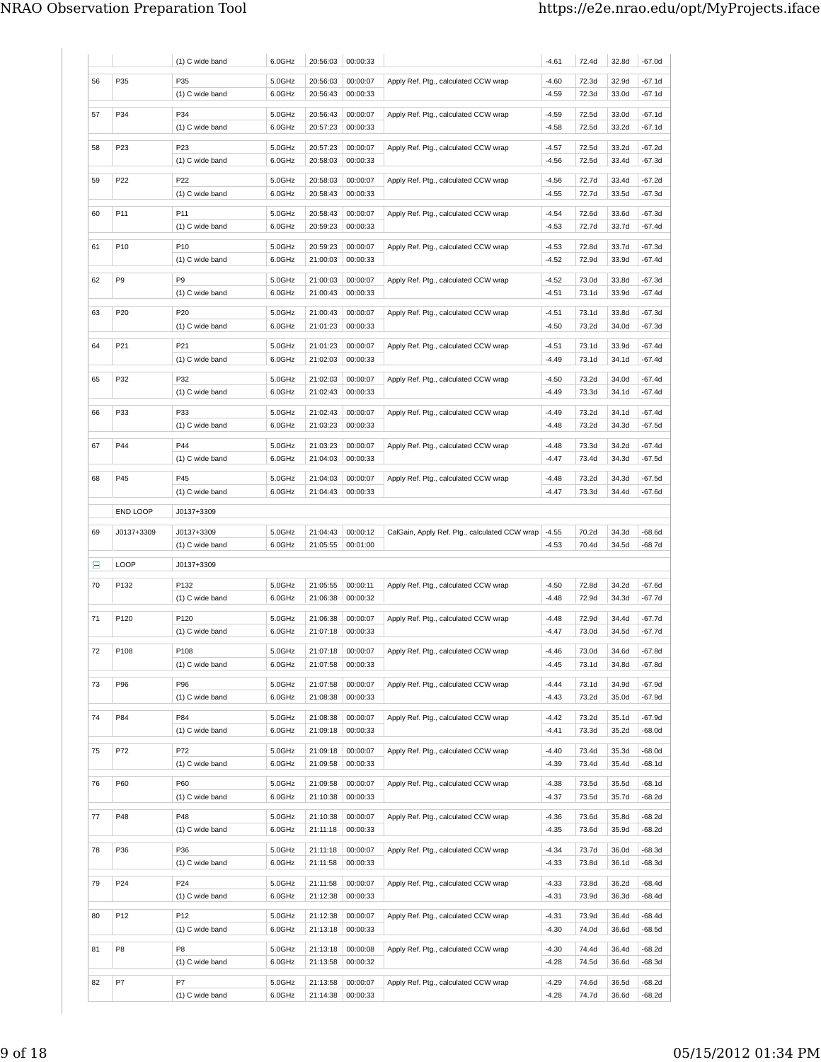|    |                 | (1) C wide band         | 6.0GHz           | 20:56:03             | 00:00:33             |                                                            | $-4.61$            | 72.4d          | 32.8d          | $-67.0d$           |
|----|-----------------|-------------------------|------------------|----------------------|----------------------|------------------------------------------------------------|--------------------|----------------|----------------|--------------------|
| 56 | P35             | P35                     | 5.0GHz           | 20:56:03             | 00:00:07             | Apply Ref. Ptg., calculated CCW wrap                       | $-4.60$            | 72.3d          | 32.9d          | $-67.1d$           |
|    |                 | (1) C wide band         | 6.0GHz           | 20:56:43             | 00:00:33             |                                                            | $-4.59$            | 72.3d          | 33.0d          | $-67.1d$           |
|    |                 |                         |                  |                      |                      |                                                            |                    |                |                |                    |
| 57 | P34             | P34<br>(1) C wide band  | 5.0GHz<br>6.0GHz | 20:56:43<br>20:57:23 | 00:00:07<br>00:00:33 | Apply Ref. Ptg., calculated CCW wrap                       | $-4.59$<br>$-4.58$ | 72.5d<br>72.5d | 33.0d<br>33.2d | -67.1d<br>$-67.1d$ |
|    |                 |                         |                  |                      |                      |                                                            |                    |                |                |                    |
| 58 | P <sub>23</sub> | P <sub>23</sub>         | 5.0GHz           | 20:57:23             | 00:00:07             | Apply Ref. Ptg., calculated CCW wrap                       | $-4.57$            | 72.5d          | 33.2d          | $-67.2d$           |
|    |                 | (1) C wide band         | 6.0GHz           | 20:58:03             | 00:00:33             |                                                            | $-4.56$            | 72.5d          | 33.4d          | $-67.3d$           |
| 59 | P22             | P22                     | 5.0GHz           | 20:58:03             | 00:00:07             | Apply Ref. Ptg., calculated CCW wrap                       | $-4.56$            | 72.7d          | 33.4d          | $-67.2d$           |
|    |                 | (1) C wide band         | 6.0GHz           | 20:58:43             | 00:00:33             |                                                            | $-4.55$            | 72.7d          | 33.5d          | $-67.3d$           |
| 60 | P <sub>11</sub> | P11                     | 5.0GHz           | 20:58:43             | 00:00:07             | Apply Ref. Ptg., calculated CCW wrap                       | $-4.54$            | 72.6d          | 33.6d          | $-67.3d$           |
|    |                 | (1) C wide band         | 6.0GHz           | 20:59:23             | 00:00:33             |                                                            | $-4.53$            | 72.7d          | 33.7d          | $-67.4d$           |
|    |                 |                         |                  |                      |                      |                                                            |                    |                |                |                    |
| 61 | P <sub>10</sub> | P10                     | 5.0GHz           | 20:59:23             | 00:00:07             | Apply Ref. Ptg., calculated CCW wrap                       | $-4.53$            | 72.8d          | 33.7d          | $-67.3d$           |
|    |                 | (1) C wide band         | 6.0GHz           | 21:00:03             | 00:00:33             |                                                            | $-4.52$            | 72.9d          | 33.9d          | $-67.4d$           |
| 62 | P <sub>9</sub>  | P9                      | 5.0GHz           | 21:00:03             | 00:00:07             | Apply Ref. Ptg., calculated CCW wrap                       | $-4.52$            | 73.0d          | 33.8d          | -67.3d             |
|    |                 | (1) C wide band         | 6.0GHz           | 21:00:43             | 00:00:33             |                                                            | $-4.51$            | 73.1d          | 33.9d          | $-67.4d$           |
| 63 | P20             | P20                     | 5.0GHz           | 21:00:43             | 00:00:07             | Apply Ref. Ptg., calculated CCW wrap                       | $-4.51$            | 73.1d          | 33.8d          | $-67.3d$           |
|    |                 | (1) C wide band         | 6.0GHz           | 21:01:23             | 00:00:33             |                                                            | $-4.50$            | 73.2d          | 34.0d          | $-67.3d$           |
|    |                 |                         |                  |                      |                      |                                                            |                    |                |                |                    |
| 64 | P21             | P21                     | 5.0GHz           | 21:01:23             | 00:00:07             | Apply Ref. Ptg., calculated CCW wrap                       | $-4.51$            | 73.1d          | 33.9d          | $-67.4d$           |
|    |                 | (1) C wide band         | 6.0GHz           | 21:02:03             | 00:00:33             |                                                            | $-4.49$            | 73.1d          | 34.1d          | $-67.4d$           |
| 65 | P32             | P32                     | 5.0GHz           | 21:02:03             | 00:00:07             | Apply Ref. Ptg., calculated CCW wrap                       | $-4.50$            | 73.2d          | 34.0d          | $-67.4d$           |
|    |                 | (1) C wide band         | 6.0GHz           | 21:02:43             | 00:00:33             |                                                            | $-4.49$            | 73.3d          | 34.1d          | -67.4d             |
| 66 | P33             | P33                     | 5.0GHz           | 21:02:43             | 00:00:07             | Apply Ref. Ptg., calculated CCW wrap                       | $-4.49$            | 73.2d          | 34.1d          | $-67.4d$           |
|    |                 | (1) C wide band         | 6.0GHz           | 21:03:23             | 00:00:33             |                                                            | $-4.48$            | 73.2d          | 34.3d          | -67.5d             |
|    |                 |                         |                  |                      |                      |                                                            |                    |                |                |                    |
| 67 | P44             | P44                     | 5.0GHz           | 21:03:23             | 00:00:07             | Apply Ref. Ptg., calculated CCW wrap                       | $-4.48$            | 73.3d          | 34.2d          | $-67.4d$           |
|    |                 | (1) C wide band         | 6.0GHz           | 21:04:03             | 00:00:33             |                                                            | $-4.47$            | 73.4d          | 34.3d          | -67.5d             |
| 68 | P45             | P45                     | 5.0GHz           | 21:04:03             | 00:00:07             | Apply Ref. Ptg., calculated CCW wrap                       | $-4.48$            | 73.2d          | 34.3d          | -67.5d             |
|    |                 | (1) C wide band         | 6.0GHz           | 21:04:43             | 00:00:33             |                                                            | $-4.47$            | 73.3d          | 34.4d          | -67.6d             |
|    | END LOOP        | J0137+3309              |                  |                      |                      |                                                            |                    |                |                |                    |
|    |                 |                         |                  |                      |                      |                                                            |                    |                |                |                    |
| 69 | J0137+3309      | J0137+3309              | 5.0GHz<br>6.0GHz | 21:04:43<br>21:05:55 | 00:00:12<br>00:01:00 | CalGain, Apply Ref. Ptg., calculated CCW wrap              | $-4.55$<br>$-4.53$ | 70.2d<br>70.4d | 34.3d<br>34.5d | $-68.6d$<br>-68.7d |
|    |                 | (1) C wide band         |                  |                      |                      |                                                            |                    |                |                |                    |
| Ε  | LOOP            | J0137+3309              |                  |                      |                      |                                                            |                    |                |                |                    |
| 70 | P132            | P132                    | 5.0GHz           | 21:05:55             | 00:00:11             | Apply Ref. Ptg., calculated CCW wrap                       | $-4.50$            | 72.8d          | 34.2d          | -67.6d             |
|    |                 | (1) C wide band         | 6.0GHz           | 21:06:38             | 00:00:32             |                                                            | $-4.48$            | 72.9d          | 34.3d          | $-67.7d$           |
|    |                 |                         |                  |                      |                      |                                                            |                    |                |                |                    |
| 71 | P120            | P120<br>(1) C wide band | 5.0GHz<br>6.0GHz | 21:06:38<br>21:07:18 | 00:00:07<br>00:00:33 | Apply Ref. Ptg., calculated CCW wrap                       | $-4.48$<br>$-4.47$ | 72.9d<br>73.0d | 34.4d<br>34.5d | -67.7d<br>-67.7d   |
|    |                 |                         |                  |                      |                      |                                                            |                    |                |                |                    |
| 72 | P108            | P108                    | 5.0GHz           |                      |                      | 21:07:18   00:00:07   Apply Ref. Ptg., calculated CCW wrap | $-4.46$            | 73.0d          | 34.6d          | $-67.8d$           |
|    |                 | (1) C wide band         | 6.0GHz           | 21:07:58             | 00:00:33             |                                                            | $-4.45$            | 73.1d          | 34.8d          | $-67.8d$           |
| 73 | P96             | P96                     | 5.0GHz           | 21:07:58             | 00:00:07             | Apply Ref. Ptg., calculated CCW wrap                       | $-4.44$            | 73.1d          | 34.9d          | $-67.9d$           |
|    |                 | (1) C wide band         | 6.0GHz           | 21:08:38             | 00:00:33             |                                                            | $-4.43$            | 73.2d          | 35.0d          | $-67.9d$           |
|    | P84             | P84                     |                  |                      |                      |                                                            |                    |                |                |                    |
| 74 |                 | (1) C wide band         | 5.0GHz<br>6.0GHz | 21:08:38<br>21:09:18 | 00:00:07<br>00:00:33 | Apply Ref. Ptg., calculated CCW wrap                       | $-4.42$<br>$-4.41$ | 73.2d<br>73.3d | 35.1d<br>35.2d | $-67.9d$<br>-68.0d |
|    |                 |                         |                  |                      |                      |                                                            |                    |                |                |                    |
| 75 | P72             | P72                     | 5.0GHz           | 21:09:18             | 00:00:07             | Apply Ref. Ptg., calculated CCW wrap                       | $-4.40$            | 73.4d          | 35.3d          | $-68.0d$           |
|    |                 | (1) C wide band         | 6.0GHz           | 21:09:58             | 00:00:33             |                                                            | $-4.39$            | 73.4d          | 35.4d          | $-68.1d$           |
| 76 | P60             | P60                     | 5.0GHz           | 21:09:58             | 00:00:07             | Apply Ref. Ptg., calculated CCW wrap                       | $-4.38$            | 73.5d          | 35.5d          | $-68.1d$           |
|    |                 | (1) C wide band         | 6.0GHz           | 21:10:38             | 00:00:33             |                                                            | $-4.37$            | 73.5d          | 35.7d          | $-68.2d$           |
| 77 | P48             | P48                     | 5.0GHz           | 21:10:38             | 00:00:07             | Apply Ref. Ptg., calculated CCW wrap                       | $-4.36$            | 73.6d          | 35.8d          | $-68.2d$           |
|    |                 | (1) C wide band         | 6.0GHz           | 21:11:18             | 00:00:33             |                                                            | $-4.35$            | 73.6d          | 35.9d          | $-68.2d$           |
|    |                 |                         |                  |                      |                      |                                                            |                    |                |                |                    |
| 78 |                 |                         | 5.0GHz           | 21:11:18             | 00:00:07             | Apply Ref. Ptg., calculated CCW wrap                       | $-4.34$            | 73.7d          | 36.0d          | $-68.3d$           |
|    | P36             | P36                     |                  |                      | 00:00:33             |                                                            |                    |                |                | $-68.3d$           |
|    |                 | (1) C wide band         | 6.0GHz           | 21:11:58             |                      |                                                            | $-4.33$            | 73.8d          | 36.1d          |                    |
| 79 | P24             | P24                     | 5.0GHz           | 21:11:58             | 00:00:07             | Apply Ref. Ptg., calculated CCW wrap                       | $-4.33$            | 73.8d          | 36.2d          | $-68.4d$           |
|    |                 | (1) C wide band         | 6.0GHz           | 21:12:38             | 00:00:33             |                                                            | $-4.31$            | 73.9d          | 36.3d          | $-68.4d$           |
|    |                 |                         |                  |                      |                      |                                                            |                    |                |                |                    |
| 80 | P12             | P12                     | 5.0GHz           | 21:12:38             | 00:00:07             | Apply Ref. Ptg., calculated CCW wrap                       | $-4.31$            | 73.9d          | 36.4d          | $-68.4d$           |
|    |                 | (1) C wide band         | 6.0GHz           | 21:13:18             | 00:00:33             |                                                            | $-4.30$            | 74.0d          | 36.6d          | -68.5d             |
| 81 | P <sub>8</sub>  | P8                      | 5.0GHz           | 21:13:18             | 00:00:08             | Apply Ref. Ptg., calculated CCW wrap                       | $-4.30$            | 74.4d          | 36.4d          | $-68.2d$           |
|    |                 | (1) C wide band         | 6.0GHz           | 21:13:58             | 00:00:32             |                                                            | $-4.28$            | 74.5d          | 36.6d          | $-68.3d$           |
| 82 | P7              | P7                      | 5.0GHz           | 21:13:58             | 00:00:07             | Apply Ref. Ptg., calculated CCW wrap                       | $-4.29$            | 74.6d          | 36.5d          | $-68.2d$           |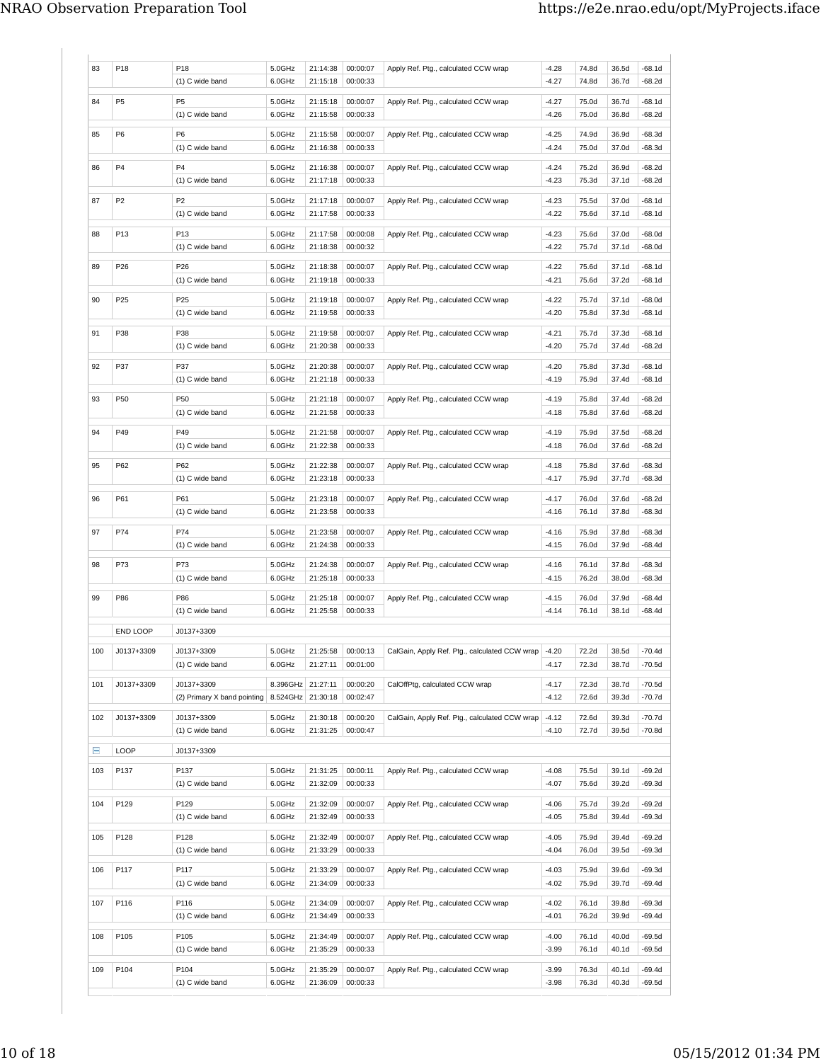| 83  | P18             | P18                           | 5.0GHz            | 21:14:38             | 00:00:07             | Apply Ref. Ptg., calculated CCW wrap          | $-4.28$            | 74.8d          | 36.5d          | $-68.1d$           |
|-----|-----------------|-------------------------------|-------------------|----------------------|----------------------|-----------------------------------------------|--------------------|----------------|----------------|--------------------|
|     |                 | (1) C wide band               | 6.0GHz            | 21:15:18             | 00:00:33             |                                               | $-4.27$            | 74.8d          | 36.7d          | -68.2d             |
| 84  | P <sub>5</sub>  | P <sub>5</sub>                | 5.0GHz            | 21:15:18             | 00:00:07             | Apply Ref. Ptg., calculated CCW wrap          | $-4.27$            | 75.0d          | 36.7d          | $-68.1d$           |
|     |                 | (1) C wide band               | 6.0GHz            | 21:15:58             | 00:00:33             |                                               | $-4.26$            | 75.0d          | 36.8d          | $-68.2d$           |
| 85  | P <sub>6</sub>  | P <sub>6</sub>                | 5.0GHz            | 21:15:58             | 00:00:07             | Apply Ref. Ptg., calculated CCW wrap          | $-4.25$            | 74.9d          | 36.9d          | $-68.3d$           |
|     |                 | (1) C wide band               | 6.0GHz            | 21:16:38             | 00:00:33             |                                               | $-4.24$            | 75.0d          | 37.0d          | -68.3d             |
|     |                 |                               |                   |                      |                      |                                               |                    |                |                |                    |
| 86  | P <sub>4</sub>  | P <sub>4</sub>                | 5.0GHz            | 21:16:38             | 00:00:07             | Apply Ref. Ptg., calculated CCW wrap          | $-4.24$            | 75.2d          | 36.9d          | -68.2d             |
|     |                 | (1) C wide band               | 6.0GHz            | 21:17:18             | 00:00:33             |                                               | $-4.23$            | 75.3d          | 37.1d          | $-68.2d$           |
| 87  | P <sub>2</sub>  | P <sub>2</sub>                | 5.0GHz            | 21:17:18             | 00:00:07             | Apply Ref. Ptg., calculated CCW wrap          | $-4.23$            | 75.5d          | 37.0d          | $-68.1d$           |
|     |                 | (1) C wide band               | 6.0GHz            | 21:17:58             | 00:00:33             |                                               | $-4.22$            | 75.6d          | 37.1d          | -68.1d             |
| 88  | P <sub>13</sub> | P13                           | 5.0GHz            | 21:17:58             | 00:00:08             | Apply Ref. Ptg., calculated CCW wrap          | $-4.23$            | 75.6d          | 37.0d          | $-68.0d$           |
|     |                 | (1) C wide band               | 6.0GHz            | 21:18:38             | 00:00:32             |                                               | $-4.22$            | 75.7d          | 37.1d          | $-68.0d$           |
|     |                 |                               |                   |                      |                      |                                               |                    |                |                |                    |
| 89  | P26             | P26                           | 5.0GHz            | 21:18:38             | 00:00:07             | Apply Ref. Ptg., calculated CCW wrap          | $-4.22$            | 75.6d          | 37.1d          | $-68.1d$           |
|     |                 | (1) C wide band               | 6.0GHz            | 21:19:18             | 00:00:33             |                                               | $-4.21$            | 75.6d          | 37.2d          | -68.1d             |
| 90  | P <sub>25</sub> | P <sub>25</sub>               | 5.0GHz            | 21:19:18             | 00:00:07             | Apply Ref. Ptg., calculated CCW wrap          | $-4.22$            | 75.7d          | 37.1d          | $-68.0d$           |
|     |                 | (1) C wide band               | 6.0GHz            | 21:19:58             | 00:00:33             |                                               | $-4.20$            | 75.8d          | 37.3d          | $-68.1d$           |
|     |                 |                               |                   |                      |                      |                                               |                    |                |                |                    |
| 91  | P38             | P38                           | 5.0GHz            | 21:19:58             | 00:00:07             | Apply Ref. Ptg., calculated CCW wrap          | $-4.21$            | 75.7d          | 37.3d          | $-68.1d$           |
|     |                 | (1) C wide band               | 6.0GHz            | 21:20:38             | 00:00:33             |                                               | $-4.20$            | 75.7d          | 37.4d          | -68.2d             |
| 92  | P37             | P37                           | 5.0GHz            | 21:20:38             | 00:00:07             | Apply Ref. Ptg., calculated CCW wrap          | $-4.20$            | 75.8d          | 37.3d          | $-68.1d$           |
|     |                 | (1) C wide band               | 6.0GHz            | 21:21:18             | 00:00:33             |                                               | $-4.19$            | 75.9d          | 37.4d          | $-68.1d$           |
| 93  | P50             | P50                           |                   | 21:21:18             | 00:00:07             |                                               | $-4.19$            | 75.8d          | 37.4d          | $-68.2d$           |
|     |                 | (1) C wide band               | 5.0GHz<br>6.0GHz  | 21:21:58             | 00:00:33             | Apply Ref. Ptg., calculated CCW wrap          | $-4.18$            | 75.8d          | 37.6d          | -68.2d             |
|     |                 |                               |                   |                      |                      |                                               |                    |                |                |                    |
| 94  | P49             | P49                           | 5.0GHz            | 21:21:58             | 00:00:07             | Apply Ref. Ptg., calculated CCW wrap          | $-4.19$            | 75.9d          | 37.5d          | $-68.2d$           |
|     |                 | (1) C wide band               | 6.0GHz            | 21:22:38             | 00:00:33             |                                               | $-4.18$            | 76.0d          | 37.6d          | -68.2d             |
| 95  | P62             | P62                           | 5.0GHz            | 21:22:38             | 00:00:07             | Apply Ref. Ptg., calculated CCW wrap          | $-4.18$            | 75.8d          | 37.6d          | $-68.3d$           |
|     |                 | (1) C wide band               | 6.0GHz            | 21:23:18             | 00:00:33             |                                               | $-4.17$            | 75.9d          | 37.7d          | -68.3d             |
|     |                 |                               |                   |                      |                      |                                               |                    |                |                |                    |
| 96  | P61             | P61                           | 5.0GHz            | 21:23:18             | 00:00:07             | Apply Ref. Ptg., calculated CCW wrap          | $-4.17$            | 76.0d          | 37.6d          | $-68.2d$           |
|     |                 | (1) C wide band               | 6.0GHz            | 21:23:58             | 00:00:33             |                                               | -4.16              | 76.1d          | 37.8d          | -68.3d             |
| 97  | P74             | P74                           | 5.0GHz            | 21:23:58             | 00:00:07             | Apply Ref. Ptg., calculated CCW wrap          | $-4.16$            | 75.9d          | 37.8d          | -68.3d             |
|     |                 | (1) C wide band               | 6.0GHz            | 21:24:38             | 00:00:33             |                                               | $-4.15$            | 76.0d          | 37.9d          | $-68.4d$           |
|     |                 |                               |                   |                      |                      |                                               |                    |                |                |                    |
| 98  | P73             | P73<br>(1) C wide band        | 5.0GHz<br>6.0GHz  | 21:24:38<br>21:25:18 | 00:00:07<br>00:00:33 | Apply Ref. Ptg., calculated CCW wrap          | $-4.16$<br>$-4.15$ | 76.1d<br>76.2d | 37.8d<br>38.0d | $-68.3d$<br>-68.3d |
|     |                 |                               |                   |                      |                      |                                               |                    |                |                |                    |
| 99  | P86             | P86                           | 5.0GHz            | 21:25:18             | 00:00:07             | Apply Ref. Ptg., calculated CCW wrap          | $-4.15$            | 76.0d          | 37.9d          | -68.4d             |
|     |                 | (1) C wide band               | 6.0GHz            | 21:25:58             | 00:00:33             |                                               | $-4.14$            | 76.1d          | 38.1d          | $-68.4d$           |
|     | END LOOP        | J0137+3309                    |                   |                      |                      |                                               |                    |                |                |                    |
|     |                 |                               |                   |                      |                      |                                               |                    |                |                |                    |
| 100 | J0137+3309      | J0137+3309                    | 5.0GHz            | 21:25:58             | 00:00:13             | CalGain, Apply Ref. Ptg., calculated CCW wrap | $-4.20$            | 72.2d          | 38.5d          | $-70.4d$           |
|     |                 | (1) C wide band               | 6.0GHz            | 21:27:11             | 00:01:00             |                                               | $-4.17$            | 72.3d          | 38.7d          | -70.5d             |
| 101 | J0137+3309      | J0137+3309                    | 8.396GHz 21:27:11 |                      | 00:00:20             | CalOffPtg, calculated CCW wrap                | $-4.17$            | 72.3d          | 38.7d          | $-70.5d$           |
|     |                 | (2) Primary X band pointing   | 8.524GHz 21:30:18 |                      | 00:02:47             |                                               | $-4.12$            | 72.6d          | 39.3d          | $-70.7d$           |
|     |                 |                               |                   |                      | 00:00:20             |                                               |                    |                |                |                    |
| 102 | J0137+3309      | J0137+3309<br>(1) C wide band | 5.0GHz            | 21:30:18<br>21:31:25 | 00:00:47             | CalGain, Apply Ref. Ptg., calculated CCW wrap | $-4.12$            | 72.6d<br>72.7d | 39.3d<br>39.5d | $-70.7d$           |
|     |                 |                               | 6.0GHz            |                      |                      |                                               | $-4.10$            |                |                | -70.8d             |
| Ε   | LOOP            | J0137+3309                    |                   |                      |                      |                                               |                    |                |                |                    |
| 103 | P137            | P137                          | 5.0GHz            | 21:31:25             | 00:00:11             | Apply Ref. Ptg., calculated CCW wrap          | $-4.08$            | 75.5d          | 39.1d          | -69.2d             |
|     |                 | (1) C wide band               | 6.0GHz            | 21:32:09             | 00:00:33             |                                               | $-4.07$            | 75.6d          | 39.2d          | $-69.3d$           |
|     |                 |                               |                   |                      |                      |                                               |                    |                |                |                    |
| 104 | P129            | P129                          | 5.0GHz            | 21:32:09             | 00:00:07             | Apply Ref. Ptg., calculated CCW wrap          | $-4.06$            | 75.7d          | 39.2d          | $-69.2d$           |
|     |                 | (1) C wide band               | 6.0GHz            | 21:32:49             | 00:00:33             |                                               | $-4.05$            | 75.8d          | 39.4d          | $-69.3d$           |
| 105 | P128            | P128                          | 5.0GHz            | 21:32:49             | 00:00:07             | Apply Ref. Ptg., calculated CCW wrap          | $-4.05$            | 75.9d          | 39.4d          | $-69.2d$           |
|     |                 | (1) C wide band               | 6.0GHz            | 21:33:29             | 00:00:33             |                                               | $-4.04$            | 76.0d          | 39.5d          | $-69.3d$           |
|     |                 |                               |                   |                      |                      |                                               |                    |                |                |                    |
| 106 | P117            | P117                          | 5.0GHz            | 21:33:29             | 00:00:07             | Apply Ref. Ptg., calculated CCW wrap          | $-4.03$            | 75.9d          | 39.6d          | $-69.3d$           |
|     |                 | $(1)$ C wide band             | 6.0GHz            | 21:34:09             | 00:00:33             |                                               | $-4.02$            | 75.9d          | 39.7d          | $-69.4d$           |
| 107 | P116            | P116                          | 5.0GHz            | 21:34:09             | 00:00:07             | Apply Ref. Ptg., calculated CCW wrap          | $-4.02$            | 76.1d          | 39.8d          | -69.3d             |
|     |                 | (1) C wide band               | 6.0GHz            | 21:34:49             | 00:00:33             |                                               | $-4.01$            | 76.2d          | 39.9d          | $-69.4d$           |
| 108 | P105            | P105                          | 5.0GHz            | 21:34:49             | 00:00:07             |                                               | $-4.00$            | 76.1d          | 40.0d          | $-69.5d$           |
|     |                 | $(1)$ C wide band             | 6.0GHz            | 21:35:29             | 00:00:33             | Apply Ref. Ptg., calculated CCW wrap          | $-3.99$            | 76.1d          | 40.1d          | $-69.5d$           |
|     |                 |                               |                   |                      |                      |                                               |                    |                |                |                    |
| 109 | P104            | P104                          | 5.0GHz            | 21:35:29             | 00:00:07             | Apply Ref. Ptg., calculated CCW wrap          | $-3.99$            | 76.3d          | 40.1d          | $-69.4d$           |
|     |                 | (1) C wide band               | 6.0GHz            | 21:36:09             | 00:00:33             |                                               | $-3.98$            | 76.3d          | 40.3d          | $-69.5d$           |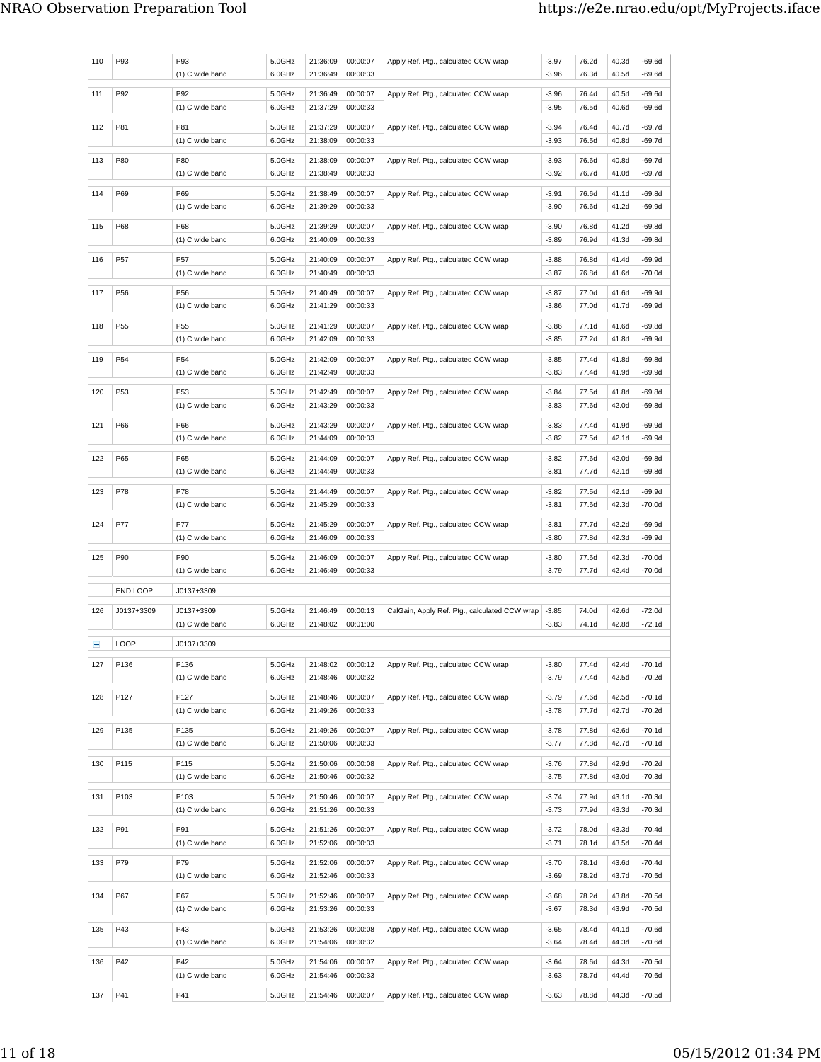| 110 | P93             | P93<br>(1) C wide band             | 5.0GHz<br>6.0GHz | 21:36:09<br>21:36:49 | 00:00:07<br>00:00:33 | Apply Ref. Ptg., calculated CCW wrap          | $-3.97$<br>$-3.96$ | 76.2d<br>76.3d | 40.3d<br>40.5d | $-69.6d$<br>-69.6d   |
|-----|-----------------|------------------------------------|------------------|----------------------|----------------------|-----------------------------------------------|--------------------|----------------|----------------|----------------------|
| 111 | P92             | P92<br>(1) C wide band             | 5.0GHz<br>6.0GHz | 21:36:49<br>21:37:29 | 00:00:07<br>00:00:33 | Apply Ref. Ptg., calculated CCW wrap          | $-3.96$<br>$-3.95$ | 76.4d<br>76.5d | 40.5d<br>40.6d | $-69.6d$<br>-69.6d   |
| 112 | P81             | P81<br>(1) C wide band             | 5.0GHz<br>6.0GHz | 21:37:29<br>21:38:09 | 00:00:07<br>00:00:33 | Apply Ref. Ptg., calculated CCW wrap          | $-3.94$<br>$-3.93$ | 76.4d<br>76.5d | 40.7d<br>40.8d | -69.7d<br>-69.7d     |
| 113 | P80             | P80<br>(1) C wide band             | 5.0GHz<br>6.0GHz | 21:38:09<br>21:38:49 | 00:00:07<br>00:00:33 | Apply Ref. Ptg., calculated CCW wrap          | $-3.93$<br>-3.92   | 76.6d<br>76.7d | 40.8d<br>41.0d | -69.7d<br>-69.7d     |
| 114 | P69             | P69<br>(1) C wide band             | 5.0GHz<br>6.0GHz | 21:38:49<br>21:39:29 | 00:00:07<br>00:00:33 | Apply Ref. Ptg., calculated CCW wrap          | $-3.91$<br>$-3.90$ | 76.6d<br>76.6d | 41.1d<br>41.2d | -69.8d<br>$-69.9d$   |
| 115 | P68             | P68<br>(1) C wide band             | 5.0GHz<br>6.0GHz | 21:39:29<br>21:40:09 | 00:00:07<br>00:00:33 | Apply Ref. Ptg., calculated CCW wrap          | $-3.90$<br>$-3.89$ | 76.8d<br>76.9d | 41.2d<br>41.3d | $-69.8d$<br>-69.8d   |
| 116 | P57             | P57<br>(1) C wide band             | 5.0GHz<br>6.0GHz | 21:40:09<br>21:40:49 | 00:00:07<br>00:00:33 | Apply Ref. Ptg., calculated CCW wrap          | $-3.88$<br>$-3.87$ | 76.8d<br>76.8d | 41.4d<br>41.6d | -69.9d<br>$-70.0d$   |
| 117 | P56             | P56<br>(1) C wide band             | 5.0GHz<br>6.0GHz | 21:40:49<br>21:41:29 | 00:00:07<br>00:00:33 | Apply Ref. Ptg., calculated CCW wrap          | $-3.87$<br>-3.86   | 77.0d<br>77.0d | 41.6d<br>41.7d | -69.9d<br>-69.9d     |
| 118 | P55             | P <sub>55</sub><br>(1) C wide band | 5.0GHz<br>6.0GHz | 21:41:29<br>21:42:09 | 00:00:07<br>00:00:33 | Apply Ref. Ptg., calculated CCW wrap          | -3.86<br>$-3.85$   | 77.1d<br>77.2d | 41.6d<br>41.8d | -69.8d<br>-69.9d     |
| 119 | P <sub>54</sub> | P <sub>54</sub><br>(1) C wide band | 5.0GHz<br>6.0GHz | 21:42:09<br>21:42:49 | 00:00:07<br>00:00:33 | Apply Ref. Ptg., calculated CCW wrap          | $-3.85$<br>$-3.83$ | 77.4d<br>77.4d | 41.8d<br>41.9d | $-69.8d$<br>$-69.9d$ |
| 120 | P53             | P <sub>53</sub><br>(1) C wide band | 5.0GHz<br>6.0GHz | 21:42:49<br>21:43:29 | 00:00:07<br>00:00:33 | Apply Ref. Ptg., calculated CCW wrap          | -3.84<br>$-3.83$   | 77.5d<br>77.6d | 41.8d<br>42.0d | -69.8d<br>-69.8d     |
| 121 | P66             | P66<br>(1) C wide band             | 5.0GHz<br>6.0GHz | 21:43:29<br>21:44:09 | 00:00:07<br>00:00:33 | Apply Ref. Ptg., calculated CCW wrap          | $-3.83$<br>$-3.82$ | 77.4d<br>77.5d | 41.9d<br>42.1d | -69.9d<br>$-69.9d$   |
| 122 | P65             | P65<br>(1) C wide band             | 5.0GHz<br>6.0GHz | 21:44:09<br>21:44:49 | 00:00:07<br>00:00:33 | Apply Ref. Ptg., calculated CCW wrap          | $-3.82$<br>$-3.81$ | 77.6d<br>77.7d | 42.0d<br>42.1d | -69.8d<br>-69.8d     |
| 123 | P78             | P78<br>(1) C wide band             | 5.0GHz<br>6.0GHz | 21:44:49<br>21:45:29 | 00:00:07<br>00:00:33 | Apply Ref. Ptg., calculated CCW wrap          | $-3.82$<br>$-3.81$ | 77.5d<br>77.6d | 42.1d<br>42.3d | $-69.9d$<br>-70.0d   |
| 124 | P77             | P77<br>(1) C wide band             | 5.0GHz<br>6.0GHz | 21:45:29<br>21:46:09 | 00:00:07<br>00:00:33 | Apply Ref. Ptg., calculated CCW wrap          | $-3.81$<br>$-3.80$ | 77.7d<br>77.8d | 42.2d<br>42.3d | -69.9d<br>-69.9d     |
| 125 | P90             | P90<br>(1) C wide band             | 5.0GHz<br>6.0GHz | 21:46:09<br>21:46:49 | 00:00:07<br>00:00:33 | Apply Ref. Ptg., calculated CCW wrap          | $-3.80$<br>$-3.79$ | 77.6d<br>77.7d | 42.3d<br>42.4d | $-70.0d$<br>-70.0d   |
|     | END LOOP        | J0137+3309                         |                  |                      |                      |                                               |                    |                |                |                      |
| 126 | J0137+3309      | J0137+3309                         | 5.0GHz           | 21:46:49             | 00:00:13             | CalGain, Apply Ref. Ptg., calculated CCW wrap | $-3.85$            | 74.0d          | 42.6d          | $-72.0d$             |
|     |                 | (1) C wide band                    | 6.0GHz           | 21:48:02             | 00:01:00             |                                               | -3.83              | 74.1d          | 42.8d          | -72.1d               |
| Ε   | LOOP            | J0137+3309                         |                  |                      |                      |                                               |                    |                |                |                      |
| 127 | P136            | P136                               | 5.0GHz           | 21:48:02             | 00:00:12             | Apply Ref. Ptg., calculated CCW wrap          | -3.80              | 77.4d          | 42.4d          | $-70.1d$             |
| 128 | P127            | (1) C wide band<br>P127            | 6.0GHz<br>5.0GHz | 21:48:46<br>21:48:46 | 00:00:32<br>00:00:07 | Apply Ref. Ptg., calculated CCW wrap          | $-3.79$<br>-3.79   | 77.4d<br>77.6d | 42.5d<br>42.5d | $-70.2d$<br>$-70.1d$ |
|     |                 | (1) C wide band                    | 6.0GHz           | 21:49:26             | 00:00:33             |                                               | -3.78              | 77.7d          | 42.7d          | -70.2d               |
| 129 | P135            | P135<br>(1) C wide band            | 5.0GHz<br>6.0GHz | 21:49:26<br>21:50:06 | 00:00:07<br>00:00:33 | Apply Ref. Ptg., calculated CCW wrap          | $-3.78$<br>$-3.77$ | 77.8d<br>77.8d | 42.6d<br>42.7d | $-70.1d$<br>$-70.1d$ |
| 130 | P115            | P115<br>(1) C wide band            | 5.0GHz<br>6.0GHz | 21:50:06<br>21:50:46 | 00:00:08<br>00:00:32 | Apply Ref. Ptg., calculated CCW wrap          | $-3.76$<br>$-3.75$ | 77.8d<br>77.8d | 42.9d<br>43.0d | $-70.2d$<br>-70.3d   |
| 131 | P103            | P103<br>(1) C wide band            | 5.0GHz<br>6.0GHz | 21:50:46<br>21:51:26 | 00:00:07<br>00:00:33 | Apply Ref. Ptg., calculated CCW wrap          | $-3.74$<br>$-3.73$ | 77.9d<br>77.9d | 43.1d<br>43.3d | $-70.3d$<br>$-70.3d$ |
| 132 | P91             | P91<br>(1) C wide band             | 5.0GHz<br>6.0GHz | 21:51:26<br>21:52:06 | 00:00:07<br>00:00:33 | Apply Ref. Ptg., calculated CCW wrap          | $-3.72$<br>-3.71   | 78.0d<br>78.1d | 43.3d<br>43.5d | $-70.4d$<br>$-70.4d$ |
| 133 | P79             | P79<br>(1) C wide band             | 5.0GHz<br>6.0GHz | 21:52:06<br>21:52:46 | 00:00:07<br>00:00:33 | Apply Ref. Ptg., calculated CCW wrap          | -3.70<br>$-3.69$   | 78.1d<br>78.2d | 43.6d<br>43.7d | -70.4d<br>$-70.5d$   |
| 134 | P67             | P67<br>(1) C wide band             | 5.0GHz<br>6.0GHz | 21:52:46<br>21:53:26 | 00:00:07<br>00:00:33 | Apply Ref. Ptg., calculated CCW wrap          | $-3.68$<br>-3.67   | 78.2d<br>78.3d | 43.8d<br>43.9d | $-70.5d$<br>$-70.5d$ |
|     |                 |                                    |                  |                      |                      |                                               |                    |                |                |                      |
| 135 | P43             | P43<br>(1) C wide band             | 5.0GHz<br>6.0GHz | 21:53:26<br>21:54:06 | 00:00:08<br>00:00:32 | Apply Ref. Ptg., calculated CCW wrap          | -3.65<br>$-3.64$   | 78.4d<br>78.4d | 44.1d<br>44.3d | $-70.6d$<br>$-70.6d$ |
| 136 | P42             | P42                                | 5.0GHz           | 21:54:06             | 00:00:07             | Apply Ref. Ptg., calculated CCW wrap          | $-3.64$            | 78.6d          | 44.3d          | $-70.5d$             |
| 137 | P41             | (1) C wide band<br>P41             | 6.0GHz<br>5.0GHz | 21:54:46<br>21:54:46 | 00:00:33<br>00:00:07 | Apply Ref. Ptg., calculated CCW wrap          | -3.63<br>$-3.63$   | 78.7d<br>78.8d | 44.4d<br>44.3d | $-70.6d$<br>$-70.5d$ |
|     |                 |                                    |                  |                      |                      |                                               |                    |                |                |                      |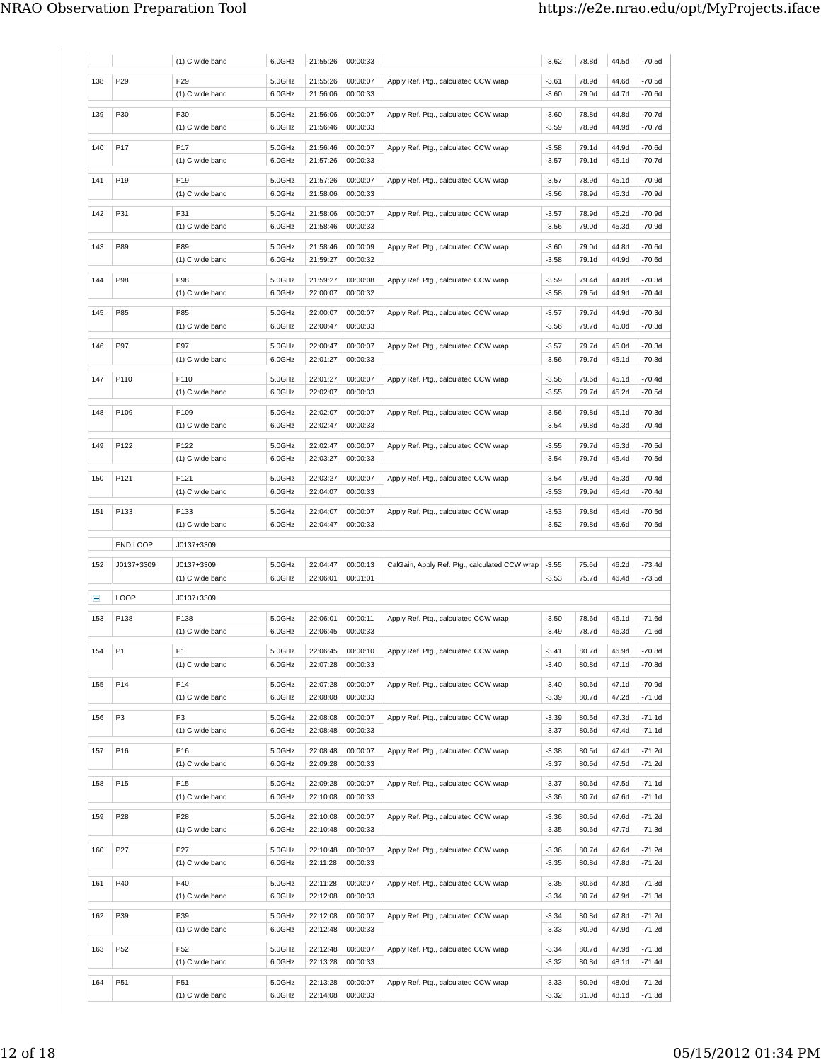|        |                 | (1) C wide band               | 6.0GHz           | 21:55:26             | 00:00:33             |                                                        | $-3.62$            | 78.8d          | 44.5d          | $-70.5d$             |
|--------|-----------------|-------------------------------|------------------|----------------------|----------------------|--------------------------------------------------------|--------------------|----------------|----------------|----------------------|
| 138    | P29             | P29                           | 5.0GHz           | 21:55:26             | 00:00:07             | Apply Ref. Ptg., calculated CCW wrap                   | $-3.61$            | 78.9d          | 44.6d          | -70.5d               |
|        |                 | (1) C wide band               | 6.0GHz           | 21:56:06             | 00:00:33             |                                                        | -3.60              | 79.0d          | 44.7d          | -70.6d               |
| 139    | P30             | P30                           | 5.0GHz           | 21:56:06             | 00:00:07             | Apply Ref. Ptg., calculated CCW wrap                   | -3.60              | 78.8d          | 44.8d          | -70.7d               |
|        |                 | (1) C wide band               | 6.0GHz           | 21:56:46             | 00:00:33             |                                                        | $-3.59$            | 78.9d          | 44.9d          | -70.7d               |
|        |                 |                               |                  |                      |                      |                                                        |                    |                |                |                      |
| 140    | P17             | P17                           | 5.0GHz           | 21:56:46             | 00:00:07             | Apply Ref. Ptg., calculated CCW wrap                   | $-3.58$            | 79.1d          | 44.9d          | -70.6d               |
|        |                 | (1) C wide band               | 6.0GHz           | 21:57:26             | 00:00:33             |                                                        | -3.57              | 79.1d          | 45.1d          | -70.7d               |
| 141    | P <sub>19</sub> | P <sub>19</sub>               | 5.0GHz           | 21:57:26             | 00:00:07             | Apply Ref. Ptg., calculated CCW wrap                   | $-3.57$            | 78.9d          | 45.1d          | -70.9d               |
|        |                 | (1) C wide band               | 6.0GHz           | 21:58:06             | 00:00:33             |                                                        | $-3.56$            | 78.9d          | 45.3d          | -70.9d               |
| 142    | P31             | P31                           | 5.0GHz           | 21:58:06             | 00:00:07             | Apply Ref. Ptg., calculated CCW wrap                   | $-3.57$            | 78.9d          | 45.2d          | -70.9d               |
|        |                 | (1) C wide band               | 6.0GHz           | 21:58:46             | 00:00:33             |                                                        | $-3.56$            | 79.0d          | 45.3d          | -70.9d               |
| 143    | P89             | P89                           | 5.0GHz           | 21:58:46             | 00:00:09             |                                                        | $-3.60$            | 79.0d          | 44.8d          | -70.6d               |
|        |                 | (1) C wide band               | 6.0GHz           | 21:59:27             | 00:00:32             | Apply Ref. Ptg., calculated CCW wrap                   | $-3.58$            | 79.1d          | 44.9d          | -70.6d               |
|        |                 |                               |                  |                      |                      |                                                        |                    |                |                |                      |
| 144    | P98             | P98                           | 5.0GHz           | 21:59:27             | 00:00:08             | Apply Ref. Ptg., calculated CCW wrap                   | $-3.59$            | 79.4d          | 44.8d          | -70.3d               |
|        |                 | (1) C wide band               | 6.0GHz           | 22:00:07             | 00:00:32             |                                                        | $-3.58$            | 79.5d          | 44.9d          | -70.4d               |
| 145    | P85             | P85                           | 5.0GHz           | 22:00:07             | 00:00:07             | Apply Ref. Ptg., calculated CCW wrap                   | $-3.57$            | 79.7d          | 44.9d          | -70.3d               |
|        |                 | (1) C wide band               | 6.0GHz           | 22:00:47             | 00:00:33             |                                                        | $-3.56$            | 79.7d          | 45.0d          | -70.3d               |
| 146    | P97             | P97                           | 5.0GHz           | 22:00:47             | 00:00:07             | Apply Ref. Ptg., calculated CCW wrap                   | $-3.57$            | 79.7d          | 45.0d          | -70.3d               |
|        |                 | (1) C wide band               | 6.0GHz           | 22:01:27             | 00:00:33             |                                                        | $-3.56$            | 79.7d          | 45.1d          | -70.3d               |
|        |                 |                               |                  |                      |                      |                                                        |                    |                |                |                      |
| 147    | P110            | P110                          | 5.0GHz           | 22:01:27             | 00:00:07             | Apply Ref. Ptg., calculated CCW wrap                   | $-3.56$            | 79.6d          | 45.1d          | -70.4d               |
|        |                 | (1) C wide band               | 6.0GHz           | 22:02:07             | 00:00:33             |                                                        | -3.55              | 79.7d          | 45.2d          | -70.5d               |
| 148    | P109            | P109                          | 5.0GHz           | 22:02:07             | 00:00:07             | Apply Ref. Ptg., calculated CCW wrap                   | $-3.56$            | 79.8d          | 45.1d          | -70.3d               |
|        |                 | (1) C wide band               | 6.0GHz           | 22:02:47             | 00:00:33             |                                                        | $-3.54$            | 79.8d          | 45.3d          | -70.4d               |
| 149    | P122            | P122                          | 5.0GHz           | 22:02:47             | 00:00:07             | Apply Ref. Ptg., calculated CCW wrap                   | $-3.55$            | 79.7d          | 45.3d          | -70.5d               |
|        |                 | (1) C wide band               | 6.0GHz           | 22:03:27             | 00:00:33             |                                                        | -3.54              | 79.7d          | 45.4d          | -70.5d               |
|        |                 |                               |                  |                      |                      |                                                        |                    |                |                |                      |
| 150    | P121            | P121<br>(1) C wide band       | 5.0GHz<br>6.0GHz | 22:03:27<br>22:04:07 | 00:00:07<br>00:00:33 | Apply Ref. Ptg., calculated CCW wrap                   | $-3.54$<br>$-3.53$ | 79.9d<br>79.9d | 45.3d<br>45.4d | $-70.4d$<br>$-70.4d$ |
|        |                 |                               |                  |                      |                      |                                                        |                    |                |                |                      |
| 151    | P133            | P133                          | 5.0GHz           | 22:04:07             | 00:00:07             | Apply Ref. Ptg., calculated CCW wrap                   | $-3.53$            | 79.8d          | 45.4d          | -70.5d               |
|        |                 | (1) C wide band               | 6.0GHz           | 22:04:47             | 00:00:33             |                                                        | -3.52              | 79.8d          | 45.6d          | -70.5d               |
|        | END LOOP        | J0137+3309                    |                  |                      |                      |                                                        |                    |                |                |                      |
|        |                 |                               |                  |                      | 00:00:13             |                                                        |                    |                | 46.2d          | -73.4d               |
| 152    | J0137+3309      | J0137+3309<br>(1) C wide band | 5.0GHz<br>6.0GHz | 22:04:47<br>22:06:01 | 00:01:01             | CalGain, Apply Ref. Ptg., calculated CCW wrap          | $-3.55$<br>$-3.53$ | 75.6d<br>75.7d | 46.4d          | -73.5d               |
|        |                 |                               |                  |                      |                      |                                                        |                    |                |                |                      |
| Ξ      | LOOP            | J0137+3309                    |                  |                      |                      |                                                        |                    |                |                |                      |
| 153    | P138            | P138                          | 5.0GHz           | 22:06:01             | 00:00:11             | Apply Ref. Ptg., calculated CCW wrap                   | $-3.50$            | 78.6d          | 46.1d          | $-71.6d$             |
|        |                 | (1) C wide band               | 6.0GHz           | 22:06:45             | 00:00:33             |                                                        | $-3.49$            | 78.7d          | 46.3d          | -71.6d               |
| 154 P1 |                 | P <sub>1</sub>                | 5.0GHz           |                      |                      | 22:06:45 00:00:10 Apply Ref. Ptg., calculated CCW wrap | $-3.41$            | 80.7d          | 46.9d          | -70.8d               |
|        |                 | (1) C wide band               | 6.0GHz           | 22:07:28             | 00:00:33             |                                                        | $-3.40$            | 80.8d          | 47.1d          | -70.8d               |
|        |                 |                               |                  |                      |                      |                                                        |                    |                |                |                      |
| 155    | P14             | P14                           | 5.0GHz           | 22:07:28             | 00:00:07             | Apply Ref. Ptg., calculated CCW wrap                   | $-3.40$            | 80.6d          | 47.1d          | $-70.9d$             |
|        |                 | (1) C wide band               | 6.0GHz           | 22:08:08             | 00:00:33             |                                                        | $-3.39$            | 80.7d          | 47.2d          | $-71.0d$             |
| 156    | P3              | P3                            | 5.0GHz           | 22:08:08             | 00:00:07             | Apply Ref. Ptg., calculated CCW wrap                   | $-3.39$            | 80.5d          | 47.3d          | $-71.1d$             |
|        |                 | (1) C wide band               | 6.0GHz           | 22:08:48             | 00:00:33             |                                                        | -3.37              | 80.6d          | 47.4d          | -71.1d               |
| 157    | P16             | P16                           | 5.0GHz           | 22:08:48             | 00:00:07             | Apply Ref. Ptg., calculated CCW wrap                   | $-3.38$            | 80.5d          | 47.4d          | $-71.2d$             |
|        |                 | (1) C wide band               | 6.0GHz           | 22:09:28             | 00:00:33             |                                                        | -3.37              | 80.5d          | 47.5d          | $-71.2d$             |
|        |                 |                               |                  |                      |                      |                                                        |                    |                |                |                      |
| 158    | P <sub>15</sub> | P15                           | 5.0GHz           | 22:09:28             | 00:00:07             | Apply Ref. Ptg., calculated CCW wrap                   | -3.37              | 80.6d          | 47.5d          | $-71.1d$             |
|        |                 | (1) C wide band               | 6.0GHz           | 22:10:08             | 00:00:33             |                                                        | -3.36              | 80.7d          | 47.6d          | $-71.1d$             |
| 159    | P28             | P28                           | 5.0GHz           | 22:10:08             | 00:00:07             | Apply Ref. Ptg., calculated CCW wrap                   | -3.36              | 80.5d          | 47.6d          | $-71.2d$             |
|        |                 | (1) C wide band               | 6.0GHz           | 22:10:48             | 00:00:33             |                                                        | -3.35              | 80.6d          | 47.7d          | $-71.3d$             |
| 160    | P27             | P27                           | 5.0GHz           | 22:10:48             | 00:00:07             | Apply Ref. Ptg., calculated CCW wrap                   | $-3.36$            | 80.7d          | 47.6d          | $-71.2d$             |
|        |                 | (1) C wide band               | 6.0GHz           | 22:11:28             | 00:00:33             |                                                        | $-3.35$            | 80.8d          | 47.8d          | -71.2d               |
|        |                 |                               |                  |                      |                      |                                                        |                    |                |                |                      |
| 161    | P40             | P40<br>(1) C wide band        | 5.0GHz<br>6.0GHz | 22:11:28<br>22:12:08 | 00:00:07<br>00:00:33 | Apply Ref. Ptg., calculated CCW wrap                   | $-3.35$<br>$-3.34$ | 80.6d<br>80.7d | 47.8d<br>47.9d | -71.3d<br>-71.3d     |
|        |                 |                               |                  |                      |                      |                                                        |                    |                |                |                      |
| 162    | P39             | P39                           | 5.0GHz           | 22:12:08             | 00:00:07             | Apply Ref. Ptg., calculated CCW wrap                   | $-3.34$            | 80.8d          | 47.8d          | $-71.2d$             |
|        |                 | (1) C wide band               | 6.0GHz           | 22:12:48             | 00:00:33             |                                                        | $-3.33$            | 80.9d          | 47.9d          | $-71.2d$             |
| 163    | P52             | P <sub>52</sub>               | 5.0GHz           | 22:12:48             | 00:00:07             | Apply Ref. Ptg., calculated CCW wrap                   | $-3.34$            | 80.7d          | 47.9d          | -71.3d               |
|        |                 | (1) C wide band               | 6.0GHz           | 22:13:28             | 00:00:33             |                                                        | $-3.32$            | 80.8d          | 48.1d          | $-71.4d$             |
| 164    | P51             | P51                           | 5.0GHz           | 22:13:28             | 00:00:07             | Apply Ref. Ptg., calculated CCW wrap                   | $-3.33$            | 80.9d          | 48.0d          | $-71.2d$             |
|        |                 | (1) C wide band               | 6.0GHz           | 22:14:08             | 00:00:33             |                                                        | $-3.32$            | 81.0d          | 48.1d          | $-71.3d$             |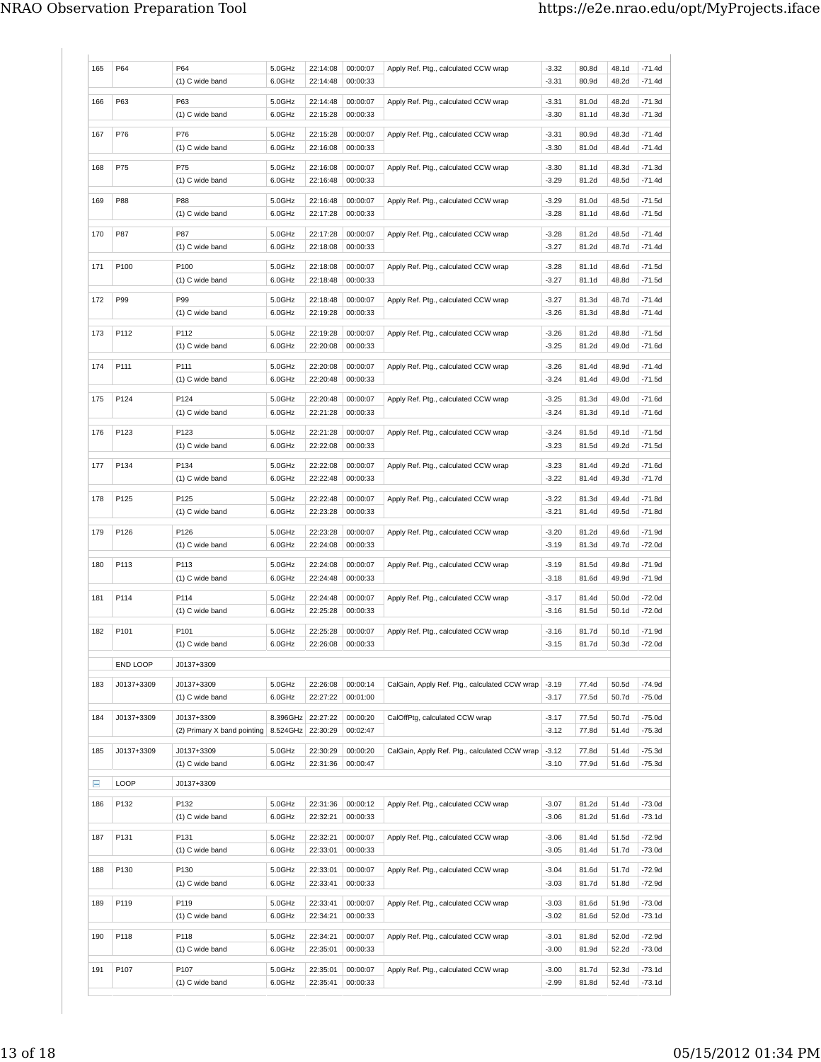| 165 | P64              | P64                                               | 5.0GHz           | 22:14:08             | 00:00:07             | Apply Ref. Ptg., calculated CCW wrap          | $-3.32$            | 80.8d          | 48.1d          | $-71.4d$             |
|-----|------------------|---------------------------------------------------|------------------|----------------------|----------------------|-----------------------------------------------|--------------------|----------------|----------------|----------------------|
|     |                  | (1) C wide band                                   | 6.0GHz           | 22:14:48             | 00:00:33             |                                               | $-3.31$            | 80.9d          | 48.2d          | $-71.4d$             |
| 166 | P63              | P63                                               | 5.0GHz           | 22:14:48             | 00:00:07             | Apply Ref. Ptg., calculated CCW wrap          | $-3.31$            | 81.0d          | 48.2d          | $-71.3d$             |
|     |                  | (1) C wide band                                   | 6.0GHz           | 22:15:28             | 00:00:33             |                                               | $-3.30$            | 81.1d          | 48.3d          | -71.3d               |
| 167 | P76              | P76                                               | 5.0GHz           | 22:15:28             | 00:00:07             | Apply Ref. Ptg., calculated CCW wrap          | $-3.31$            | 80.9d          | 48.3d          | $-71.4d$             |
|     |                  | (1) C wide band                                   | 6.0GHz           | 22:16:08             | 00:00:33             |                                               | $-3.30$            | 81.0d          | 48.4d          | $-71.4d$             |
| 168 | P75              | P75                                               | 5.0GHz           | 22:16:08             | 00:00:07             | Apply Ref. Ptg., calculated CCW wrap          | $-3.30$            | 81.1d          | 48.3d          | $-71.3d$             |
|     |                  | (1) C wide band                                   | 6.0GHz           | 22:16:48             | 00:00:33             |                                               | $-3.29$            | 81.2d          | 48.5d          | $-71.4d$             |
|     | P88              | <b>P88</b>                                        |                  | 22:16:48             | 00:00:07             |                                               | $-3.29$            | 81.0d          | 48.5d          |                      |
| 169 |                  | (1) C wide band                                   | 5.0GHz<br>6.0GHz | 22:17:28             | 00:00:33             | Apply Ref. Ptg., calculated CCW wrap          | $-3.28$            | 81.1d          | 48.6d          | $-71.5d$<br>$-71.5d$ |
| 170 | P87              | <b>P87</b>                                        | 5.0GHz           | 22:17:28             | 00:00:07             | Apply Ref. Ptg., calculated CCW wrap          | $-3.28$            | 81.2d          | 48.5d          | $-71.4d$             |
|     |                  | $(1)$ C wide band                                 | 6.0GHz           | 22:18:08             | 00:00:33             |                                               | $-3.27$            | 81.2d          | 48.7d          | $-71.4d$             |
|     |                  |                                                   |                  |                      |                      |                                               |                    |                |                |                      |
| 171 | P <sub>100</sub> | P100<br>(1) C wide band                           | 5.0GHz<br>6.0GHz | 22:18:08<br>22:18:48 | 00:00:07<br>00:00:33 | Apply Ref. Ptg., calculated CCW wrap          | $-3.28$<br>$-3.27$ | 81.1d<br>81.1d | 48.6d<br>48.8d | $-71.5d$<br>$-71.5d$ |
|     |                  |                                                   |                  |                      |                      |                                               |                    |                |                |                      |
| 172 | P99              | P99                                               | 5.0GHz           | 22:18:48             | 00:00:07             | Apply Ref. Ptg., calculated CCW wrap          | $-3.27$            | 81.3d          | 48.7d          | $-71.4d$             |
|     |                  | (1) C wide band                                   | 6.0GHz           | 22:19:28             | 00:00:33             |                                               | $-3.26$            | 81.3d          | 48.8d          | $-71.4d$             |
| 173 | P112             | P112                                              | 5.0GHz           | 22:19:28             | 00:00:07             | Apply Ref. Ptg., calculated CCW wrap          | $-3.26$            | 81.2d          | 48.8d          | $-71.5d$             |
|     |                  | (1) C wide band                                   | 6.0GHz           | 22:20:08             | 00:00:33             |                                               | $-3.25$            | 81.2d          | 49.0d          | $-71.6d$             |
| 174 | P111             | P111                                              | 5.0GHz           | 22:20:08             | 00:00:07             | Apply Ref. Ptg., calculated CCW wrap          | $-3.26$            | 81.4d          | 48.9d          | $-71.4d$             |
|     |                  | $(1)$ C wide band                                 | 6.0GHz           | 22:20:48             | 00:00:33             |                                               | $-3.24$            | 81.4d          | 49.0d          | $-71.5d$             |
| 175 | P124             | P124                                              | 5.0GHz           | 22:20:48             | 00:00:07             | Apply Ref. Ptg., calculated CCW wrap          | $-3.25$            | 81.3d          | 49.0d          | $-71.6d$             |
|     |                  | (1) C wide band                                   | 6.0GHz           | 22:21:28             | 00:00:33             |                                               | $-3.24$            | 81.3d          | 49.1d          | $-71.6d$             |
|     |                  |                                                   |                  |                      |                      |                                               |                    |                |                |                      |
| 176 | P123             | P123<br>(1) C wide band                           | 5.0GHz<br>6.0GHz | 22:21:28<br>22:22:08 | 00:00:07<br>00:00:33 | Apply Ref. Ptg., calculated CCW wrap          | $-3.24$<br>$-3.23$ | 81.5d<br>81.5d | 49.1d<br>49.2d | $-71.5d$<br>$-71.5d$ |
|     |                  |                                                   |                  |                      |                      |                                               |                    |                |                |                      |
| 177 | P134             | P134                                              | 5.0GHz           | 22:22:08             | 00:00:07             | Apply Ref. Ptg., calculated CCW wrap          | $-3.23$            | 81.4d          | 49.2d          | $-71.6d$             |
|     |                  | $(1)$ C wide band                                 | 6.0GHz           | 22:22:48             | 00:00:33             |                                               | $-3.22$            | 81.4d          | 49.3d          | -71.7d               |
| 178 | P125             | P125                                              | 5.0GHz           | 22:22:48             | 00:00:07             | Apply Ref. Ptg., calculated CCW wrap          | $-3.22$            | 81.3d          | 49.4d          | $-71.8d$             |
|     |                  | (1) C wide band                                   | 6.0GHz           | 22:23:28             | 00:00:33             |                                               | $-3.21$            | 81.4d          | 49.5d          | $-71.8d$             |
| 179 | P126             | P126                                              | 5.0GHz           | 22:23:28             | 00:00:07             | Apply Ref. Ptg., calculated CCW wrap          | $-3.20$            | 81.2d          | 49.6d          | $-71.9d$             |
|     |                  | (1) C wide band                                   | 6.0GHz           | 22:24:08             | 00:00:33             |                                               | $-3.19$            | 81.3d          | 49.7d          | $-72.0d$             |
| 180 | P113             | P113                                              | 5.0GHz           | 22:24:08             | 00:00:07             | Apply Ref. Ptg., calculated CCW wrap          | $-3.19$            | 81.5d          | 49.8d          | -71.9d               |
|     |                  | (1) C wide band                                   | 6.0GHz           | 22:24:48             | 00:00:33             |                                               | $-3.18$            | 81.6d          | 49.9d          | $-71.9d$             |
| 181 | P114             | P114                                              | 5.0GHz           | 22:24:48             | 00:00:07             | Apply Ref. Ptg., calculated CCW wrap          | $-3.17$            | 81.4d          | 50.0d          | $-72.0d$             |
|     |                  | (1) C wide band                                   | 6.0GHz           | 22:25:28             | 00:00:33             |                                               | $-3.16$            | 81.5d          | 50.1d          | $-72.0d$             |
| 182 | P <sub>101</sub> | P101                                              | 5.0GHz           | 22:25:28             | 00:00:07             | Apply Ref. Ptg., calculated CCW wrap          | $-3.16$            | 81.7d          | 50.1d          | -71.9d               |
|     |                  | (1) C wide band                                   | 6.0GHz           | 22:26:08             | 00:00:33             |                                               | $-3.15$            | 81.7d          | 50.3d          | $-72.0d$             |
|     | END LOOP         | J0137+3309                                        |                  |                      |                      |                                               |                    |                |                |                      |
|     |                  |                                                   |                  |                      |                      |                                               |                    |                |                |                      |
| 183 | J0137+3309       | J0137+3309                                        | 5.0GHz           | 22:26:08             | 00:00:14             | CalGain, Apply Ref. Ptg., calculated CCW wrap | $-3.19$            | 77.4d          | 50.5d          | $-74.9d$             |
|     |                  | (1) C wide band                                   | 6.0GHz           | 22:27:22             | 00:01:00             |                                               | $-3.17$            | 77.5d          | 50.7d          | $-75.0d$             |
| 184 | J0137+3309       | J0137+3309                                        | 8.396GHz         | 22:27:22             | 00:00:20             | CalOffPtg, calculated CCW wrap                | $-3.17$            | 77.5d          | 50.7d          | $-75.0d$             |
|     |                  | (2) Primary X band pointing   8.524GHz   22:30:29 |                  |                      | 00:02:47             |                                               | $-3.12$            | 77.8d          | 51.4d          | $-75.3d$             |
| 185 | J0137+3309       | J0137+3309                                        | 5.0GHz           | 22:30:29             | 00:00:20             | CalGain, Apply Ref. Ptg., calculated CCW wrap | $-3.12$            | 77.8d          | 51.4d          | $-75.3d$             |
|     |                  | (1) C wide band                                   | 6.0GHz           | 22:31:36             | 00:00:47             |                                               | $-3.10$            | 77.9d          | 51.6d          | $-75.3d$             |
| Ε   | LOOP             | J0137+3309                                        |                  |                      |                      |                                               |                    |                |                |                      |
| 186 | P132             | P132                                              | 5.0GHz           | 22:31:36             | 00:00:12             | Apply Ref. Ptg., calculated CCW wrap          | $-3.07$            | 81.2d          | 51.4d          | $-73.0d$             |
|     |                  | (1) C wide band                                   | 6.0GHz           | 22:32:21             | 00:00:33             |                                               | $-3.06$            | 81.2d          | 51.6d          | $-73.1d$             |
|     |                  |                                                   |                  |                      |                      |                                               |                    |                |                |                      |
| 187 | P131             | P131<br>$(1)$ C wide band                         | 5.0GHz<br>6.0GHz | 22:32:21<br>22:33:01 | 00:00:07<br>00:00:33 | Apply Ref. Ptg., calculated CCW wrap          | $-3.06$<br>$-3.05$ | 81.4d<br>81.4d | 51.5d<br>51.7d | $-72.9d$<br>$-73.0d$ |
|     |                  |                                                   |                  |                      |                      |                                               |                    |                |                |                      |
| 188 | P130             | P130                                              | 5.0GHz           | 22:33:01             | 00:00:07             | Apply Ref. Ptg., calculated CCW wrap          | $-3.04$            | 81.6d          | 51.7d          | $-72.9d$             |
|     |                  | (1) C wide band                                   | 6.0GHz           | 22:33:41             | 00:00:33             |                                               | $-3.03$            | 81.7d          | 51.8d          | $-72.9d$             |
| 189 | P119             | P119                                              | 5.0GHz           | 22:33:41             | 00:00:07             | Apply Ref. Ptg., calculated CCW wrap          | $-3.03$            | 81.6d          | 51.9d          | $-73.0d$             |
|     |                  | (1) C wide band                                   | 6.0GHz           | 22:34:21             | 00:00:33             |                                               | $-3.02$            | 81.6d          | 52.0d          | $-73.1d$             |
| 190 | P118             | P118                                              | 5.0GHz           | 22:34:21             | 00:00:07             | Apply Ref. Ptg., calculated CCW wrap          | $-3.01$            | 81.8d          | 52.0d          | $-72.9d$             |
|     |                  | $(1)$ C wide band                                 | 6.0GHz           | 22:35:01             | 00:00:33             |                                               | $-3.00$            | 81.9d          | 52.2d          | -73.0d               |
| 191 | P <sub>107</sub> | P107                                              | 5.0GHz           | 22:35:01             | 00:00:07             | Apply Ref. Ptg., calculated CCW wrap          | $-3.00$            | 81.7d          | 52.3d          | $-73.1d$             |
|     |                  | (1) C wide band                                   | 6.0GHz           | 22:35:41             | 00:00:33             |                                               | $-2.99$            | 81.8d          | 52.4d          | $-73.1d$             |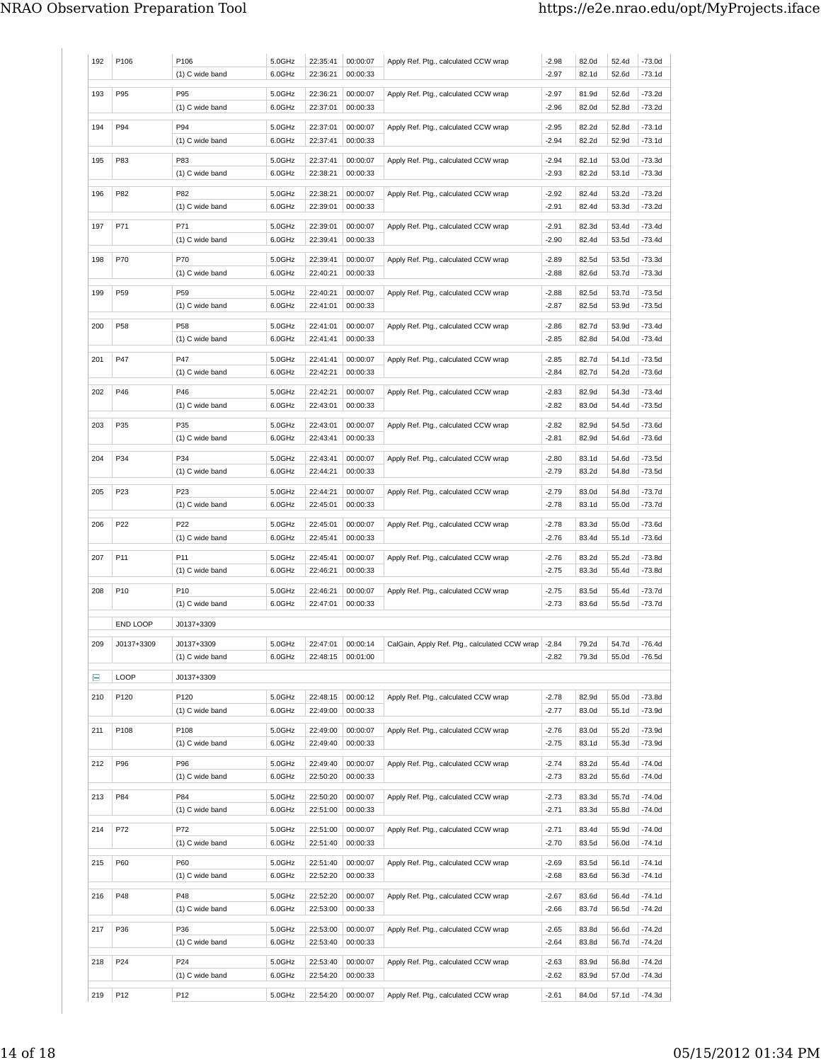| 192 | P106            | P106<br>(1) C wide band                    | 5.0GHz<br>6.0GHz | 22:35:41<br>22:36:21 | 00:00:07<br>00:00:33            | Apply Ref. Ptg., calculated CCW wrap          | $-2.98$<br>$-2.97$ | 82.0d<br>82.1d | 52.4d<br>52.6d | $-73.0d$<br>-73.1d   |
|-----|-----------------|--------------------------------------------|------------------|----------------------|---------------------------------|-----------------------------------------------|--------------------|----------------|----------------|----------------------|
| 193 | P95             | P95<br>(1) C wide band                     | 5.0GHz<br>6.0GHz | 22:36:21<br>22:37:01 | 00:00:07<br>00:00:33            | Apply Ref. Ptg., calculated CCW wrap          | $-2.97$<br>$-2.96$ | 81.9d<br>82.0d | 52.6d<br>52.8d | $-73.2d$<br>-73.2d   |
| 194 | P94             | P94<br>(1) C wide band                     | 5.0GHz<br>6.0GHz | 22:37:01<br>22:37:41 | 00:00:07<br>00:00:33            | Apply Ref. Ptg., calculated CCW wrap          | $-2.95$<br>$-2.94$ | 82.2d<br>82.2d | 52.8d<br>52.9d | -73.1d<br>-73.1d     |
| 195 | P83             | P83<br>(1) C wide band                     | 5.0GHz<br>6.0GHz | 22:37:41<br>22:38:21 | 00:00:07<br>00:00:33            | Apply Ref. Ptg., calculated CCW wrap          | $-2.94$<br>$-2.93$ | 82.1d<br>82.2d | 53.0d<br>53.1d | -73.3d<br>-73.3d     |
| 196 | P82             | P82<br>(1) C wide band                     | 5.0GHz<br>6.0GHz | 22:38:21<br>22:39:01 | 00:00:07<br>00:00:33            | Apply Ref. Ptg., calculated CCW wrap          | $-2.92$<br>$-2.91$ | 82.4d<br>82.4d | 53.2d<br>53.3d | -73.2d<br>-73.2d     |
| 197 | P71             | P71<br>(1) C wide band                     | 5.0GHz<br>6.0GHz | 22:39:01<br>22:39:41 | 00:00:07<br>00:00:33            | Apply Ref. Ptg., calculated CCW wrap          | $-2.91$<br>$-2.90$ | 82.3d<br>82.4d | 53.4d<br>53.5d | $-73.4d$<br>-73.4d   |
| 198 | P70             | P70<br>(1) C wide band                     | 5.0GHz<br>6.0GHz | 22:39:41<br>22:40:21 | 00:00:07<br>00:00:33            | Apply Ref. Ptg., calculated CCW wrap          | $-2.89$<br>$-2.88$ | 82.5d<br>82.6d | 53.5d<br>53.7d | -73.3d<br>-73.3d     |
| 199 | P59             | P59<br>(1) C wide band                     | 5.0GHz<br>6.0GHz | 22:40:21<br>22:41:01 | 00:00:07<br>00:00:33            | Apply Ref. Ptg., calculated CCW wrap          | $-2.88$<br>$-2.87$ | 82.5d<br>82.5d | 53.7d<br>53.9d | -73.5d<br>-73.5d     |
| 200 | P58             | P58<br>(1) C wide band                     | 5.0GHz<br>6.0GHz | 22:41:01<br>22:41:41 | 00:00:07<br>00:00:33            | Apply Ref. Ptg., calculated CCW wrap          | $-2.86$<br>$-2.85$ | 82.7d<br>82.8d | 53.9d<br>54.0d | -73.4d<br>-73.4d     |
| 201 | P47             | P47<br>(1) C wide band                     | 5.0GHz<br>6.0GHz | 22:41:41<br>22:42:21 | 00:00:07<br>00:00:33            | Apply Ref. Ptg., calculated CCW wrap          | $-2.85$<br>$-2.84$ | 82.7d<br>82.7d | 54.1d<br>54.2d | $-73.5d$<br>-73.6d   |
| 202 | P46             | P46<br>(1) C wide band                     | 5.0GHz<br>6.0GHz | 22:42:21<br>22:43:01 | 00:00:07<br>00:00:33            | Apply Ref. Ptg., calculated CCW wrap          | $-2.83$<br>$-2.82$ | 82.9d<br>83.0d | 54.3d<br>54.4d | -73.4d<br>-73.5d     |
| 203 | P35             | P35<br>(1) C wide band                     | 5.0GHz<br>6.0GHz | 22:43:01<br>22:43:41 | 00:00:07<br>00:00:33            | Apply Ref. Ptg., calculated CCW wrap          | $-2.82$<br>$-2.81$ | 82.9d<br>82.9d | 54.5d<br>54.6d | -73.6d<br>-73.6d     |
| 204 | P34             | P34<br>(1) C wide band                     | 5.0GHz<br>6.0GHz | 22:43:41<br>22:44:21 | 00:00:07<br>00:00:33            | Apply Ref. Ptg., calculated CCW wrap          | $-2.80$<br>$-2.79$ | 83.1d<br>83.2d | 54.6d<br>54.8d | -73.5d<br>-73.5d     |
| 205 | P <sub>23</sub> | P23<br>(1) C wide band                     | 5.0GHz<br>6.0GHz | 22:44:21<br>22:45:01 | 00:00:07<br>00:00:33            | Apply Ref. Ptg., calculated CCW wrap          | $-2.79$<br>$-2.78$ | 83.0d<br>83.1d | 54.8d<br>55.0d | -73.7d<br>-73.7d     |
| 206 | P22             | P22<br>(1) C wide band                     | 5.0GHz<br>6.0GHz | 22:45:01<br>22:45:41 | 00:00:07<br>00:00:33            | Apply Ref. Ptg., calculated CCW wrap          | $-2.78$<br>$-2.76$ | 83.3d<br>83.4d | 55.0d<br>55.1d | -73.6d<br>-73.6d     |
| 207 | P <sub>11</sub> | P11<br>(1) C wide band                     | 5.0GHz<br>6.0GHz | 22:45:41<br>22:46:21 | 00:00:07<br>00:00:33            | Apply Ref. Ptg., calculated CCW wrap          | $-2.76$<br>$-2.75$ | 83.2d<br>83.3d | 55.2d<br>55.4d | -73.8d<br>-73.8d     |
| 208 | P <sub>10</sub> | P10<br>(1) C wide band                     | 5.0GHz<br>6.0GHz | 22:46:21<br>22:47:01 | 00:00:07<br>00:00:33            | Apply Ref. Ptg., calculated CCW wrap          | $-2.75$<br>-2.73   | 83.5d<br>83.6d | 55.4d<br>55.5d | -73.7d<br>-73.7d     |
|     | END LOOP        | J0137+3309                                 |                  |                      |                                 |                                               |                    |                |                |                      |
| 209 | J0137+3309      | J0137+3309<br>(1) C wide band              | 5.0GHz<br>6.0GHz | 22:47:01             | 00:00:14<br>22:48:15   00:01:00 | CalGain, Apply Ref. Ptg., calculated CCW wrap | $-2.84$<br>$-2.82$ | 79.2d<br>79.3d | 54.7d<br>55.0d | $-76.4d$<br>-76.5d   |
| Ε   | LOOP            | J0137+3309                                 |                  |                      |                                 |                                               |                    |                |                |                      |
| 210 | P120            | P120                                       | 5.0GHz<br>6.0GHz | 22:48:15<br>22:49:00 | 00:00:12<br>00:00:33            | Apply Ref. Ptg., calculated CCW wrap          | $-2.78$<br>$-2.77$ | 82.9d<br>83.0d | 55.0d<br>55.1d | $-73.8d$<br>-73.9d   |
| 211 | P108            | (1) C wide band<br>P108<br>(1) C wide band | 5.0GHz<br>6.0GHz | 22:49:00<br>22:49:40 | 00:00:07<br>00:00:33            | Apply Ref. Ptg., calculated CCW wrap          | $-2.76$<br>$-2.75$ | 83.0d<br>83.1d | 55.2d<br>55.3d | -73.9d<br>-73.9d     |
| 212 | P96             | P96<br>(1) C wide band                     | 5.0GHz<br>6.0GHz | 22:49:40<br>22:50:20 | 00:00:07<br>00:00:33            | Apply Ref. Ptg., calculated CCW wrap          | $-2.74$<br>$-2.73$ | 83.2d<br>83.2d | 55.4d<br>55.6d | $-74.0d$<br>$-74.0d$ |
| 213 | P84             | P84<br>(1) C wide band                     | 5.0GHz<br>6.0GHz | 22:50:20<br>22:51:00 | 00:00:07<br>00:00:33            | Apply Ref. Ptg., calculated CCW wrap          | $-2.73$<br>$-2.71$ | 83.3d<br>83.3d | 55.7d<br>55.8d | $-74.0d$<br>$-74.0d$ |
| 214 | P72             | P72<br>(1) C wide band                     | 5.0GHz<br>6.0GHz | 22:51:00<br>22:51:40 | 00:00:07<br>00:00:33            | Apply Ref. Ptg., calculated CCW wrap          | $-2.71$<br>$-2.70$ | 83.4d<br>83.5d | 55.9d<br>56.0d | $-74.0d$<br>$-74.1d$ |
| 215 | P60             | P60<br>(1) C wide band                     | 5.0GHz<br>6.0GHz | 22:51:40<br>22:52:20 | 00:00:07<br>00:00:33            | Apply Ref. Ptg., calculated CCW wrap          | $-2.69$<br>$-2.68$ | 83.5d<br>83.6d | 56.1d<br>56.3d | -74.1d<br>$-74.1d$   |
| 216 | P48             | P48<br>(1) C wide band                     | 5.0GHz<br>6.0GHz | 22:52:20<br>22:53:00 | 00:00:07<br>00:00:33            | Apply Ref. Ptg., calculated CCW wrap          | $-2.67$<br>$-2.66$ | 83.6d<br>83.7d | 56.4d<br>56.5d | $-74.1d$<br>$-74.2d$ |
|     |                 |                                            |                  |                      |                                 |                                               |                    |                |                |                      |
| 217 | P36             | P36<br>(1) C wide band                     | 5.0GHz<br>6.0GHz | 22:53:00<br>22:53:40 | 00:00:07<br>00:00:33            | Apply Ref. Ptg., calculated CCW wrap          | $-2.65$<br>$-2.64$ | 83.8d<br>83.8d | 56.6d<br>56.7d | $-74.2d$<br>$-74.2d$ |
| 218 | P24             | P24<br>(1) C wide band                     | 5.0GHz<br>6.0GHz | 22:53:40<br>22:54:20 | 00:00:07<br>00:00:33            | Apply Ref. Ptg., calculated CCW wrap          | $-2.63$<br>$-2.62$ | 83.9d<br>83.9d | 56.8d<br>57.0d | $-74.2d$<br>-74.3d   |
| 219 | P12             | P12                                        | 5.0GHz           | 22:54:20             | 00:00:07                        | Apply Ref. Ptg., calculated CCW wrap          | $-2.61$            | 84.0d          | 57.1d          | $-74.3d$             |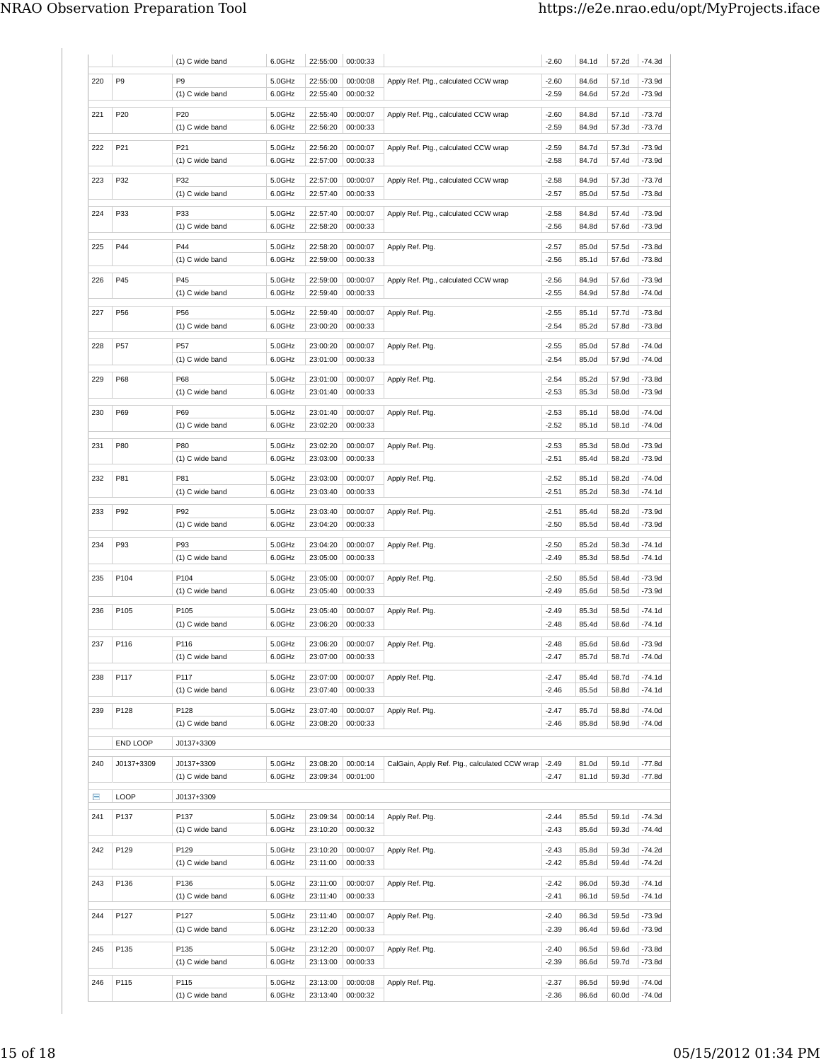|     |                  | (1) C wide band               | 6.0GHz           | 22:55:00             | 00:00:33             |                                               | $-2.60$            | 84.1d          | 57.2d          | $-74.3d$             |
|-----|------------------|-------------------------------|------------------|----------------------|----------------------|-----------------------------------------------|--------------------|----------------|----------------|----------------------|
| 220 | P <sub>9</sub>   | P <sub>9</sub>                | 5.0GHz           | 22:55:00             | 00:00:08             | Apply Ref. Ptg., calculated CCW wrap          | $-2.60$            | 84.6d          | 57.1d          | $-73.9d$             |
|     |                  | (1) C wide band               | 6.0GHz           | 22:55:40             | 00:00:32             |                                               | $-2.59$            | 84.6d          | 57.2d          | -73.9d               |
| 221 | P <sub>20</sub>  | P20                           | 5.0GHz           | 22:55:40             | 00:00:07             | Apply Ref. Ptg., calculated CCW wrap          | $-2.60$            | 84.8d          | 57.1d          | -73.7d               |
|     |                  | (1) C wide band               | 6.0GHz           | 22:56:20             | 00:00:33             |                                               | $-2.59$            | 84.9d          | 57.3d          | -73.7d               |
| 222 | P21              | P21                           | 5.0GHz           | 22:56:20             | 00:00:07             | Apply Ref. Ptg., calculated CCW wrap          | $-2.59$            | 84.7d          | 57.3d          | -73.9d               |
|     |                  | (1) C wide band               | 6.0GHz           | 22:57:00             | 00:00:33             |                                               | $-2.58$            | 84.7d          | 57.4d          | -73.9d               |
|     |                  | P32                           | 5.0GHz           |                      |                      |                                               |                    |                |                |                      |
| 223 | P32              | (1) C wide band               | 6.0GHz           | 22:57:00<br>22:57:40 | 00:00:07<br>00:00:33 | Apply Ref. Ptg., calculated CCW wrap          | $-2.58$<br>$-2.57$ | 84.9d<br>85.0d | 57.3d<br>57.5d | -73.7d<br>-73.8d     |
|     |                  |                               |                  |                      |                      |                                               |                    |                |                |                      |
| 224 | P33              | P33<br>(1) C wide band        | 5.0GHz<br>6.0GHz | 22:57:40<br>22:58:20 | 00:00:07<br>00:00:33 | Apply Ref. Ptg., calculated CCW wrap          | $-2.58$<br>$-2.56$ | 84.8d<br>84.8d | 57.4d<br>57.6d | -73.9d<br>-73.9d     |
|     |                  |                               |                  |                      |                      |                                               |                    |                |                |                      |
| 225 | P44              | P44                           | 5.0GHz           | 22:58:20             | 00:00:07             | Apply Ref. Ptg.                               | $-2.57$            | 85.0d          | 57.5d          | -73.8d               |
|     |                  | (1) C wide band               | 6.0GHz           | 22:59:00             | 00:00:33             |                                               | $-2.56$            | 85.1d          | 57.6d          | -73.8d               |
| 226 | P45              | P45                           | 5.0GHz           | 22:59:00             | 00:00:07             | Apply Ref. Ptg., calculated CCW wrap          | $-2.56$            | 84.9d          | 57.6d          | -73.9d               |
|     |                  | (1) C wide band               | 6.0GHz           | 22:59:40             | 00:00:33             |                                               | $-2.55$            | 84.9d          | 57.8d          | $-74.0d$             |
| 227 | P56              | P56                           | 5.0GHz           | 22:59:40             | 00:00:07             | Apply Ref. Ptg.                               | $-2.55$            | 85.1d          | 57.7d          | -73.8d               |
|     |                  | (1) C wide band               | 6.0GHz           | 23:00:20             | 00:00:33             |                                               | $-2.54$            | 85.2d          | 57.8d          | -73.8d               |
| 228 | <b>P57</b>       | P57                           | 5.0GHz           | 23:00:20             | 00:00:07             | Apply Ref. Ptg.                               | $-2.55$            | 85.0d          | 57.8d          | -74.0d               |
|     |                  | (1) C wide band               | 6.0GHz           | 23:01:00             | 00:00:33             |                                               | $-2.54$            | 85.0d          | 57.9d          | $-74.0d$             |
| 229 | P68              | P68                           | 5.0GHz           | 23:01:00             | 00:00:07             | Apply Ref. Ptg.                               | $-2.54$            | 85.2d          | 57.9d          | -73.8d               |
|     |                  | (1) C wide band               | 6.0GHz           | 23:01:40             | 00:00:33             |                                               | $-2.53$            | 85.3d          | 58.0d          | -73.9d               |
| 230 | P69              | P69                           | 5.0GHz           | 23:01:40             | 00:00:07             | Apply Ref. Ptg.                               | $-2.53$            | 85.1d          | 58.0d          | -74.0d               |
|     |                  | (1) C wide band               | 6.0GHz           | 23:02:20             | 00:00:33             |                                               | $-2.52$            | 85.1d          | 58.1d          | -74.0d               |
| 231 | P80              | P80                           | 5.0GHz           | 23:02:20             | 00:00:07             | Apply Ref. Ptg.                               | $-2.53$            | 85.3d          | 58.0d          | -73.9d               |
|     |                  | (1) C wide band               | 6.0GHz           | 23:03:00             | 00:00:33             |                                               | $-2.51$            | 85.4d          | 58.2d          | -73.9d               |
|     |                  |                               |                  |                      |                      |                                               |                    |                |                |                      |
| 232 | P81              | P81<br>(1) C wide band        | 5.0GHz<br>6.0GHz | 23:03:00<br>23:03:40 | 00:00:07<br>00:00:33 | Apply Ref. Ptg.                               | $-2.52$<br>$-2.51$ | 85.1d<br>85.2d | 58.2d<br>58.3d | $-74.0d$<br>$-74.1d$ |
|     |                  |                               |                  |                      |                      |                                               |                    |                |                |                      |
| 233 | P92              | P92                           | 5.0GHz           | 23:03:40             | 00:00:07             | Apply Ref. Ptg.                               | $-2.51$            | 85.4d          | 58.2d          | -73.9d               |
|     |                  | (1) C wide band               | 6.0GHz           | 23:04:20             | 00:00:33             |                                               | $-2.50$            | 85.5d          | 58.4d          | -73.9d               |
| 234 | P93              | P93                           | 5.0GHz           | 23:04:20             | 00:00:07             | Apply Ref. Ptg.                               | $-2.50$            | 85.2d          | 58.3d          | $-74.1d$             |
|     |                  | (1) C wide band               | 6.0GHz           | 23:05:00             | 00:00:33             |                                               | $-2.49$            | 85.3d          | 58.5d          | $-74.1d$             |
| 235 | P104             | P104                          | 5.0GHz           | 23:05:00             | 00:00:07             | Apply Ref. Ptg.                               | $-2.50$            | 85.5d          | 58.4d          | -73.9d               |
|     |                  | (1) C wide band               | 6.0GHz           | 23:05:40             | 00:00:33             |                                               | $-2.49$            | 85.6d          | 58.5d          | -73.9d               |
| 236 | P <sub>105</sub> | P105                          | 5.0GHz           | 23:05:40             | 00:00:07             | Apply Ref. Ptg.                               | $-2.49$            | 85.3d          | 58.5d          | $-74.1d$             |
|     |                  | (1) C wide band               | 6.0GHz           | 23:06:20             | 00:00:33             |                                               | $-2.48$            | 85.4d          | 58.6d          | $-74.1d$             |
| 237 | P116             | P116                          | 5.0GHz           | 23:06:20             | 00:00:07             | Apply Ref. Ptg.                               | $-2.48$            | 85.6d          | 58.6d          | -73.9d               |
|     |                  | (1) C wide band               | 6.0GHz           |                      | 23:07:00   00:00:33  |                                               | $-2.47$            | 85.7d          | 58.7d          | $-74.0d$             |
| 238 | P117             | P117                          | 5.0GHz           | 23:07:00             | 00:00:07             | Apply Ref. Ptg.                               | $-2.47$            | 85.4d          | 58.7d          | $-74.1d$             |
|     |                  | (1) C wide band               | 6.0GHz           | 23:07:40             | 00:00:33             |                                               | $-2.46$            | 85.5d          | 58.8d          | $-74.1d$             |
| 239 | P128             | P128                          | 5.0GHz           | 23:07:40             | 00:00:07             | Apply Ref. Ptg.                               | $-2.47$            | 85.7d          | 58.8d          | $-74.0d$             |
|     |                  | (1) C wide band               | 6.0GHz           | 23:08:20             | 00:00:33             |                                               | $-2.46$            | 85.8d          | 58.9d          | $-74.0d$             |
|     | END LOOP         | J0137+3309                    |                  |                      |                      |                                               |                    |                |                |                      |
|     |                  |                               |                  |                      |                      |                                               |                    |                |                |                      |
| 240 | J0137+3309       | J0137+3309<br>(1) C wide band | 5.0GHz<br>6.0GHz | 23:08:20<br>23:09:34 | 00:00:14<br>00:01:00 | CalGain, Apply Ref. Ptg., calculated CCW wrap | $-2.49$<br>$-2.47$ | 81.0d<br>81.1d | 59.1d<br>59.3d | $-77.8d$<br>-77.8d   |
|     |                  |                               |                  |                      |                      |                                               |                    |                |                |                      |
| Ε   | LOOP             | J0137+3309                    |                  |                      |                      |                                               |                    |                |                |                      |
| 241 | P137             | P137                          | 5.0GHz           | 23:09:34             | 00:00:14             | Apply Ref. Ptg.                               | $-2.44$            | 85.5d          | 59.1d          | $-74.3d$             |
|     |                  | (1) C wide band               | 6.0GHz           | 23:10:20             | 00:00:32             |                                               | $-2.43$            | 85.6d          | 59.3d          | $-74.4d$             |
| 242 | P129             | P129                          | 5.0GHz           | 23:10:20             | 00:00:07             | Apply Ref. Ptg.                               | $-2.43$            | 85.8d          | 59.3d          | $-74.2d$             |
|     |                  | (1) C wide band               | 6.0GHz           | 23:11:00             | 00:00:33             |                                               | $-2.42$            | 85.8d          | 59.4d          | $-74.2d$             |
| 243 | P136             | P136                          | 5.0GHz           | 23:11:00             | 00:00:07             | Apply Ref. Ptg.                               | $-2.42$            | 86.0d          | 59.3d          | $-74.1d$             |
|     |                  | (1) C wide band               | 6.0GHz           | 23:11:40             | 00:00:33             |                                               | $-2.41$            | 86.1d          | 59.5d          | $-74.1d$             |
| 244 | P127             | P127                          | 5.0GHz           | 23:11:40             | 00:00:07             | Apply Ref. Ptg.                               | $-2.40$            | 86.3d          | 59.5d          | $-73.9d$             |
|     |                  | (1) C wide band               | 6.0GHz           | 23:12:20             | 00:00:33             |                                               | $-2.39$            | 86.4d          | 59.6d          | -73.9d               |
| 245 | P135             | P135                          | 5.0GHz           | 23:12:20             | 00:00:07             | Apply Ref. Ptg.                               | $-2.40$            | 86.5d          | 59.6d          | $-73.8d$             |
|     |                  | (1) C wide band               | 6.0GHz           | 23:13:00             | 00:00:33             |                                               | $-2.39$            | 86.6d          | 59.7d          | -73.8d               |
| 246 | P115             | P115                          | 5.0GHz           | 23:13:00             | 00:00:08             |                                               | $-2.37$            | 86.5d          | 59.9d          | $-74.0d$             |
|     |                  | (1) C wide band               | 6.0GHz           | 23:13:40             | 00:00:32             | Apply Ref. Ptg.                               | $-2.36$            | 86.6d          | 60.0d          | $-74.0d$             |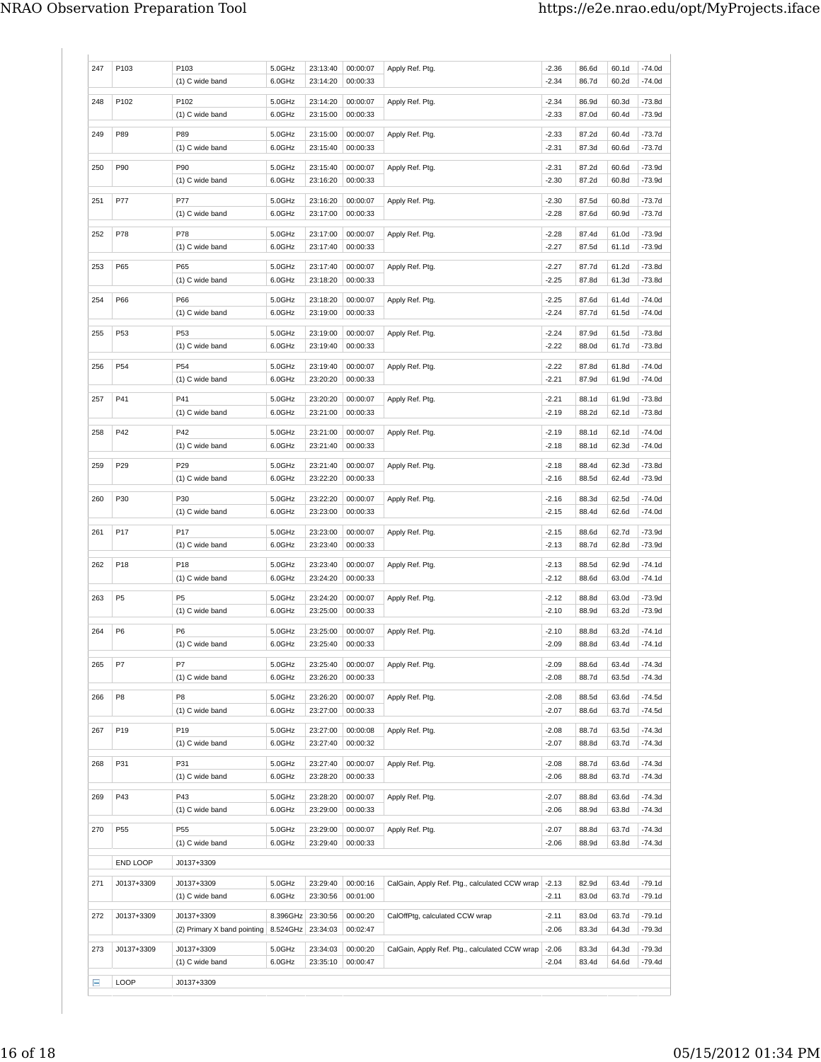| 247 | P103            | P103<br>(1) C wide band     | 5.0GHz<br>6.0GHz | 23:13:40<br>23:14:20 | 00:00:07<br>00:00:33 | Apply Ref. Ptg.                               | $-2.36$<br>$-2.34$ | 86.6d<br>86.7d | 60.1d<br>60.2d | $-74.0d$<br>$-74.0d$ |
|-----|-----------------|-----------------------------|------------------|----------------------|----------------------|-----------------------------------------------|--------------------|----------------|----------------|----------------------|
|     |                 |                             |                  |                      |                      |                                               |                    |                |                |                      |
| 248 | P102            | P102                        | 5.0GHz           | 23:14:20             | 00:00:07             | Apply Ref. Ptg.                               | $-2.34$            | 86.9d          | 60.3d          | $-73.8d$             |
|     |                 | (1) C wide band             | 6.0GHz           | 23:15:00             | 00:00:33             |                                               | $-2.33$            | 87.0d          | 60.4d          | $-73.9d$             |
| 249 | P89             | P89                         | 5.0GHz           | 23:15:00             | 00:00:07             | Apply Ref. Ptg.                               | $-2.33$            | 87.2d          | 60.4d          | $-73.7d$             |
|     |                 | (1) C wide band             | 6.0GHz           | 23:15:40             | 00:00:33             |                                               | $-2.31$            | 87.3d          | 60.6d          | -73.7d               |
|     |                 |                             |                  |                      |                      |                                               |                    |                |                |                      |
| 250 | P90             | P90                         | 5.0GHz           | 23:15:40             | 00:00:07             | Apply Ref. Ptg.                               | $-2.31$            | 87.2d          | 60.6d          | $-73.9d$             |
|     |                 | (1) C wide band             | 6.0GHz           | 23:16:20             | 00:00:33             |                                               | $-2.30$            | 87.2d          | 60.8d          | $-73.9d$             |
| 251 | P77             | P77                         | 5.0GHz           | 23:16:20             | 00:00:07             | Apply Ref. Ptg.                               | $-2.30$            | 87.5d          | 60.8d          | $-73.7d$             |
|     |                 | (1) C wide band             | 6.0GHz           | 23:17:00             | 00:00:33             |                                               | -2.28              | 87.6d          | 60.9d          | $-73.7d$             |
| 252 | P78             | P78                         |                  | 23:17:00             | 00:00:07             |                                               |                    | 87.4d          | 61.0d          | $-73.9d$             |
|     |                 | (1) C wide band             | 5.0GHz<br>6.0GHz | 23:17:40             | 00:00:33             | Apply Ref. Ptg.                               | $-2.28$<br>$-2.27$ | 87.5d          | 61.1d          | $-73.9d$             |
|     |                 |                             |                  |                      |                      |                                               |                    |                |                |                      |
| 253 | P65             | P65                         | 5.0GHz           | 23:17:40             | 00:00:07             | Apply Ref. Ptg.                               | $-2.27$            | 87.7d          | 61.2d          | $-73.8d$             |
|     |                 | (1) C wide band             | 6.0GHz           | 23:18:20             | 00:00:33             |                                               | $-2.25$            | 87.8d          | 61.3d          | $-73.8d$             |
| 254 | P66             | P66                         | 5.0GHz           | 23:18:20             | 00:00:07             | Apply Ref. Ptg.                               | $-2.25$            | 87.6d          | 61.4d          | $-74.0d$             |
|     |                 | (1) C wide band             | 6.0GHz           | 23:19:00             | 00:00:33             |                                               | -2.24              | 87.7d          | 61.5d          | $-74.0d$             |
|     |                 |                             |                  |                      |                      |                                               |                    |                |                |                      |
| 255 | P53             | P <sub>53</sub>             | 5.0GHz           | 23:19:00             | 00:00:07             | Apply Ref. Ptg.                               | $-2.24$            | 87.9d          | 61.5d          | $-73.8d$             |
|     |                 | (1) C wide band             | 6.0GHz           | 23:19:40             | 00:00:33             |                                               | $-2.22$            | 88.0d          | 61.7d          | $-73.8d$             |
| 256 | P <sub>54</sub> | P <sub>54</sub>             | 5.0GHz           | 23:19:40             | 00:00:07             | Apply Ref. Ptg.                               | $-2.22$            | 87.8d          | 61.8d          | $-74.0d$             |
|     |                 | (1) C wide band             | 6.0GHz           | 23:20:20             | 00:00:33             |                                               | $-2.21$            | 87.9d          | 61.9d          | $-74.0d$             |
|     | P41             | P41                         | 5.0GHz           | 23:20:20             | 00:00:07             |                                               | $-2.21$            | 88.1d          | 61.9d          | $-73.8d$             |
| 257 |                 | (1) C wide band             | 6.0GHz           | 23:21:00             | 00:00:33             | Apply Ref. Ptg.                               | $-2.19$            | 88.2d          | 62.1d          | $-73.8d$             |
|     |                 |                             |                  |                      |                      |                                               |                    |                |                |                      |
| 258 | P42             | P42                         | 5.0GHz           | 23:21:00             | 00:00:07             | Apply Ref. Ptg.                               | $-2.19$            | 88.1d          | 62.1d          | $-74.0d$             |
|     |                 | (1) C wide band             | 6.0GHz           | 23:21:40             | 00:00:33             |                                               | $-2.18$            | 88.1d          | 62.3d          | $-74.0d$             |
| 259 | P29             | P29                         | 5.0GHz           | 23:21:40             | 00:00:07             | Apply Ref. Ptg.                               | $-2.18$            | 88.4d          | 62.3d          | $-73.8d$             |
|     |                 | (1) C wide band             | 6.0GHz           | 23:22:20             | 00:00:33             |                                               | $-2.16$            | 88.5d          | 62.4d          | $-73.9d$             |
|     |                 |                             |                  |                      |                      |                                               |                    |                |                |                      |
| 260 | P30             | P30                         | 5.0GHz           | 23:22:20             | 00:00:07             | Apply Ref. Ptg.                               | $-2.16$            | 88.3d          | 62.5d          | $-74.0d$             |
|     |                 | (1) C wide band             | 6.0GHz           | 23:23:00             | 00:00:33             |                                               | $-2.15$            | 88.4d          | 62.6d          | $-74.0d$             |
| 261 | P17             | P17                         | 5.0GHz           | 23:23:00             | 00:00:07             | Apply Ref. Ptg.                               | $-2.15$            | 88.6d          | 62.7d          | $-73.9d$             |
|     |                 | (1) C wide band             | 6.0GHz           | 23:23:40             | 00:00:33             |                                               | $-2.13$            | 88.7d          | 62.8d          | $-73.9d$             |
| 262 | P <sub>18</sub> | P18                         | 5.0GHz           | 23:23:40             | 00:00:07             | Apply Ref. Ptg.                               | $-2.13$            | 88.5d          | 62.9d          | $-74.1d$             |
|     |                 | (1) C wide band             | 6.0GHz           | 23:24:20             | 00:00:33             |                                               | $-2.12$            | 88.6d          | 63.0d          | $-74.1d$             |
|     |                 |                             |                  |                      |                      |                                               |                    |                |                |                      |
| 263 | P <sub>5</sub>  | P <sub>5</sub>              | 5.0GHz           | 23:24:20             | 00:00:07             | Apply Ref. Ptg.                               | $-2.12$            | 88.8d          | 63.0d          | $-73.9d$             |
|     |                 | (1) C wide band             | 6.0GHz           | 23:25:00             | 00:00:33             |                                               | $-2.10$            | 88.9d          | 63.2d          | $-73.9d$             |
| 264 | P <sub>6</sub>  | P <sub>6</sub>              | 5.0GHz           | 23:25:00             | 00:00:07             | Apply Ref. Ptg.                               | $-2.10$            | 88.8d          | 63.2d          | $-74.1d$             |
|     |                 | (1) C wide band             | 6.0GHz           | 23:25:40             | 00:00:33             |                                               | $-2.09$            | 88.8d          | 63.4d          | $-74.1d$             |
| 265 | P7              | P7                          | 5.0GHz           | 23:25:40             | 00:00:07             | Apply Ref. Ptg.                               | $-2.09$            | 88.6d          | 63.4d          | $-74.3d$             |
|     |                 | (1) C wide band             | 6.0GHz           | 23:26:20             | 00:00:33             |                                               | $-2.08$            | 88.7d          | 63.5d          | $-74.3d$             |
|     |                 |                             |                  |                      |                      |                                               |                    |                |                |                      |
| 266 | P <sub>8</sub>  | P <sub>8</sub>              | 5.0GHz           | 23:26:20             | 00:00:07             | Apply Ref. Ptg.                               | $-2.08$            | 88.5d          | 63.6d          | $-74.5d$             |
|     |                 | (1) C wide band             | 6.0GHz           | 23:27:00             | 00:00:33             |                                               | $-2.07$            | 88.6d          | 63.7d          | $-74.5d$             |
| 267 | P <sub>19</sub> | P <sub>19</sub>             | 5.0GHz           | 23:27:00             | 00:00:08             | Apply Ref. Ptg.                               | $-2.08$            | 88.7d          | 63.5d          | $-74.3d$             |
|     |                 | (1) C wide band             | 6.0GHz           | 23:27:40             | 00:00:32             |                                               | $-2.07$            | 88.8d          | 63.7d          | $-74.3d$             |
| 268 | P31             | P31                         | 5.0GHz           | 23:27:40             | 00:00:07             | Apply Ref. Ptg.                               | $-2.08$            | 88.7d          | 63.6d          | $-74.3d$             |
|     |                 | (1) C wide band             | 6.0GHz           | 23:28:20             | 00:00:33             |                                               | $-2.06$            | 88.8d          | 63.7d          | $-74.3d$             |
|     |                 |                             |                  |                      |                      |                                               |                    |                |                |                      |
| 269 | P43             | P43                         | 5.0GHz           | 23:28:20             | 00:00:07             | Apply Ref. Ptg.                               | $-2.07$            | 88.8d          | 63.6d          | $-74.3d$             |
|     |                 | (1) C wide band             | 6.0GHz           | 23:29:00             | 00:00:33             |                                               | $-2.06$            | 88.9d          | 63.8d          | $-74.3d$             |
| 270 | P55             | P <sub>55</sub>             | 5.0GHz           | 23:29:00             | 00:00:07             | Apply Ref. Ptg.                               | $-2.07$            | 88.8d          | 63.7d          | $-74.3d$             |
|     |                 | (1) C wide band             | 6.0GHz           | 23:29:40             | 00:00:33             |                                               | $-2.06$            | 88.9d          | 63.8d          | $-74.3d$             |
|     |                 |                             |                  |                      |                      |                                               |                    |                |                |                      |
|     | END LOOP        | J0137+3309                  |                  |                      |                      |                                               |                    |                |                |                      |
| 271 | J0137+3309      | J0137+3309                  | 5.0GHz           | 23:29:40             | 00:00:16             | CalGain, Apply Ref. Ptg., calculated CCW wrap | $-2.13$            | 82.9d          | 63.4d          | $-79.1d$             |
|     |                 | (1) C wide band             | 6.0GHz           | 23:30:56             | 00:01:00             |                                               | $-2.11$            | 83.0d          | 63.7d          | $-79.1d$             |
| 272 | J0137+3309      | J0137+3309                  | 8.396GHz         | 23:30:56             | 00:00:20             | CalOffPtg, calculated CCW wrap                | $-2.11$            | 83.0d          | 63.7d          | $-79.1d$             |
|     |                 | (2) Primary X band pointing | 8.524GHz         | 23:34:03             | 00:02:47             |                                               | $-2.06$            | 83.3d          | 64.3d          | $-79.3d$             |
|     |                 |                             |                  |                      |                      |                                               |                    |                |                |                      |
| 273 | J0137+3309      | J0137+3309                  | 5.0GHz           | 23:34:03             | 00:00:20             | CalGain, Apply Ref. Ptg., calculated CCW wrap | $-2.06$            | 83.3d          | 64.3d          | $-79.3d$             |
|     |                 | (1) C wide band             | 6.0GHz           | 23:35:10             | 00:00:47             |                                               | $-2.04$            | 83.4d          | 64.6d          | $-79.4d$             |
| Ε   | <b>LOOP</b>     | J0137+3309                  |                  |                      |                      |                                               |                    |                |                |                      |
|     |                 |                             |                  |                      |                      |                                               |                    |                |                |                      |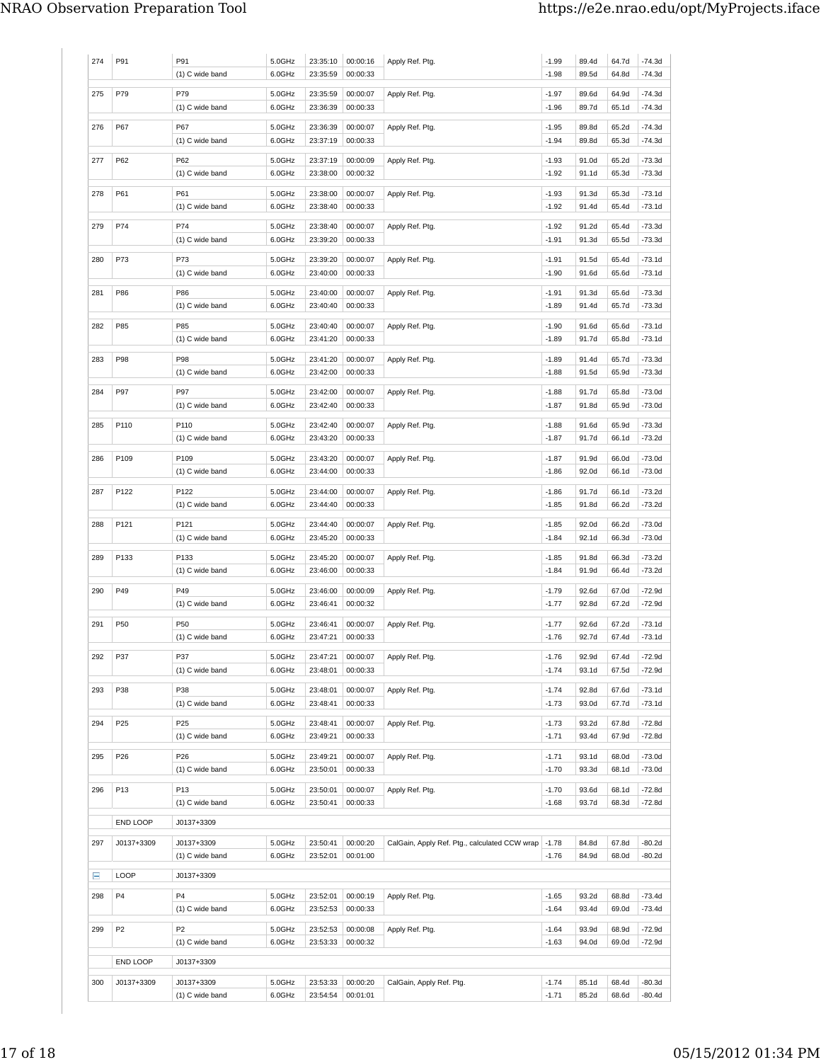| 274 | P91            | P91                               | 5.0GHz           | 23:35:10             | 00:00:16             | Apply Ref. Ptg.                               | $-1.99$            | 89.4d          | 64.7d          | $-74.3d$           |
|-----|----------------|-----------------------------------|------------------|----------------------|----------------------|-----------------------------------------------|--------------------|----------------|----------------|--------------------|
|     |                | (1) C wide band                   | 6.0GHz           | 23:35:59             | 00:00:33             |                                               | $-1.98$            | 89.5d          | 64.8d          | $-74.3d$           |
| 275 | P79            | P79                               | 5.0GHz           | 23:35:59             | 00:00:07             | Apply Ref. Ptg.                               | $-1.97$            | 89.6d          | 64.9d          | $-74.3d$           |
|     |                | (1) C wide band                   | 6.0GHz           | 23:36:39             | 00:00:33             |                                               | $-1.96$            | 89.7d          | 65.1d          | -74.3d             |
|     |                |                                   |                  |                      |                      |                                               |                    |                |                |                    |
| 276 | P67            | P67                               | 5.0GHz           | 23:36:39             | 00:00:07             | Apply Ref. Ptg.                               | $-1.95$            | 89.8d          | 65.2d          | $-74.3d$           |
|     |                | (1) C wide band                   | 6.0GHz           | 23:37:19             | 00:00:33             |                                               | $-1.94$            | 89.8d          | 65.3d          | -74.3d             |
| 277 | P62            | P62                               | 5.0GHz           | 23:37:19             | 00:00:09             | Apply Ref. Ptg.                               | $-1.93$            | 91.0d          | 65.2d          | $-73.3d$           |
|     |                | (1) C wide band                   | 6.0GHz           | 23:38:00             | 00:00:32             |                                               | $-1.92$            | 91.1d          | 65.3d          | -73.3d             |
| 278 | P61            | P61                               | 5.0GHz           | 23:38:00             | 00:00:07             | Apply Ref. Ptg.                               | $-1.93$            | 91.3d          | 65.3d          | $-73.1d$           |
|     |                | (1) C wide band                   | 6.0GHz           | 23:38:40             | 00:00:33             |                                               | $-1.92$            | 91.4d          | 65.4d          | -73.1d             |
|     |                |                                   |                  |                      |                      |                                               |                    |                |                |                    |
| 279 | P74            | P74                               | 5.0GHz           | 23:38:40             | 00:00:07             | Apply Ref. Ptg.                               | $-1.92$            | 91.2d          | 65.4d          | $-73.3d$           |
|     |                | (1) C wide band                   | 6.0GHz           | 23:39:20             | 00:00:33             |                                               | $-1.91$            | 91.3d          | 65.5d          | -73.3d             |
| 280 | P73            | P73                               | 5.0GHz           | 23:39:20             | 00:00:07             | Apply Ref. Ptg.                               | $-1.91$            | 91.5d          | 65.4d          | $-73.1d$           |
|     |                | (1) C wide band                   | 6.0GHz           | 23:40:00             | 00:00:33             |                                               | $-1.90$            | 91.6d          | 65.6d          | -73.1d             |
|     | P86            | P86                               |                  | 23:40:00             |                      |                                               |                    |                | 65.6d          |                    |
| 281 |                | (1) C wide band                   | 5.0GHz<br>6.0GHz | 23:40:40             | 00:00:07<br>00:00:33 | Apply Ref. Ptg.                               | $-1.91$<br>$-1.89$ | 91.3d<br>91.4d | 65.7d          | -73.3d<br>$-73.3d$ |
|     |                |                                   |                  |                      |                      |                                               |                    |                |                |                    |
| 282 | P85            | P85                               | 5.0GHz           | 23:40:40             | 00:00:07             | Apply Ref. Ptg.                               | $-1.90$            | 91.6d          | 65.6d          | -73.1d             |
|     |                | (1) C wide band                   | 6.0GHz           | 23:41:20             | 00:00:33             |                                               | $-1.89$            | 91.7d          | 65.8d          | $-73.1d$           |
| 283 | P98            | P98                               | 5.0GHz           | 23:41:20             | 00:00:07             | Apply Ref. Ptg.                               | $-1.89$            | 91.4d          | 65.7d          | -73.3d             |
|     |                | (1) C wide band                   | 6.0GHz           | 23:42:00             | 00:00:33             |                                               | $-1.88$            | 91.5d          | 65.9d          | -73.3d             |
|     |                |                                   |                  |                      |                      |                                               |                    |                |                |                    |
| 284 | P97            | P97                               | 5.0GHz           | 23:42:00             | 00:00:07             | Apply Ref. Ptg.                               | $-1.88$            | 91.7d          | 65.8d          | $-73.0d$           |
|     |                | (1) C wide band                   | 6.0GHz           | 23:42:40             | 00:00:33             |                                               | $-1.87$            | 91.8d          | 65.9d          | $-73.0d$           |
| 285 | P110           | P110                              | 5.0GHz           | 23:42:40             | 00:00:07             | Apply Ref. Ptg.                               | $-1.88$            | 91.6d          | 65.9d          | $-73.3d$           |
|     |                | (1) C wide band                   | 6.0GHz           | 23:43:20             | 00:00:33             |                                               | $-1.87$            | 91.7d          | 66.1d          | -73.2d             |
| 286 | P109           | P109                              | 5.0GHz           | 23:43:20             | 00:00:07             | Apply Ref. Ptg.                               | $-1.87$            | 91.9d          | 66.0d          | -73.0d             |
|     |                | (1) C wide band                   | 6.0GHz           | 23:44:00             | 00:00:33             |                                               | $-1.86$            | 92.0d          | 66.1d          | -73.0d             |
|     |                |                                   |                  |                      |                      |                                               |                    |                |                |                    |
| 287 | P122           | P122                              | 5.0GHz           | 23:44:00             | 00:00:07             | Apply Ref. Ptg.                               | $-1.86$            | 91.7d          | 66.1d          | $-73.2d$           |
|     |                | (1) C wide band                   | 6.0GHz           | 23:44:40             | 00:00:33             |                                               | $-1.85$            | 91.8d          | 66.2d          | -73.2d             |
| 288 | P121           | P121                              | 5.0GHz           | 23:44:40             | 00:00:07             | Apply Ref. Ptg.                               | $-1.85$            | 92.0d          | 66.2d          | -73.0d             |
|     |                | (1) C wide band                   | 6.0GHz           | 23:45:20             | 00:00:33             |                                               | $-1.84$            | 92.1d          | 66.3d          | $-73.0d$           |
|     |                |                                   |                  |                      |                      |                                               |                    |                |                |                    |
| 289 | P133           | P133<br>(1) C wide band           | 5.0GHz<br>6.0GHz | 23:45:20<br>23:46:00 | 00:00:07<br>00:00:33 | Apply Ref. Ptg.                               | $-1.85$<br>$-1.84$ | 91.8d<br>91.9d | 66.3d<br>66.4d | $-73.2d$<br>-73.2d |
|     |                |                                   |                  |                      |                      |                                               |                    |                |                |                    |
| 290 | P49            | P49                               | 5.0GHz           | 23:46:00             | 00:00:09             | Apply Ref. Ptg.                               | $-1.79$            | 92.6d          | 67.0d          | $-72.9d$           |
|     |                | (1) C wide band                   | 6.0GHz           | 23:46:41             | 00:00:32             |                                               | $-1.77$            | 92.8d          | 67.2d          | $-72.9d$           |
| 291 | P50            | P50                               | 5.0GHz           | 23:46:41             | 00:00:07             | Apply Ref. Ptg.                               | $-1.77$            | 92.6d          | 67.2d          | -73.1d             |
|     |                | (1) C wide band                   | 6.0GHz           | 23:47:21             | 00:00:33             |                                               | $-1.76$            | 92.7d          | 67.4d          | $-73.1d$           |
|     |                |                                   |                  |                      |                      |                                               |                    |                |                |                    |
| 292 | P37            | P37                               | 5.0GHz           | 23:47:21             | 00:00:07             | Apply Ref. Ptg.                               | -1.76              | 92.9d          | 67.4d          | -72.9d             |
|     |                | (1) C wide band                   | 6.0GHz           | 23:48:01             | 00:00:33             |                                               | $-1.74$            | 93.1d          | 67.5d          | $-72.9d$           |
| 293 | P38            | P38                               | 5.0GHz           | 23:48:01             | 00:00:07             | Apply Ref. Ptg.                               | $-1.74$            | 92.8d          | 67.6d          | -73.1d             |
|     |                | (1) C wide band                   | 6.0GHz           | 23:48:41             | 00:00:33             |                                               | $-1.73$            | 93.0d          | 67.7d          | -73.1d             |
|     |                |                                   |                  |                      |                      |                                               |                    |                |                |                    |
| 294 | P25            | P25<br>(1) C wide band            | 5.0GHz           | 23:48:41<br>23:49:21 | 00:00:07<br>00:00:33 | Apply Ref. Ptg.                               | $-1.73$<br>$-1.71$ | 93.2d<br>93.4d | 67.8d<br>67.9d | -72.8d<br>$-72.8d$ |
|     |                |                                   | 6.0GHz           |                      |                      |                                               |                    |                |                |                    |
| 295 | P26            | P26                               | 5.0GHz           | 23:49:21             | 00:00:07             | Apply Ref. Ptg.                               | $-1.71$            | 93.1d          | 68.0d          | -73.0d             |
|     |                | (1) C wide band                   | 6.0GHz           | 23:50:01             | 00:00:33             |                                               | $-1.70$            | 93.3d          | 68.1d          | -73.0d             |
| 296 | P13            | P13                               | 5.0GHz           | 23:50:01             | 00:00:07             | Apply Ref. Ptg.                               | $-1.70$            | 93.6d          | 68.1d          | -72.8d             |
|     |                | (1) C wide band                   | 6.0GHz           | 23:50:41             | 00:00:33             |                                               | $-1.68$            | 93.7d          | 68.3d          | -72.8d             |
|     |                |                                   |                  |                      |                      |                                               |                    |                |                |                    |
|     | END LOOP       | J0137+3309                        |                  |                      |                      |                                               |                    |                |                |                    |
| 297 | J0137+3309     | J0137+3309                        | 5.0GHz           | 23:50:41             | 00:00:20             | CalGain, Apply Ref. Ptg., calculated CCW wrap | $-1.78$            | 84.8d          | 67.8d          | $-80.2d$           |
|     |                | (1) C wide band                   | 6.0GHz           | 23:52:01             | 00:01:00             |                                               | $-1.76$            | 84.9d          | 68.0d          | $-80.2d$           |
|     |                |                                   |                  |                      |                      |                                               |                    |                |                |                    |
| Ξ   | LOOP           | J0137+3309                        |                  |                      |                      |                                               |                    |                |                |                    |
| 298 | P <sub>4</sub> | P4                                | 5.0GHz           | 23:52:01             | 00:00:19             | Apply Ref. Ptg.                               | $-1.65$            | 93.2d          | 68.8d          | -73.4d             |
|     |                | (1) C wide band                   | 6.0GHz           | 23:52:53             | 00:00:33             |                                               | $-1.64$            | 93.4d          | 69.0d          | $-73.4d$           |
|     |                |                                   |                  |                      |                      |                                               |                    |                |                |                    |
| 299 | P <sub>2</sub> | P <sub>2</sub><br>(1) C wide band | 5.0GHz<br>6.0GHz | 23:52:53<br>23:53:33 | 00:00:08<br>00:00:32 | Apply Ref. Ptg.                               | $-1.64$<br>$-1.63$ | 93.9d<br>94.0d | 68.9d<br>69.0d | -72.9d<br>-72.9d   |
|     |                |                                   |                  |                      |                      |                                               |                    |                |                |                    |
|     | END LOOP       | J0137+3309                        |                  |                      |                      |                                               |                    |                |                |                    |
| 300 | J0137+3309     | J0137+3309                        | 5.0GHz           | 23:53:33             | 00:00:20             | CalGain, Apply Ref. Ptg.                      | $-1.74$            | 85.1d          | 68.4d          | $-80.3d$           |
|     |                | (1) C wide band                   | 6.0GHz           | 23:54:54             | 00:01:01             |                                               | $-1.71$            | 85.2d          | 68.6d          | $-80.4d$           |
|     |                |                                   |                  |                      |                      |                                               |                    |                |                |                    |